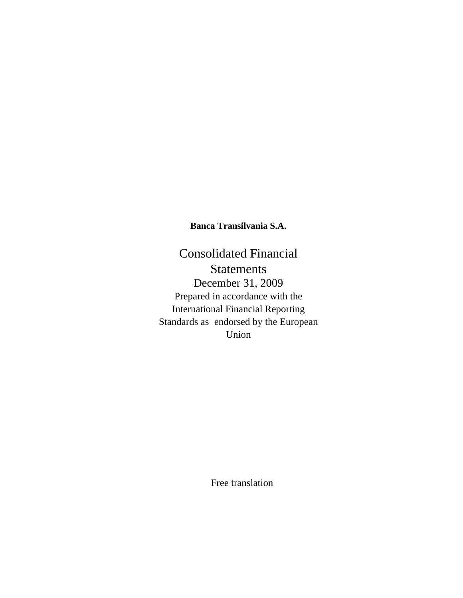**Banca Transilvania S.A.** 

Consolidated Financial Statements December 31, 2009 Prepared in accordance with the International Financial Reporting Standards as endorsed by the European Union

Free translation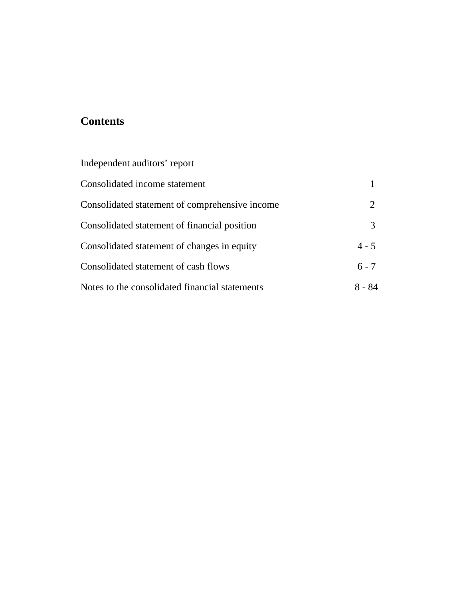# **Contents**

| Independent auditors' report                   |         |
|------------------------------------------------|---------|
| Consolidated income statement                  |         |
| Consolidated statement of comprehensive income | 2       |
| Consolidated statement of financial position   | 3       |
| Consolidated statement of changes in equity    | $4 - 5$ |
| Consolidated statement of cash flows           | $6 - 7$ |
| Notes to the consolidated financial statements | 8 - 84  |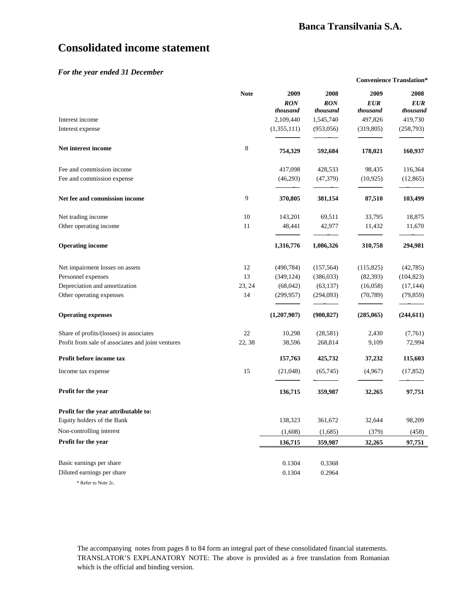**Convenience Translation\***

# **Consolidated income statement**

#### *For the year ended 31 December*

|                                                   | <b>Note</b> | 2009<br><b>RON</b><br>thousand | 2008<br><b>RON</b><br>thousand | 2009<br><b>EUR</b><br>thousand | 2008<br><b>EUR</b><br>thousand |
|---------------------------------------------------|-------------|--------------------------------|--------------------------------|--------------------------------|--------------------------------|
| Interest income                                   |             | 2,109,440                      | 1,545,740                      | 497,826                        | 419,730                        |
| Interest expense                                  |             | (1,355,111)                    | (953,056)                      | (319, 805)                     | (258,793)                      |
| Net interest income                               | 8           | 754,329                        | 592,684                        | 178,021                        | 160,937                        |
| Fee and commission income                         |             | 417,098                        | 428,533                        | 98,435                         | 116,364                        |
| Fee and commission expense                        |             | (46,293)                       | (47, 379)                      | (10, 925)                      | (12, 865)                      |
| Net fee and commission income                     | 9           | 370,805                        | 381,154                        | 87,510                         | 103,499                        |
| Net trading income                                | 10          | 143,201                        | 69,511                         | 33,795                         | 18,875                         |
| Other operating income                            | 11          | 48,441                         | 42,977                         | 11,432                         | 11,670                         |
| <b>Operating income</b>                           |             | 1,316,776                      | 1,086,326                      | 310,758                        | 294,981                        |
| Net impairment losses on assets                   | 12          | (490, 784)                     | (157, 564)                     | (115, 825)                     | (42,785)                       |
| Personnel expenses                                | 13          | (349, 124)                     | (386,033)                      | (82, 393)                      | (104, 823)                     |
| Depreciation and amortization                     | 23, 24      | (68,042)                       | (63, 137)                      | (16,058)                       | (17, 144)                      |
| Other operating expenses                          | 14          | (299, 957)                     | (294,093)                      | (70, 789)                      | (79, 859)                      |
| <b>Operating expenses</b>                         |             | (1,207,907)                    | (900, 827)                     | (285,065)                      | (244, 611)                     |
| Share of profits/(losses) in associates           | 22          | 10,298                         | (28, 581)                      | 2,430                          | (7,761)                        |
| Profit from sale of associates and joint ventures | 22, 38      | 38,596                         | 268,814                        | 9,109                          | 72,994                         |
| Profit before income tax                          |             | 157,763                        | 425,732                        | 37,232                         | 115,603                        |
| Income tax expense                                | 15          | (21,048)                       | (65, 745)                      | (4,967)                        | (17, 852)                      |
| Profit for the year                               |             | 136,715                        | 359,987                        | 32,265                         | 97,751                         |
| Profit for the year attributable to:              |             |                                |                                |                                |                                |
| Equity holders of the Bank                        |             | 138,323                        | 361,672                        | 32,644                         | 98,209                         |
| Non-controlling interest                          |             | (1,608)                        | (1,685)                        | (379)                          | (458)                          |
| Profit for the year                               |             | 136,715                        | 359,987                        | 32,265                         | 97,751                         |
| Basic earnings per share                          |             | 0.1304                         | 0.3368                         |                                |                                |
| Diluted earnings per share                        |             | 0.1304                         | 0.2964                         |                                |                                |
| * Refer to Note 2c                                |             |                                |                                |                                |                                |

The accompanying notes from pages 8 to 84 form an integral part of these consolidated financial statements. TRANSLATOR'S EXPLANATORY NOTE: The above is provided as a free translation from Romanian which is the official and binding version.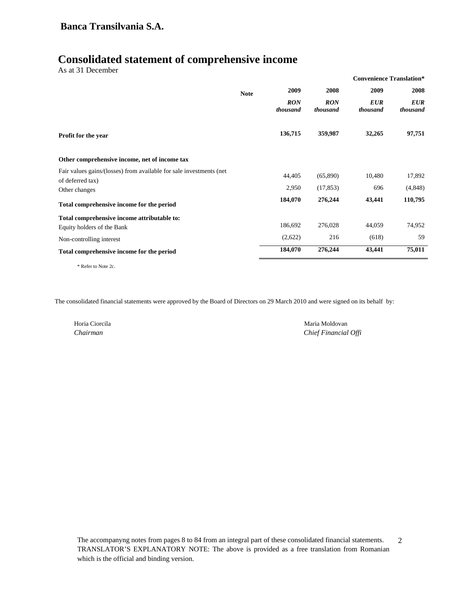## **Banca Transilvania S.A.**

## **Consolidated statement of comprehensive income**

| As at 31 December                                                                       |             |                        |                        | <b>Convenience Translation*</b> |                        |
|-----------------------------------------------------------------------------------------|-------------|------------------------|------------------------|---------------------------------|------------------------|
|                                                                                         | <b>Note</b> | 2009                   | 2008                   | 2009                            | 2008                   |
|                                                                                         |             | <b>RON</b><br>thousand | <b>RON</b><br>thousand | <b>EUR</b><br>thousand          | <b>EUR</b><br>thousand |
| <b>Profit for the year</b>                                                              |             | 136,715                | 359,987                | 32,265                          | 97,751                 |
| Other comprehensive income, net of income tax                                           |             |                        |                        |                                 |                        |
| Fair values gains/(losses) from available for sale investments (net<br>of deferred tax) |             | 44,405                 | (65,890)               | 10,480                          | 17,892                 |
| Other changes                                                                           |             | 2,950                  | (17, 853)              | 696                             | (4,848)                |
| Total comprehensive income for the period                                               |             | 184,070                | 276,244                | 43,441                          | 110,795                |
| Total comprehensive income attributable to:                                             |             |                        |                        |                                 |                        |
| Equity holders of the Bank                                                              |             | 186,692                | 276,028                | 44,059                          | 74,952                 |
| Non-controlling interest                                                                |             | (2,622)                | 216                    | (618)                           | 59                     |
| Total comprehensive income for the period                                               |             | 184,070                | 276,244                | 43,441                          | 75,011                 |
|                                                                                         |             |                        |                        |                                 |                        |

\* Refer to Note 2c.

The consolidated financial statements were approved by the Board of Directors on 29 March 2010 and were signed on its behalf by:

Horia Ciorcila Maria Moldovan *Chairman Chief Financial Offi*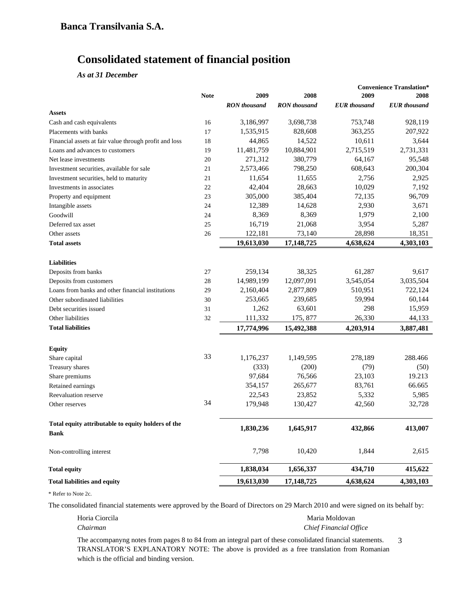# **Consolidated statement of financial position**

*As at 31 December*

|                                                        |             |                     |                     | <b>Convenience Translation*</b> |                     |
|--------------------------------------------------------|-------------|---------------------|---------------------|---------------------------------|---------------------|
|                                                        | <b>Note</b> | 2009                | 2008                | 2009                            | 2008                |
|                                                        |             | <b>RON</b> thousand | <b>RON</b> thousand | <b>EUR</b> thousand             | <b>EUR</b> thousand |
| <b>Assets</b>                                          |             |                     |                     |                                 |                     |
| Cash and cash equivalents                              | 16          | 3,186,997           | 3,698,738           | 753,748                         | 928,119             |
| Placements with banks                                  | 17          | 1,535,915           | 828,608             | 363,255                         | 207,922             |
| Financial assets at fair value through profit and loss | 18          | 44,865              | 14,522              | 10,611                          | 3,644               |
| Loans and advances to customers                        | 19          | 11,481,759          | 10,884,901          | 2,715,519                       | 2,731,331           |
| Net lease investments                                  | 20          | 271,312             | 380,779             | 64,167                          | 95,548              |
| Investment securities, available for sale              | 21          | 2,573,466           | 798,250             | 608,643                         | 200,304             |
| Investment securities, held to maturity                | 21          | 11,654              | 11,655              | 2,756                           | 2,925               |
| Investments in associates                              | 22          | 42,404              | 28,663              | 10,029                          | 7,192               |
| Property and equipment                                 | 23          | 305,000             | 385,404             | 72,135                          | 96,709              |
| Intangible assets                                      | 24          | 12,389              | 14,628              | 2,930                           | 3,671               |
| Goodwill                                               | 24          | 8,369               | 8,369               | 1,979                           | 2,100               |
| Deferred tax asset                                     | 25          | 16,719              | 21,068              | 3,954                           | 5,287               |
| Other assets                                           | 26          | 122,181             | 73,140              | 28,898                          | 18,351              |
| <b>Total assets</b>                                    |             | 19,613,030          | 17,148,725          | 4,638,624                       | 4,303,103           |
|                                                        |             |                     |                     |                                 |                     |
| <b>Liabilities</b>                                     |             |                     |                     |                                 |                     |
| Deposits from banks                                    | 27          | 259,134             | 38,325              | 61,287                          | 9,617               |
| Deposits from customers                                | 28          | 14,989,199          | 12,097,091          | 3,545,054                       | 3,035,504           |
| Loans from banks and other financial institutions      | 29          | 2,160,404           | 2,877,809           | 510,951                         | 722,124             |
| Other subordinated liabilities                         | 30          | 253,665             | 239,685             | 59,994                          | 60,144              |
| Debt securities issued                                 | 31          | 1,262               | 63,601              | 298                             | 15,959              |
| Other liabilities                                      | 32          | 111,332             | 175, 877            | 26,330                          | 44,133              |
| <b>Total liabilities</b>                               |             | 17,774,996          | 15,492,388          | 4,203,914                       | 3,887,481           |
|                                                        |             |                     |                     |                                 |                     |
| <b>Equity</b>                                          |             |                     |                     |                                 |                     |
| Share capital                                          | 33          | 1,176,237           | 1,149,595           | 278,189                         | 288.466             |
| Treasury shares                                        |             | (333)               | (200)               | (79)                            | (50)                |
| Share premiums                                         |             | 97,684              | 76,566              | 23,103                          | 19.213              |
| Retained earnings                                      |             | 354,157             | 265,677             | 83,761                          | 66.665              |
| Reevaluation reserve                                   |             | 22,543              | 23,852              | 5,332                           | 5,985               |
| Other reserves                                         | 34          | 179,948             | 130,427             | 42,560                          | 32,728              |
| Total equity attributable to equity holders of the     |             |                     |                     |                                 |                     |
| Bank                                                   |             | 1,830,236           | 1,645,917           | 432,866                         | 413,007             |
| Non-controlling interest                               |             | 7,798               | 10,420              | 1,844                           | 2,615               |
| <b>Total equity</b>                                    |             | 1,838,034           | 1,656,337           | 434,710                         | 415,622             |
| <b>Total liabilities and equity</b>                    |             | 19,613,030          | 17,148,725          | 4,638,624                       | 4,303,103           |

\* Refer to Note 2c.

The consolidated financial statements were approved by the Board of Directors on 29 March 2010 and were signed on its behalf by:

Horia Ciorcila **Maria Moldovan** *Chairman Chief Financial Office*

The accompanyng notes from pages 8 to 84 from an integral part of these consolidated financial statements. TRANSLATOR'S EXPLANATORY NOTE: The above is provided as a free translation from Romanian which is the official and binding version. 3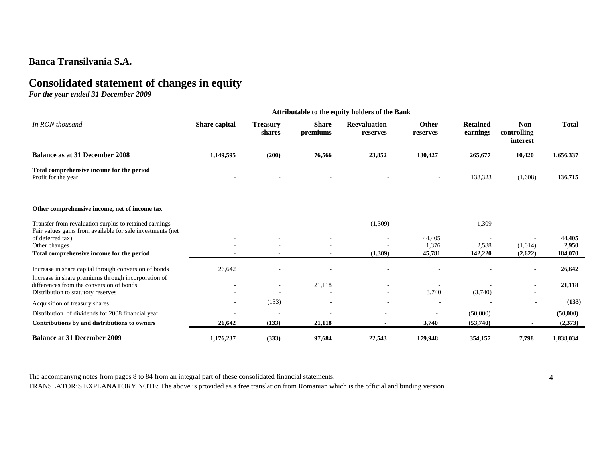## **Banca Transilvania S.A.**

# **Consolidated statement of changes in equity**

*For the year ended 31 December 2009* 

| Attributable to the equity holders of the Bank                                                                       |                |                           |                          |                                 |                          |                             |                                 |              |
|----------------------------------------------------------------------------------------------------------------------|----------------|---------------------------|--------------------------|---------------------------------|--------------------------|-----------------------------|---------------------------------|--------------|
| In RON thousand                                                                                                      | Share capital  | <b>Treasury</b><br>shares | <b>Share</b><br>premiums | <b>Reevaluation</b><br>reserves | <b>Other</b><br>reserves | <b>Retained</b><br>earnings | Non-<br>controlling<br>interest | <b>Total</b> |
| <b>Balance as at 31 December 2008</b>                                                                                | 1,149,595      | (200)                     | 76,566                   | 23,852                          | 130,427                  | 265,677                     | 10,420                          | 1,656,337    |
| Total comprehensive income for the period<br>Profit for the year                                                     |                |                           |                          |                                 |                          | 138,323                     | (1,608)                         | 136,715      |
| Other comprehensive income, net of income tax                                                                        |                |                           |                          |                                 |                          |                             |                                 |              |
| Transfer from revaluation surplus to retained earnings<br>Fair values gains from available for sale investments (net |                |                           |                          | (1,309)                         |                          | 1,309                       |                                 |              |
| of deferred tax)                                                                                                     |                |                           |                          | $\overline{\phantom{a}}$        | 44,405                   |                             |                                 | 44,405       |
| Other changes                                                                                                        |                |                           |                          |                                 | 1,376                    | 2,588                       | (1,014)                         | 2,950        |
| Total comprehensive income for the period                                                                            | $\blacksquare$ | $\blacksquare$            | $\blacksquare$           | (1,309)                         | 45,781                   | 142,220                     | (2,622)                         | 184,070      |
| Increase in share capital through conversion of bonds<br>Increase in share premiums through incorporation of         | 26,642         |                           |                          |                                 |                          |                             | $\overline{\phantom{a}}$        | 26,642       |
| differences from the conversion of bonds                                                                             |                | $\sim$                    | 21,118                   |                                 |                          |                             |                                 | 21,118       |
| Distribution to statutory reserves                                                                                   |                |                           |                          |                                 | 3,740                    | (3,740)                     |                                 |              |
| Acquisition of treasury shares                                                                                       |                | (133)                     |                          | ۰                               |                          |                             |                                 | (133)        |
| Distribution of dividends for 2008 financial year                                                                    |                |                           |                          |                                 |                          | (50,000)                    |                                 | (50,000)     |
| Contributions by and distributions to owners                                                                         | 26,642         | (133)                     | 21,118                   |                                 | 3,740                    | (53,740)                    |                                 | (2,373)      |
| <b>Balance at 31 December 2009</b>                                                                                   | 1,176,237      | (333)                     | 97,684                   | 22,543                          | 179,948                  | 354,157                     | 7,798                           | 1,838,034    |

The accompanyng notes from pages 8 to 84 from an integral part of these consolidated financial statements.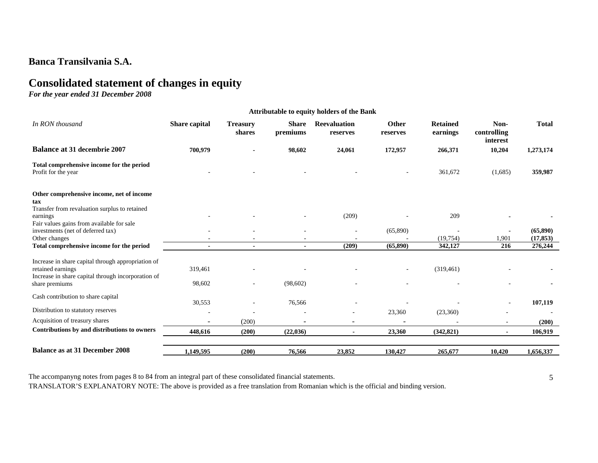## **Banca Transilvania S.A.**

# **Consolidated statement of changes in equity**

*For the year ended 31 December 2008* 

|                                                                                                                               | <b>Attributable to equity holders of the Bank</b> |                           |                          |                                 |                   |                             |                                 |              |
|-------------------------------------------------------------------------------------------------------------------------------|---------------------------------------------------|---------------------------|--------------------------|---------------------------------|-------------------|-----------------------------|---------------------------------|--------------|
| In RON thousand                                                                                                               | Share capital                                     | <b>Treasury</b><br>shares | <b>Share</b><br>premiums | <b>Reevaluation</b><br>reserves | Other<br>reserves | <b>Retained</b><br>earnings | Non-<br>controlling<br>interest | <b>Total</b> |
| <b>Balance at 31 decembrie 2007</b>                                                                                           | 700,979                                           |                           | 98,602                   | 24,061                          | 172,957           | 266,371                     | 10,204                          | 1,273,174    |
| Total comprehensive income for the period<br>Profit for the year                                                              |                                                   |                           |                          |                                 |                   | 361,672                     | (1,685)                         | 359,987      |
| Other comprehensive income, net of income<br>tax<br>Transfer from revaluation surplus to retained                             |                                                   |                           |                          |                                 |                   |                             |                                 |              |
| earnings                                                                                                                      |                                                   |                           |                          | (209)                           |                   | 209                         |                                 |              |
| Fair values gains from available for sale<br>investments (net of deferred tax)                                                |                                                   |                           |                          |                                 | (65,890)          |                             |                                 | (65, 890)    |
| Other changes                                                                                                                 |                                                   |                           |                          |                                 |                   | (19, 754)                   | 1,901                           | (17, 853)    |
| Total comprehensive income for the period                                                                                     |                                                   |                           |                          | (209)                           | (65, 890)         | 342,127                     | 216                             | 276,244      |
| Increase in share capital through appropriation of<br>retained earnings<br>Increase in share capital through incorporation of | 319,461                                           |                           |                          |                                 |                   | (319,461)                   |                                 |              |
| share premiums                                                                                                                | 98,602                                            |                           | (98,602)                 |                                 |                   |                             |                                 |              |
| Cash contribution to share capital                                                                                            | 30,553                                            |                           | 76,566                   |                                 |                   |                             | $\overline{\phantom{a}}$        | 107,119      |
| Distribution to statutory reserves                                                                                            |                                                   |                           |                          |                                 | 23,360            | (23,360)                    |                                 |              |
| Acquisition of treasury shares                                                                                                | ۰                                                 | (200)                     |                          | $\overline{\phantom{a}}$        |                   |                             | $\overline{\phantom{a}}$        | (200)        |
| Contributions by and distributions to owners                                                                                  | 448,616                                           | (200)                     | (22,036)                 |                                 | 23,360            | (342, 821)                  |                                 | 106,919      |
| <b>Balance as at 31 December 2008</b>                                                                                         | 1,149,595                                         | (200)                     | 76,566                   | 23,852                          | 130,427           | 265,677                     | 10,420                          | 1,656,337    |

The accompanyng notes from pages 8 to 84 from an integral part of these consolidated financial statements.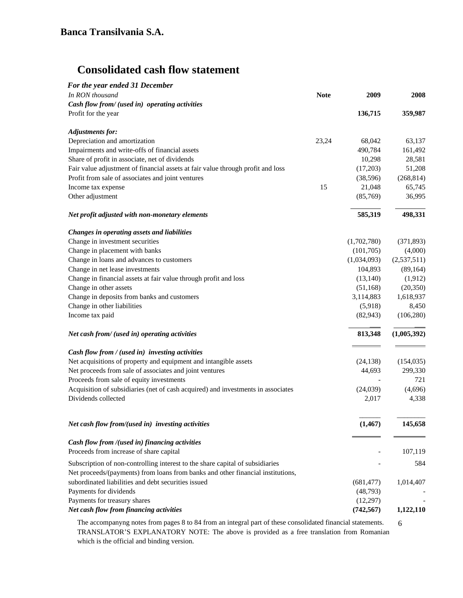# **Consolidated cash flow statement**

| For the year ended 31 December                                                                                                                                   |             |             |             |
|------------------------------------------------------------------------------------------------------------------------------------------------------------------|-------------|-------------|-------------|
| In RON thousand                                                                                                                                                  | <b>Note</b> | 2009        | 2008        |
| Cash flow from/ (used in) operating activities                                                                                                                   |             |             |             |
| Profit for the year                                                                                                                                              |             | 136,715     | 359,987     |
| <b>Adjustments for:</b>                                                                                                                                          |             |             |             |
| Depreciation and amortization                                                                                                                                    | 23,24       | 68,042      | 63,137      |
| Impairments and write-offs of financial assets                                                                                                                   |             | 490,784     | 161,492     |
| Share of profit in associate, net of dividends                                                                                                                   |             | 10,298      | 28,581      |
| Fair value adjustment of financial assets at fair value through profit and loss                                                                                  |             | (17,203)    | 51,208      |
| Profit from sale of associates and joint ventures                                                                                                                |             | (38, 596)   | (268, 814)  |
| Income tax expense                                                                                                                                               | 15          | 21,048      | 65,745      |
| Other adjustment                                                                                                                                                 |             | (85,769)    | 36,995      |
| Net profit adjusted with non-monetary elements                                                                                                                   |             | 585,319     | 498,331     |
| Changes in operating assets and liabilities                                                                                                                      |             |             |             |
| Change in investment securities                                                                                                                                  |             | (1,702,780) | (371, 893)  |
| Change in placement with banks                                                                                                                                   |             | (101,705)   | (4,000)     |
| Change in loans and advances to customers                                                                                                                        |             | (1,034,093) | (2,537,511) |
| Change in net lease investments                                                                                                                                  |             | 104,893     | (89, 164)   |
| Change in financial assets at fair value through profit and loss                                                                                                 |             | (13, 140)   | (1,912)     |
| Change in other assets                                                                                                                                           |             | (51, 168)   | (20, 350)   |
| Change in deposits from banks and customers                                                                                                                      |             | 3,114,883   | 1,618,937   |
| Change in other liabilities                                                                                                                                      |             | (5,918)     | 8,450       |
| Income tax paid                                                                                                                                                  |             | (82, 943)   | (106, 280)  |
| Net cash from/ (used in) operating activities                                                                                                                    |             | 813,348     | (1,005,392) |
| Cash flow from / (used in) investing activities                                                                                                                  |             |             |             |
| Net acquisitions of property and equipment and intangible assets                                                                                                 |             | (24, 138)   | (154, 035)  |
| Net proceeds from sale of associates and joint ventures                                                                                                          |             | 44,693      | 299,330     |
| Proceeds from sale of equity investments                                                                                                                         |             |             | 721         |
| Acquisition of subsidiaries (net of cash acquired) and investments in associates                                                                                 |             | (24,039)    | (4,696)     |
| Dividends collected                                                                                                                                              |             | 2,017       | 4,338       |
| Net cash flow from/(used in) investing activities                                                                                                                |             | (1, 467)    | 145,658     |
| Cash flow from /(used in) financing activities                                                                                                                   |             |             |             |
| Proceeds from increase of share capital                                                                                                                          |             |             | 107,119     |
| Subscription of non-controlling interest to the share capital of subsidiaries<br>Net proceeds/(payments) from loans from banks and other financial institutions, |             |             | 584         |
| subordinated liabilities and debt securities issued                                                                                                              |             | (681, 477)  | 1,014,407   |
| Payments for dividends                                                                                                                                           |             | (48, 793)   |             |
| Payments for treasury shares                                                                                                                                     |             | (12,297)    |             |
| Net cash flow from financing activities                                                                                                                          |             | (742, 567)  | 1,122,110   |
|                                                                                                                                                                  |             |             |             |

The accompanyng notes from pages 8 to 84 from an integral part of these consolidated financial statements. TRANSLATOR'S EXPLANATORY NOTE: The above is provided as a free translation from Romanian which is the official and binding version.

6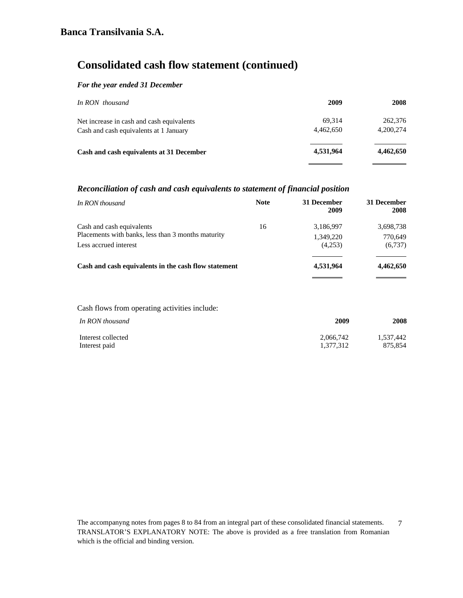# **Consolidated cash flow statement (continued)**

## *For the year ended 31 December*

| In RON thousand                           | 2009      | <b>2008</b> |
|-------------------------------------------|-----------|-------------|
| Net increase in cash and cash equivalents | 69.314    | 262,376     |
| Cash and cash equivalents at 1 January    | 4.462,650 | 4,200,274   |
| Cash and cash equivalents at 31 December  | 4,531,964 | 4,462,650   |
|                                           |           |             |

## *Reconciliation of cash and cash equivalents to statement of financial position*

| In RON thousand                                      | <b>Note</b> | 31 December<br>2009 | 31 December<br>2008 |
|------------------------------------------------------|-------------|---------------------|---------------------|
| Cash and cash equivalents                            | 16          | 3,186,997           | 3,698,738           |
| Placements with banks, less than 3 months maturity   |             | 1,349,220           | 770,649             |
| Less accrued interest                                |             | (4.253)             | (6,737)             |
| Cash and cash equivalents in the cash flow statement |             | 4,531,964           | 4,462,650           |
|                                                      |             |                     |                     |

#### Cash flows from operating activities include:

| In RON thousand    | 2009      | 2008      |
|--------------------|-----------|-----------|
| Interest collected | 2,066,742 | 1.537.442 |
| Interest paid      | 1.377.312 | 875.854   |

The accompanyng notes from pages 8 to 84 from an integral part of these consolidated financial statements. TRANSLATOR'S EXPLANATORY NOTE: The above is provided as a free translation from Romanian which is the official and binding version. 7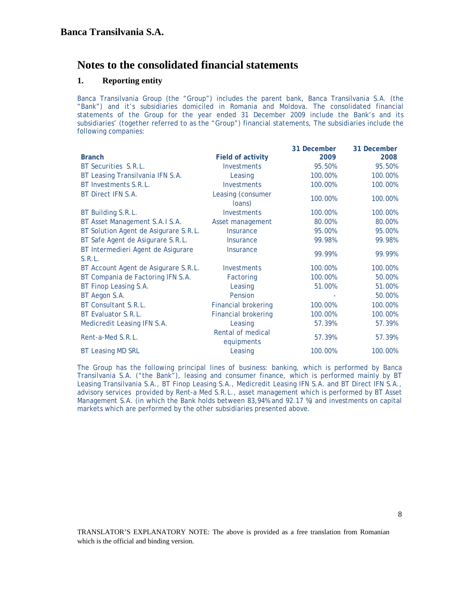## **1. Reporting entity**

Banca Transilvania Group (the "Group") includes the parent bank, Banca Transilvania S.A. (the "Bank") and it's subsidiaries domiciled in Romania and Moldova. The consolidated financial statements of the Group for the year ended 31 December 2009 include the Bank's and its subsidiaries' (together referred to as the "Group") financial statements, The subsidiaries include the following companies:

|                                              |                                 | 31 December | 31 December |
|----------------------------------------------|---------------------------------|-------------|-------------|
| <b>Branch</b>                                | <b>Field of activity</b>        | 2009        | 2008        |
| BT Securities S.R.L.                         | <b>Investments</b>              | 95.50%      | 95.50%      |
| BT Leasing Transilvania IFN S.A.             | Leasing                         | 100.00%     | 100.00%     |
| BT Investments S.R.L.                        | <b>Investments</b>              | 100.00%     | 100.00%     |
| BT Direct IFN S.A.                           | Leasing (consumer<br>loans)     | 100.00%     | 100.00%     |
| BT Building S.R.L.                           | Investments                     | 100.00%     | 100.00%     |
| BT Asset Management S.A.I S.A.               | Asset management                | 80.00%      | 80.00%      |
| BT Solution Agent de Asigurare S.R.L.        | <b>Insurance</b>                | 95.00%      | 95.00%      |
| BT Safe Agent de Asigurare S.R.L.            | <i><u><b>Insurance</b></u></i>  | 99.98%      | 99.98%      |
| BT Intermedieri Agent de Asigurare<br>S.R.L. | <b>Insurance</b>                | 99.99%      | 99.99%      |
| BT Account Agent de Asigurare S.R.L.         | Investments                     | 100.00%     | 100.00%     |
| BT Compania de Factoring IFN S.A.            | Factoring                       | 100.00%     | 50.00%      |
| BT Finop Leasing S.A.                        | Leasing                         | 51.00%      | 51.00%      |
| BT Aegon S.A.                                | Pension                         |             | 50.00%      |
| BT Consultant S.R.L.                         | <b>Financial brokering</b>      | 100.00%     | 100.00%     |
| BT Evaluator S.R.L.                          | <b>Financial brokering</b>      | 100.00%     | 100.00%     |
| Medicredit Leasing IFN S.A.                  | Leasing                         | 57.39%      | 57.39%      |
| Rent-a-Med S.R.L.                            | Rental of medical<br>equipments | 57.39%      | 57.39%      |
| <b>BT Leasing MD SRL</b>                     | Leasing                         | 100.00%     | 100.00%     |

The Group has the following principal lines of business: banking, which is performed by Banca Transilvania S.A. ("the Bank"), leasing and consumer finance, which is performed mainly by BT Leasing Transilvania S.A., BT Finop Leasing S.A., Medicredit Leasing IFN S.A. and BT Direct IFN S.A., advisory services provided by Rent-a Med S.R.L., asset management which is performed by BT Asset Management S.A. (in which the Bank holds between 83,94% and 92.17 %) and investments on capital markets which are performed by the other subsidiaries presented above.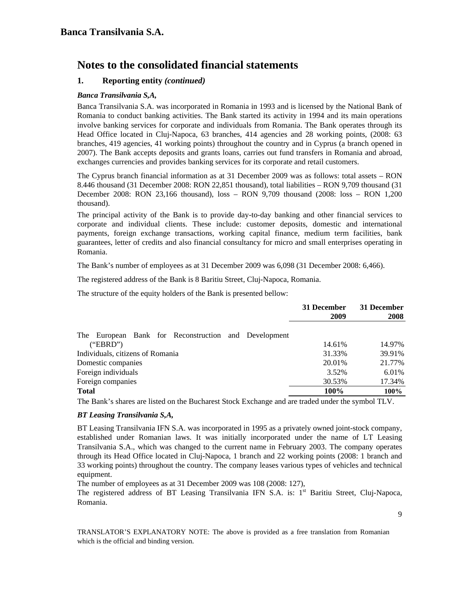## **1. Reporting entity** *(continued)*

## *Banca Transilvania S,A,*

Banca Transilvania S.A. was incorporated in Romania in 1993 and is licensed by the National Bank of Romania to conduct banking activities. The Bank started its activity in 1994 and its main operations involve banking services for corporate and individuals from Romania. The Bank operates through its Head Office located in Cluj-Napoca, 63 branches, 414 agencies and 28 working points, (2008: 63 branches, 419 agencies, 41 working points) throughout the country and in Cyprus (a branch opened in 2007). The Bank accepts deposits and grants loans, carries out fund transfers in Romania and abroad, exchanges currencies and provides banking services for its corporate and retail customers.

The Cyprus branch financial information as at 31 December 2009 was as follows: total assets – RON 8.446 thousand (31 December 2008: RON 22,851 thousand), total liabilities – RON 9,709 thousand (31 December 2008: RON 23,166 thousand), loss – RON 9,709 thousand (2008: loss – RON 1,200 thousand).

The principal activity of the Bank is to provide day-to-day banking and other financial services to corporate and individual clients. These include: customer deposits, domestic and international payments, foreign exchange transactions, working capital finance, medium term facilities, bank guarantees, letter of credits and also financial consultancy for micro and small enterprises operating in Romania.

The Bank's number of employees as at 31 December 2009 was 6,098 (31 December 2008: 6,466).

The registered address of the Bank is 8 Baritiu Street, Cluj-Napoca, Romania.

The structure of the equity holders of the Bank is presented bellow:

|                                                         | 31 December<br>2009 | 31 December<br>2008 |
|---------------------------------------------------------|---------------------|---------------------|
| European Bank for Reconstruction and Development<br>The |                     |                     |
| ("EBRD")                                                | 14.61%              | 14.97%              |
| Individuals, citizens of Romania                        | 31.33%              | 39.91%              |
| Domestic companies                                      | 20.01%              | 21.77%              |
| Foreign individuals                                     | 3.52%               | 6.01%               |
| Foreign companies                                       | 30.53%              | 17.34%              |
| <b>Total</b>                                            | 100%                | 100%                |
|                                                         |                     |                     |

The Bank's shares are listed on the Bucharest Stock Exchange and are traded under the symbol TLV.

## *BT Leasing Transilvania S,A,*

BT Leasing Transilvania IFN S.A. was incorporated in 1995 as a privately owned joint-stock company, established under Romanian laws. It was initially incorporated under the name of LT Leasing Transilvania S.A., which was changed to the current name in February 2003. The company operates through its Head Office located in Cluj-Napoca, 1 branch and 22 working points (2008: 1 branch and 33 working points) throughout the country. The company leases various types of vehicles and technical equipment.

The number of employees as at 31 December 2009 was 108 (2008: 127),

The registered address of BT Leasing Transilvania IFN S.A. is: 1<sup>st</sup> Baritiu Street, Cluj-Napoca, Romania.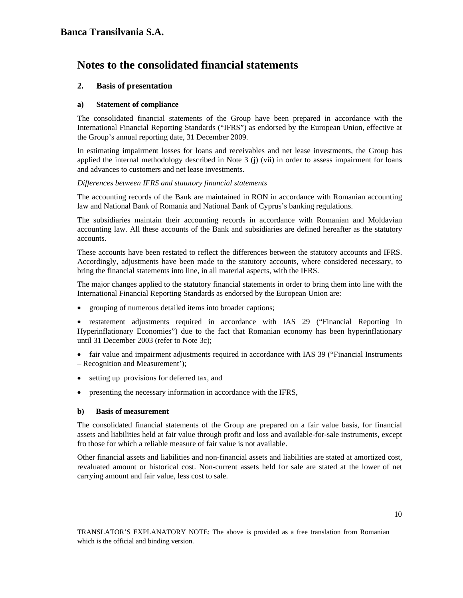## **2. Basis of presentation**

### **a) Statement of compliance**

The consolidated financial statements of the Group have been prepared in accordance with the International Financial Reporting Standards ("IFRS") as endorsed by the European Union, effective at the Group's annual reporting date, 31 December 2009.

In estimating impairment losses for loans and receivables and net lease investments, the Group has applied the internal methodology described in Note 3 (j) (vii) in order to assess impairment for loans and advances to customers and net lease investments.

### *Differences between IFRS and statutory financial statements*

The accounting records of the Bank are maintained in RON in accordance with Romanian accounting law and National Bank of Romania and National Bank of Cyprus's banking regulations.

The subsidiaries maintain their accounting records in accordance with Romanian and Moldavian accounting law. All these accounts of the Bank and subsidiaries are defined hereafter as the statutory accounts.

These accounts have been restated to reflect the differences between the statutory accounts and IFRS. Accordingly, adjustments have been made to the statutory accounts, where considered necessary, to bring the financial statements into line, in all material aspects, with the IFRS.

The major changes applied to the statutory financial statements in order to bring them into line with the International Financial Reporting Standards as endorsed by the European Union are:

• grouping of numerous detailed items into broader captions;

• restatement adjustments required in accordance with IAS 29 ("Financial Reporting in Hyperinflationary Economies") due to the fact that Romanian economy has been hyperinflationary until 31 December 2003 (refer to Note 3c);

- fair value and impairment adjustments required in accordance with IAS 39 ("Financial Instruments") – Recognition and Measurement');
- setting up provisions for deferred tax, and
- presenting the necessary information in accordance with the IFRS,

#### **b) Basis of measurement**

The consolidated financial statements of the Group are prepared on a fair value basis, for financial assets and liabilities held at fair value through profit and loss and available-for-sale instruments, except fro those for which a reliable measure of fair value is not available.

Other financial assets and liabilities and non-financial assets and liabilities are stated at amortized cost, revaluated amount or historical cost. Non-current assets held for sale are stated at the lower of net carrying amount and fair value, less cost to sale.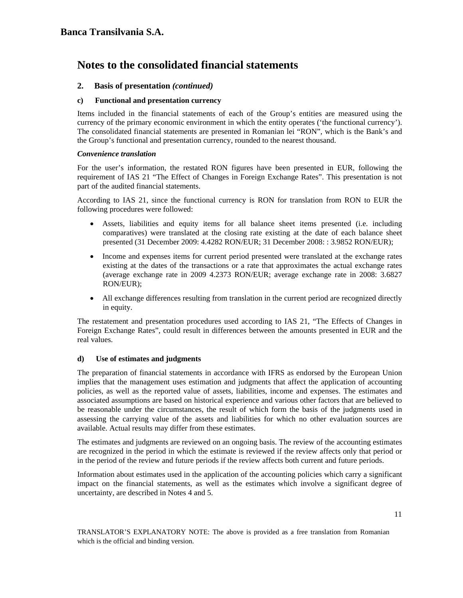## **2. Basis of presentation** *(continued)*

### **c) Functional and presentation currency**

Items included in the financial statements of each of the Group's entities are measured using the currency of the primary economic environment in which the entity operates ('the functional currency'). The consolidated financial statements are presented in Romanian lei "RON", which is the Bank's and the Group's functional and presentation currency, rounded to the nearest thousand.

### *Convenience translation*

For the user's information, the restated RON figures have been presented in EUR, following the requirement of IAS 21 "The Effect of Changes in Foreign Exchange Rates". This presentation is not part of the audited financial statements.

According to IAS 21, since the functional currency is RON for translation from RON to EUR the following procedures were followed:

- Assets, liabilities and equity items for all balance sheet items presented (i.e. including comparatives) were translated at the closing rate existing at the date of each balance sheet presented (31 December 2009: 4.4282 RON/EUR; 31 December 2008: : 3.9852 RON/EUR);
- Income and expenses items for current period presented were translated at the exchange rates existing at the dates of the transactions or a rate that approximates the actual exchange rates (average exchange rate in 2009 4.2373 RON/EUR; average exchange rate in 2008: 3.6827 RON/EUR);
- All exchange differences resulting from translation in the current period are recognized directly in equity.

The restatement and presentation procedures used according to IAS 21, "The Effects of Changes in Foreign Exchange Rates", could result in differences between the amounts presented in EUR and the real values.

## **d) Use of estimates and judgments**

The preparation of financial statements in accordance with IFRS as endorsed by the European Union implies that the management uses estimation and judgments that affect the application of accounting policies, as well as the reported value of assets, liabilities, income and expenses. The estimates and associated assumptions are based on historical experience and various other factors that are believed to be reasonable under the circumstances, the result of which form the basis of the judgments used in assessing the carrying value of the assets and liabilities for which no other evaluation sources are available. Actual results may differ from these estimates.

The estimates and judgments are reviewed on an ongoing basis. The review of the accounting estimates are recognized in the period in which the estimate is reviewed if the review affects only that period or in the period of the review and future periods if the review affects both current and future periods.

Information about estimates used in the application of the accounting policies which carry a significant impact on the financial statements, as well as the estimates which involve a significant degree of uncertainty, are described in Notes 4 and 5.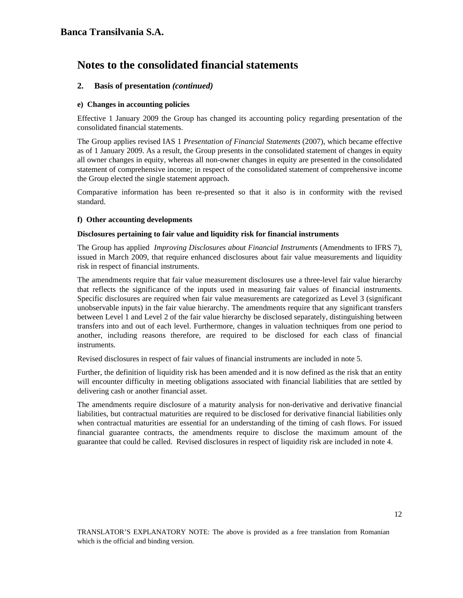## **2. Basis of presentation** *(continued)*

### **e) Changes in accounting policies**

Effective 1 January 2009 the Group has changed its accounting policy regarding presentation of the consolidated financial statements.

The Group applies revised IAS 1 *Presentation of Financial Statements* (2007), which became effective as of 1 January 2009. As a result, the Group presents in the consolidated statement of changes in equity all owner changes in equity, whereas all non-owner changes in equity are presented in the consolidated statement of comprehensive income; in respect of the consolidated statement of comprehensive income the Group elected the single statement approach.

Comparative information has been re-presented so that it also is in conformity with the revised standard.

### **f) Other accounting developments**

#### **Disclosures pertaining to fair value and liquidity risk for financial instruments**

The Group has applied *Improving Disclosures about Financial Instruments* (Amendments to IFRS 7), issued in March 2009, that require enhanced disclosures about fair value measurements and liquidity risk in respect of financial instruments.

The amendments require that fair value measurement disclosures use a three-level fair value hierarchy that reflects the significance of the inputs used in measuring fair values of financial instruments. Specific disclosures are required when fair value measurements are categorized as Level 3 (significant unobservable inputs) in the fair value hierarchy. The amendments require that any significant transfers between Level 1 and Level 2 of the fair value hierarchy be disclosed separately, distinguishing between transfers into and out of each level. Furthermore, changes in valuation techniques from one period to another, including reasons therefore, are required to be disclosed for each class of financial instruments.

Revised disclosures in respect of fair values of financial instruments are included in note 5.

Further, the definition of liquidity risk has been amended and it is now defined as the risk that an entity will encounter difficulty in meeting obligations associated with financial liabilities that are settled by delivering cash or another financial asset.

The amendments require disclosure of a maturity analysis for non-derivative and derivative financial liabilities, but contractual maturities are required to be disclosed for derivative financial liabilities only when contractual maturities are essential for an understanding of the timing of cash flows. For issued financial guarantee contracts, the amendments require to disclose the maximum amount of the guarantee that could be called. Revised disclosures in respect of liquidity risk are included in note 4.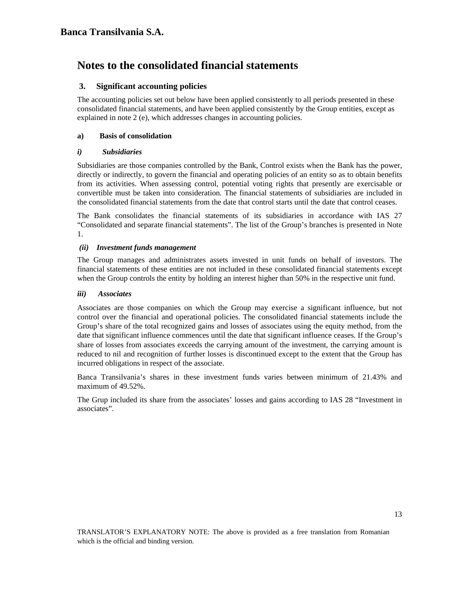## **3. Significant accounting policies**

The accounting policies set out below have been applied consistently to all periods presented in these consolidated financial statements, and have been applied consistently by the Group entities, except as explained in note 2 (e), which addresses changes in accounting policies.

## **a) Basis of consolidation**

## *i) Subsidiaries*

Subsidiaries are those companies controlled by the Bank, Control exists when the Bank has the power, directly or indirectly, to govern the financial and operating policies of an entity so as to obtain benefits from its activities. When assessing control, potential voting rights that presently are exercisable or convertible must be taken into consideration. The financial statements of subsidiaries are included in the consolidated financial statements from the date that control starts until the date that control ceases.

The Bank consolidates the financial statements of its subsidiaries in accordance with IAS 27 "Consolidated and separate financial statements". The list of the Group's branches is presented in Note 1.

## *(ii) Investment funds management*

The Group manages and administrates assets invested in unit funds on behalf of investors. The financial statements of these entities are not included in these consolidated financial statements except when the Group controls the entity by holding an interest higher than 50% in the respective unit fund.

## *iii) Associates*

Associates are those companies on which the Group may exercise a significant influence, but not control over the financial and operational policies. The consolidated financial statements include the Group's share of the total recognized gains and losses of associates using the equity method, from the date that significant influence commences until the date that significant influence ceases. If the Group's share of losses from associates exceeds the carrying amount of the investment, the carrying amount is reduced to nil and recognition of further losses is discontinued except to the extent that the Group has incurred obligations in respect of the associate.

Banca Transilvania's shares in these investment funds varies between minimum of 21.43% and maximum of 49.52%.

The Grup included its share from the associates' losses and gains according to IAS 28 "Investment in associates".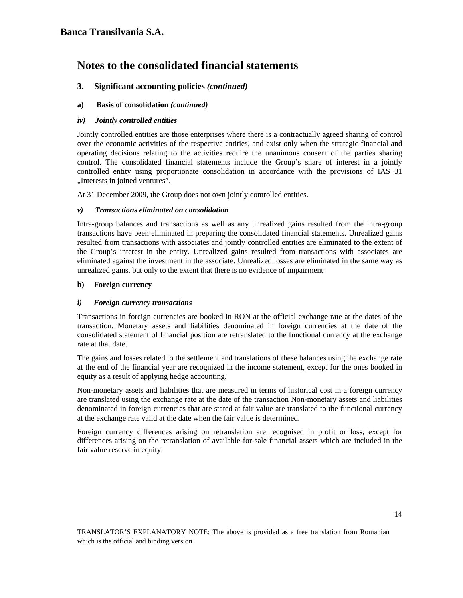## **3. Significant accounting policies** *(continued)*

## **a) Basis of consolidation** *(continued)*

### *iv) Jointly controlled entities*

Jointly controlled entities are those enterprises where there is a contractually agreed sharing of control over the economic activities of the respective entities, and exist only when the strategic financial and operating decisions relating to the activities require the unanimous consent of the parties sharing control. The consolidated financial statements include the Group's share of interest in a jointly controlled entity using proportionate consolidation in accordance with the provisions of IAS 31 "Interests in joined ventures".

At 31 December 2009, the Group does not own jointly controlled entities.

### *v) Transactions eliminated on consolidation*

Intra-group balances and transactions as well as any unrealized gains resulted from the intra-group transactions have been eliminated in preparing the consolidated financial statements. Unrealized gains resulted from transactions with associates and jointly controlled entities are eliminated to the extent of the Group's interest in the entity. Unrealized gains resulted from transactions with associates are eliminated against the investment in the associate. Unrealized losses are eliminated in the same way as unrealized gains, but only to the extent that there is no evidence of impairment.

### **b) Foreign currency**

### *i) Foreign currency transactions*

Transactions in foreign currencies are booked in RON at the official exchange rate at the dates of the transaction. Monetary assets and liabilities denominated in foreign currencies at the date of the consolidated statement of financial position are retranslated to the functional currency at the exchange rate at that date.

The gains and losses related to the settlement and translations of these balances using the exchange rate at the end of the financial year are recognized in the income statement, except for the ones booked in equity as a result of applying hedge accounting.

Non-monetary assets and liabilities that are measured in terms of historical cost in a foreign currency are translated using the exchange rate at the date of the transaction Non-monetary assets and liabilities denominated in foreign currencies that are stated at fair value are translated to the functional currency at the exchange rate valid at the date when the fair value is determined.

Foreign currency differences arising on retranslation are recognised in profit or loss, except for differences arising on the retranslation of available-for-sale financial assets which are included in the fair value reserve in equity.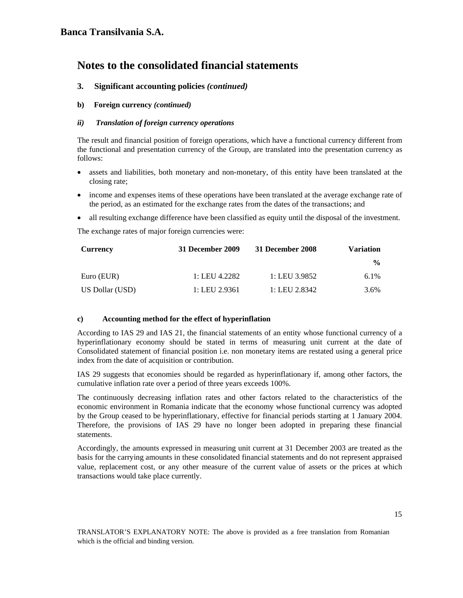## **3. Significant accounting policies** *(continued)*

## **b) Foreign currency** *(continued)*

### *ii) Translation of foreign currency operations*

The result and financial position of foreign operations, which have a functional currency different from the functional and presentation currency of the Group, are translated into the presentation currency as follows:

- assets and liabilities, both monetary and non-monetary, of this entity have been translated at the closing rate;
- income and expenses items of these operations have been translated at the average exchange rate of the period, as an estimated for the exchange rates from the dates of the transactions; and
- all resulting exchange difference have been classified as equity until the disposal of the investment.

The exchange rates of major foreign currencies were:

| Currency        | 31 December 2009 | 31 December 2008 | <b>Variation</b> |
|-----------------|------------------|------------------|------------------|
|                 |                  |                  | $\frac{0}{0}$    |
| Euro (EUR)      | 1: LEU 4.2282    | 1: LEU 3.9852    | $6.1\%$          |
| US Dollar (USD) | 1: LEU 2.9361    | 1: LEU 2.8342    | 3.6%             |

#### **c) Accounting method for the effect of hyperinflation**

According to IAS 29 and IAS 21, the financial statements of an entity whose functional currency of a hyperinflationary economy should be stated in terms of measuring unit current at the date of Consolidated statement of financial position i.e. non monetary items are restated using a general price index from the date of acquisition or contribution.

IAS 29 suggests that economies should be regarded as hyperinflationary if, among other factors, the cumulative inflation rate over a period of three years exceeds 100%.

The continuously decreasing inflation rates and other factors related to the characteristics of the economic environment in Romania indicate that the economy whose functional currency was adopted by the Group ceased to be hyperinflationary, effective for financial periods starting at 1 January 2004. Therefore, the provisions of IAS 29 have no longer been adopted in preparing these financial statements.

Accordingly, the amounts expressed in measuring unit current at 31 December 2003 are treated as the basis for the carrying amounts in these consolidated financial statements and do not represent appraised value, replacement cost, or any other measure of the current value of assets or the prices at which transactions would take place currently.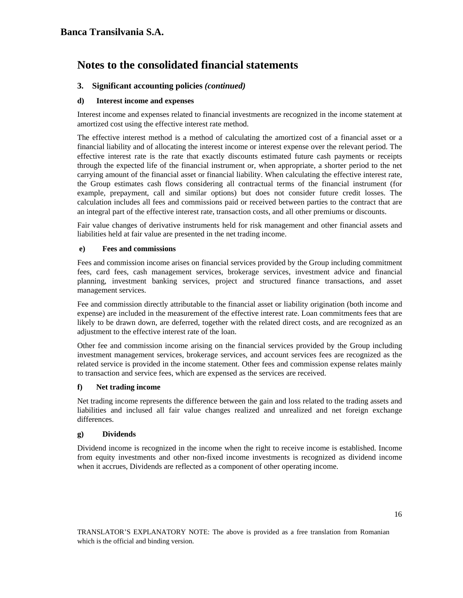## **3. Significant accounting policies** *(continued)*

### **d) Interest income and expenses**

Interest income and expenses related to financial investments are recognized in the income statement at amortized cost using the effective interest rate method.

The effective interest method is a method of calculating the amortized cost of a financial asset or a financial liability and of allocating the interest income or interest expense over the relevant period. The effective interest rate is the rate that exactly discounts estimated future cash payments or receipts through the expected life of the financial instrument or, when appropriate, a shorter period to the net carrying amount of the financial asset or financial liability. When calculating the effective interest rate, the Group estimates cash flows considering all contractual terms of the financial instrument (for example, prepayment, call and similar options) but does not consider future credit losses. The calculation includes all fees and commissions paid or received between parties to the contract that are an integral part of the effective interest rate, transaction costs, and all other premiums or discounts.

Fair value changes of derivative instruments held for risk management and other financial assets and liabilities held at fair value are presented in the net trading income.

#### **e) Fees and commissions**

Fees and commission income arises on financial services provided by the Group including commitment fees, card fees, cash management services, brokerage services, investment advice and financial planning, investment banking services, project and structured finance transactions, and asset management services.

Fee and commission directly attributable to the financial asset or liability origination (both income and expense) are included in the measurement of the effective interest rate. Loan commitments fees that are likely to be drawn down, are deferred, together with the related direct costs, and are recognized as an adjustment to the effective interest rate of the loan.

Other fee and commission income arising on the financial services provided by the Group including investment management services, brokerage services, and account services fees are recognized as the related service is provided in the income statement. Other fees and commission expense relates mainly to transaction and service fees, which are expensed as the services are received.

## **f) Net trading income**

Net trading income represents the difference between the gain and loss related to the trading assets and liabilities and inclused all fair value changes realized and unrealized and net foreign exchange differences.

#### **g) Dividends**

Dividend income is recognized in the income when the right to receive income is established. Income from equity investments and other non-fixed income investments is recognized as dividend income when it accrues, Dividends are reflected as a component of other operating income.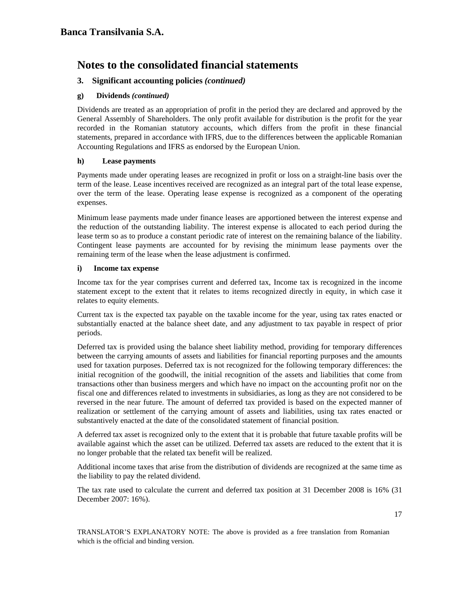## **3. Significant accounting policies** *(continued)*

## **g) Dividends** *(continued)*

Dividends are treated as an appropriation of profit in the period they are declared and approved by the General Assembly of Shareholders. The only profit available for distribution is the profit for the year recorded in the Romanian statutory accounts, which differs from the profit in these financial statements, prepared in accordance with IFRS, due to the differences between the applicable Romanian Accounting Regulations and IFRS as endorsed by the European Union.

## **h) Lease payments**

Payments made under operating leases are recognized in profit or loss on a straight-line basis over the term of the lease. Lease incentives received are recognized as an integral part of the total lease expense, over the term of the lease. Operating lease expense is recognized as a component of the operating expenses.

Minimum lease payments made under finance leases are apportioned between the interest expense and the reduction of the outstanding liability. The interest expense is allocated to each period during the lease term so as to produce a constant periodic rate of interest on the remaining balance of the liability. Contingent lease payments are accounted for by revising the minimum lease payments over the remaining term of the lease when the lease adjustment is confirmed.

### **i) Income tax expense**

Income tax for the year comprises current and deferred tax, Income tax is recognized in the income statement except to the extent that it relates to items recognized directly in equity, in which case it relates to equity elements.

Current tax is the expected tax payable on the taxable income for the year, using tax rates enacted or substantially enacted at the balance sheet date, and any adjustment to tax payable in respect of prior periods.

Deferred tax is provided using the balance sheet liability method, providing for temporary differences between the carrying amounts of assets and liabilities for financial reporting purposes and the amounts used for taxation purposes. Deferred tax is not recognized for the following temporary differences: the initial recognition of the goodwill, the initial recognition of the assets and liabilities that come from transactions other than business mergers and which have no impact on the accounting profit nor on the fiscal one and differences related to investments in subsidiaries, as long as they are not considered to be reversed in the near future. The amount of deferred tax provided is based on the expected manner of realization or settlement of the carrying amount of assets and liabilities, using tax rates enacted or substantively enacted at the date of the consolidated statement of financial position.

A deferred tax asset is recognized only to the extent that it is probable that future taxable profits will be available against which the asset can be utilized. Deferred tax assets are reduced to the extent that it is no longer probable that the related tax benefit will be realized.

Additional income taxes that arise from the distribution of dividends are recognized at the same time as the liability to pay the related dividend.

The tax rate used to calculate the current and deferred tax position at 31 December 2008 is 16% (31 December 2007: 16%).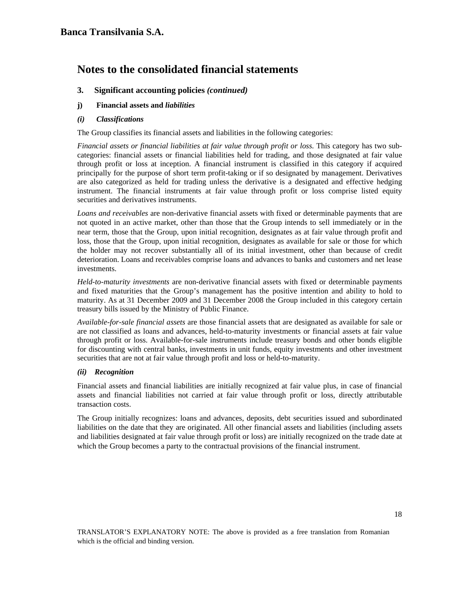## **3. Significant accounting policies** *(continued)*

- **j) Financial assets and** *liabilities*
- *(i) Classifications*

The Group classifies its financial assets and liabilities in the following categories:

*Financial assets or financial liabilities at fair value through profit or loss*. This category has two subcategories: financial assets or financial liabilities held for trading, and those designated at fair value through profit or loss at inception. A financial instrument is classified in this category if acquired principally for the purpose of short term profit-taking or if so designated by management. Derivatives are also categorized as held for trading unless the derivative is a designated and effective hedging instrument. The financial instruments at fair value through profit or loss comprise listed equity securities and derivatives instruments.

*Loans and receivables* are non-derivative financial assets with fixed or determinable payments that are not quoted in an active market, other than those that the Group intends to sell immediately or in the near term, those that the Group, upon initial recognition, designates as at fair value through profit and loss, those that the Group, upon initial recognition, designates as available for sale or those for which the holder may not recover substantially all of its initial investment, other than because of credit deterioration. Loans and receivables comprise loans and advances to banks and customers and net lease investments.

*Held-to-maturity investments* are non-derivative financial assets with fixed or determinable payments and fixed maturities that the Group's management has the positive intention and ability to hold to maturity. As at 31 December 2009 and 31 December 2008 the Group included in this category certain treasury bills issued by the Ministry of Public Finance.

*Available-for-sale financial assets* are those financial assets that are designated as available for sale or are not classified as loans and advances, held-to-maturity investments or financial assets at fair value through profit or loss. Available-for-sale instruments include treasury bonds and other bonds eligible for discounting with central banks, investments in unit funds, equity investments and other investment securities that are not at fair value through profit and loss or held-to-maturity.

## *(ii) Recognition*

Financial assets and financial liabilities are initially recognized at fair value plus, in case of financial assets and financial liabilities not carried at fair value through profit or loss, directly attributable transaction costs.

The Group initially recognizes: loans and advances, deposits, debt securities issued and subordinated liabilities on the date that they are originated. All other financial assets and liabilities (including assets and liabilities designated at fair value through profit or loss) are initially recognized on the trade date at which the Group becomes a party to the contractual provisions of the financial instrument.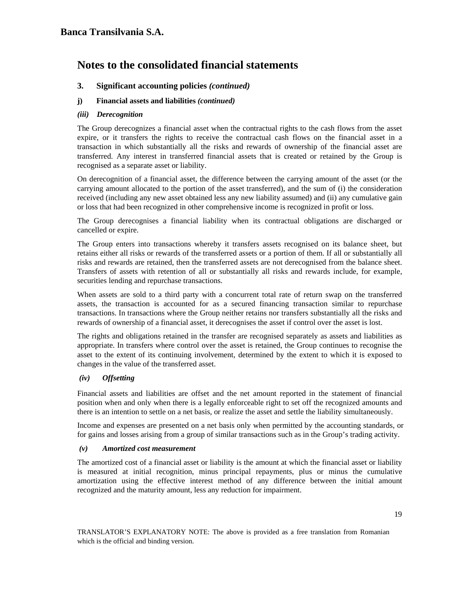## **3. Significant accounting policies** *(continued)*

### **j) Financial assets and liabilities** *(continued)*

### *(iii) Derecognition*

The Group derecognizes a financial asset when the contractual rights to the cash flows from the asset expire, or it transfers the rights to receive the contractual cash flows on the financial asset in a transaction in which substantially all the risks and rewards of ownership of the financial asset are transferred. Any interest in transferred financial assets that is created or retained by the Group is recognised as a separate asset or liability.

On derecognition of a financial asset, the difference between the carrying amount of the asset (or the carrying amount allocated to the portion of the asset transferred), and the sum of (i) the consideration received (including any new asset obtained less any new liability assumed) and (ii) any cumulative gain or loss that had been recognized in other comprehensive income is recognized in profit or loss.

The Group derecognises a financial liability when its contractual obligations are discharged or cancelled or expire.

The Group enters into transactions whereby it transfers assets recognised on its balance sheet, but retains either all risks or rewards of the transferred assets or a portion of them. If all or substantially all risks and rewards are retained, then the transferred assets are not derecognised from the balance sheet. Transfers of assets with retention of all or substantially all risks and rewards include, for example, securities lending and repurchase transactions.

When assets are sold to a third party with a concurrent total rate of return swap on the transferred assets, the transaction is accounted for as a secured financing transaction similar to repurchase transactions. In transactions where the Group neither retains nor transfers substantially all the risks and rewards of ownership of a financial asset, it derecognises the asset if control over the asset is lost.

The rights and obligations retained in the transfer are recognised separately as assets and liabilities as appropriate. In transfers where control over the asset is retained, the Group continues to recognise the asset to the extent of its continuing involvement, determined by the extent to which it is exposed to changes in the value of the transferred asset.

## *(iv) Offsetting*

Financial assets and liabilities are offset and the net amount reported in the statement of financial position when and only when there is a legally enforceable right to set off the recognized amounts and there is an intention to settle on a net basis, or realize the asset and settle the liability simultaneously.

Income and expenses are presented on a net basis only when permitted by the accounting standards, or for gains and losses arising from a group of similar transactions such as in the Group's trading activity.

#### *(v) Amortized cost measurement*

The amortized cost of a financial asset or liability is the amount at which the financial asset or liability is measured at initial recognition, minus principal repayments, plus or minus the cumulative amortization using the effective interest method of any difference between the initial amount recognized and the maturity amount, less any reduction for impairment.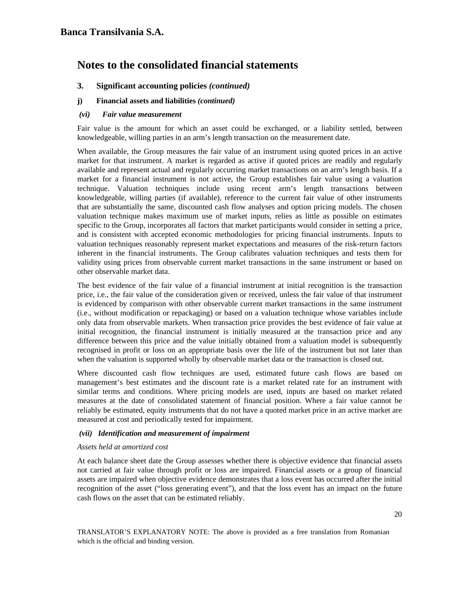## **3. Significant accounting policies** *(continued)*

### **j) Financial assets and liabilities** *(continued)*

#### *(vi) Fair value measurement*

Fair value is the amount for which an asset could be exchanged, or a liability settled, between knowledgeable, willing parties in an arm's length transaction on the measurement date.

When available, the Group measures the fair value of an instrument using quoted prices in an active market for that instrument. A market is regarded as active if quoted prices are readily and regularly available and represent actual and regularly occurring market transactions on an arm's length basis. If a market for a financial instrument is not active, the Group establishes fair value using a valuation technique. Valuation techniques include using recent arm's length transactions between knowledgeable, willing parties (if available), reference to the current fair value of other instruments that are substantially the same, discounted cash flow analyses and option pricing models. The chosen valuation technique makes maximum use of market inputs, relies as little as possible on estimates specific to the Group, incorporates all factors that market participants would consider in setting a price, and is consistent with accepted economic methodologies for pricing financial instruments. Inputs to valuation techniques reasonably represent market expectations and measures of the risk-return factors inherent in the financial instruments. The Group calibrates valuation techniques and tests them for validity using prices from observable current market transactions in the same instrument or based on other observable market data.

The best evidence of the fair value of a financial instrument at initial recognition is the transaction price, i.e., the fair value of the consideration given or received, unless the fair value of that instrument is evidenced by comparison with other observable current market transactions in the same instrument (i.e., without modification or repackaging) or based on a valuation technique whose variables include only data from observable markets. When transaction price provides the best evidence of fair value at initial recognition, the financial instrument is initially measured at the transaction price and any difference between this price and the value initially obtained from a valuation model is subsequently recognised in profit or loss on an appropriate basis over the life of the instrument but not later than when the valuation is supported wholly by observable market data or the transaction is closed out.

Where discounted cash flow techniques are used, estimated future cash flows are based on management's best estimates and the discount rate is a market related rate for an instrument with similar terms and conditions. Where pricing models are used, inputs are based on market related measures at the date of consolidated statement of financial position. Where a fair value cannot be reliably be estimated, equity instruments that do not have a quoted market price in an active market are measured at cost and periodically tested for impairment.

#### *(vii) Identification and measurement of impairment*

#### *Assets held at amortized cost*

At each balance sheet date the Group assesses whether there is objective evidence that financial assets not carried at fair value through profit or loss are impaired. Financial assets or a group of financial assets are impaired when objective evidence demonstrates that a loss event has occurred after the initial recognition of the asset ("loss generating event"), and that the loss event has an impact on the future cash flows on the asset that can be estimated reliably.

20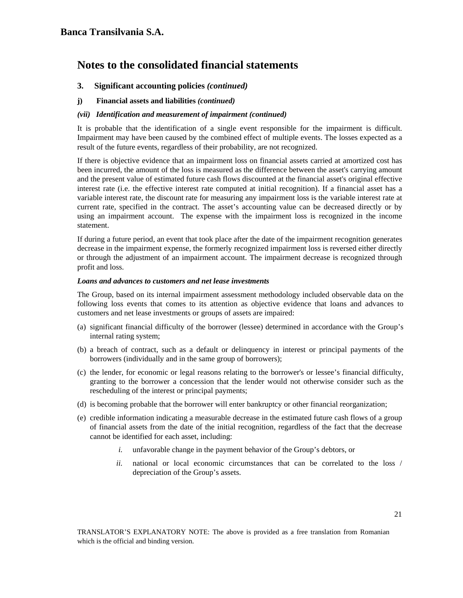## **3. Significant accounting policies** *(continued)*

**j) Financial assets and liabilities** *(continued)* 

### *(vii) Identification and measurement of impairment (continued)*

It is probable that the identification of a single event responsible for the impairment is difficult. Impairment may have been caused by the combined effect of multiple events. The losses expected as a result of the future events, regardless of their probability, are not recognized.

If there is objective evidence that an impairment loss on financial assets carried at amortized cost has been incurred, the amount of the loss is measured as the difference between the asset's carrying amount and the present value of estimated future cash flows discounted at the financial asset's original effective interest rate (i.e. the effective interest rate computed at initial recognition). If a financial asset has a variable interest rate, the discount rate for measuring any impairment loss is the variable interest rate at current rate, specified in the contract. The asset's accounting value can be decreased directly or by using an impairment account. The expense with the impairment loss is recognized in the income statement.

If during a future period, an event that took place after the date of the impairment recognition generates decrease in the impairment expense, the formerly recognized impairment loss is reversed either directly or through the adjustment of an impairment account. The impairment decrease is recognized through profit and loss.

#### *Loans and advances to customers and net lease investments*

The Group, based on its internal impairment assessment methodology included observable data on the following loss events that comes to its attention as objective evidence that loans and advances to customers and net lease investments or groups of assets are impaired:

- (a) significant financial difficulty of the borrower (lessee) determined in accordance with the Group's internal rating system;
- (b) a breach of contract, such as a default or delinquency in interest or principal payments of the borrowers (individually and in the same group of borrowers);
- (c) the lender, for economic or legal reasons relating to the borrower's or lessee's financial difficulty, granting to the borrower a concession that the lender would not otherwise consider such as the rescheduling of the interest or principal payments;
- (d) is becoming probable that the borrower will enter bankruptcy or other financial reorganization;
- (e) credible information indicating a measurable decrease in the estimated future cash flows of a group of financial assets from the date of the initial recognition, regardless of the fact that the decrease cannot be identified for each asset, including:
	- *i.* unfavorable change in the payment behavior of the Group's debtors, or
	- *ii.* national or local economic circumstances that can be correlated to the loss / depreciation of the Group's assets.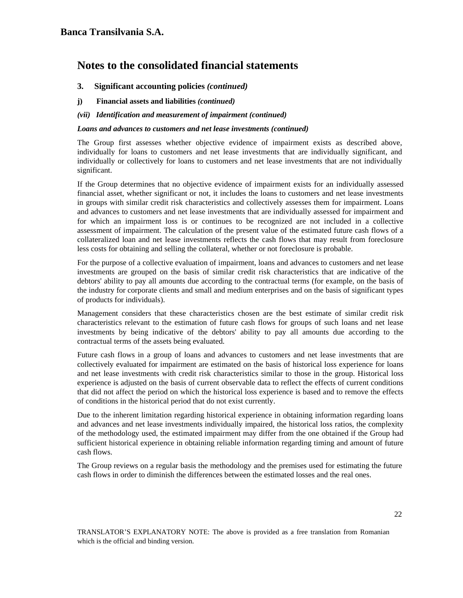## **3. Significant accounting policies** *(continued)*

- **j) Financial assets and liabilities** *(continued)*
- *(vii) Identification and measurement of impairment (continued)*

#### *Loans and advances to customers and net lease investments (continued)*

The Group first assesses whether objective evidence of impairment exists as described above, individually for loans to customers and net lease investments that are individually significant, and individually or collectively for loans to customers and net lease investments that are not individually significant.

If the Group determines that no objective evidence of impairment exists for an individually assessed financial asset, whether significant or not, it includes the loans to customers and net lease investments in groups with similar credit risk characteristics and collectively assesses them for impairment. Loans and advances to customers and net lease investments that are individually assessed for impairment and for which an impairment loss is or continues to be recognized are not included in a collective assessment of impairment. The calculation of the present value of the estimated future cash flows of a collateralized loan and net lease investments reflects the cash flows that may result from foreclosure less costs for obtaining and selling the collateral, whether or not foreclosure is probable.

For the purpose of a collective evaluation of impairment, loans and advances to customers and net lease investments are grouped on the basis of similar credit risk characteristics that are indicative of the debtors' ability to pay all amounts due according to the contractual terms (for example, on the basis of the industry for corporate clients and small and medium enterprises and on the basis of significant types of products for individuals).

Management considers that these characteristics chosen are the best estimate of similar credit risk characteristics relevant to the estimation of future cash flows for groups of such loans and net lease investments by being indicative of the debtors' ability to pay all amounts due according to the contractual terms of the assets being evaluated.

Future cash flows in a group of loans and advances to customers and net lease investments that are collectively evaluated for impairment are estimated on the basis of historical loss experience for loans and net lease investments with credit risk characteristics similar to those in the group. Historical loss experience is adjusted on the basis of current observable data to reflect the effects of current conditions that did not affect the period on which the historical loss experience is based and to remove the effects of conditions in the historical period that do not exist currently.

Due to the inherent limitation regarding historical experience in obtaining information regarding loans and advances and net lease investments individually impaired, the historical loss ratios, the complexity of the methodology used, the estimated impairment may differ from the one obtained if the Group had sufficient historical experience in obtaining reliable information regarding timing and amount of future cash flows.

The Group reviews on a regular basis the methodology and the premises used for estimating the future cash flows in order to diminish the differences between the estimated losses and the real ones.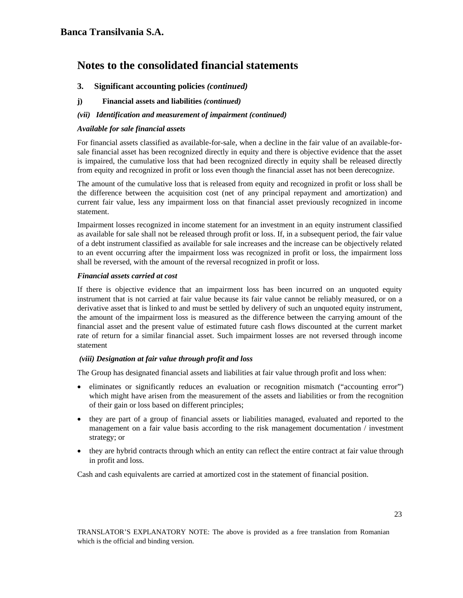## **3.****Significant accounting policies** *(continued)*

**j) Financial assets and liabilities** *(continued)* 

### *(vii) Identification and measurement of impairment (continued)*

### *Available for sale financial assets*

For financial assets classified as available-for-sale, when a decline in the fair value of an available-forsale financial asset has been recognized directly in equity and there is objective evidence that the asset is impaired, the cumulative loss that had been recognized directly in equity shall be released directly from equity and recognized in profit or loss even though the financial asset has not been derecognize.

The amount of the cumulative loss that is released from equity and recognized in profit or loss shall be the difference between the acquisition cost (net of any principal repayment and amortization) and current fair value, less any impairment loss on that financial asset previously recognized in income statement.

Impairment losses recognized in income statement for an investment in an equity instrument classified as available for sale shall not be released through profit or loss. If, in a subsequent period, the fair value of a debt instrument classified as available for sale increases and the increase can be objectively related to an event occurring after the impairment loss was recognized in profit or loss, the impairment loss shall be reversed, with the amount of the reversal recognized in profit or loss.

### *Financial assets carried at cost*

If there is objective evidence that an impairment loss has been incurred on an unquoted equity instrument that is not carried at fair value because its fair value cannot be reliably measured, or on a derivative asset that is linked to and must be settled by delivery of such an unquoted equity instrument, the amount of the impairment loss is measured as the difference between the carrying amount of the financial asset and the present value of estimated future cash flows discounted at the current market rate of return for a similar financial asset. Such impairment losses are not reversed through income statement

## *(viii) Designation at fair value through profit and loss*

The Group has designated financial assets and liabilities at fair value through profit and loss when:

- eliminates or significantly reduces an evaluation or recognition mismatch ("accounting error") which might have arisen from the measurement of the assets and liabilities or from the recognition of their gain or loss based on different principles;
- they are part of a group of financial assets or liabilities managed, evaluated and reported to the management on a fair value basis according to the risk management documentation / investment strategy; or
- they are hybrid contracts through which an entity can reflect the entire contract at fair value through in profit and loss.

Cash and cash equivalents are carried at amortized cost in the statement of financial position.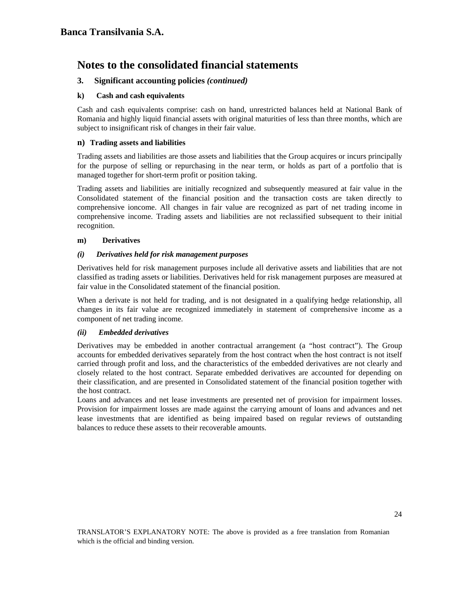## **3. Significant accounting policies** *(continued)*

## **k) Cash and cash equivalents**

Cash and cash equivalents comprise: cash on hand, unrestricted balances held at National Bank of Romania and highly liquid financial assets with original maturities of less than three months, which are subject to insignificant risk of changes in their fair value.

#### **n) Trading assets and liabilities**

Trading assets and liabilities are those assets and liabilities that the Group acquires or incurs principally for the purpose of selling or repurchasing in the near term, or holds as part of a portfolio that is managed together for short-term profit or position taking.

Trading assets and liabilities are initially recognized and subsequently measured at fair value in the Consolidated statement of the financial position and the transaction costs are taken directly to comprehensive ioncome. All changes in fair value are recognized as part of net trading income in comprehensive income. Trading assets and liabilities are not reclassified subsequent to their initial recognition.

### **m) Derivatives**

### *(i) Derivatives held for risk management purposes*

Derivatives held for risk management purposes include all derivative assets and liabilities that are not classified as trading assets or liabilities. Derivatives held for risk management purposes are measured at fair value in the Consolidated statement of the financial position.

When a derivate is not held for trading, and is not designated in a qualifying hedge relationship, all changes in its fair value are recognized immediately in statement of comprehensive income as a component of net trading income.

## *(ii) Embedded derivatives*

Derivatives may be embedded in another contractual arrangement (a "host contract"). The Group accounts for embedded derivatives separately from the host contract when the host contract is not itself carried through profit and loss, and the characteristics of the embedded derivatives are not clearly and closely related to the host contract. Separate embedded derivatives are accounted for depending on their classification, and are presented in Consolidated statement of the financial position together with the host contract.

Loans and advances and net lease investments are presented net of provision for impairment losses. Provision for impairment losses are made against the carrying amount of loans and advances and net lease investments that are identified as being impaired based on regular reviews of outstanding balances to reduce these assets to their recoverable amounts.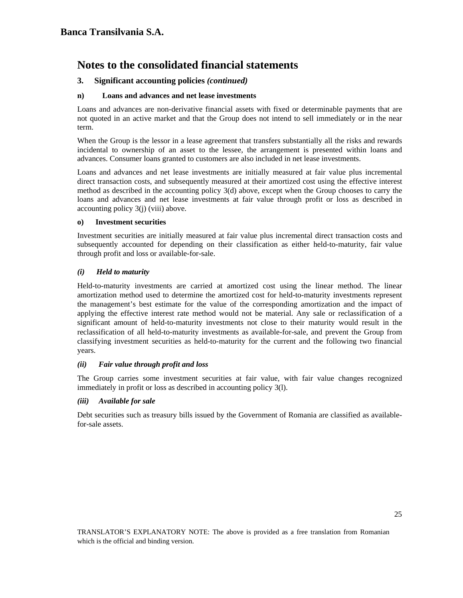## **3. Significant accounting policies** *(continued)*

### **n) Loans and advances and net lease investments**

Loans and advances are non-derivative financial assets with fixed or determinable payments that are not quoted in an active market and that the Group does not intend to sell immediately or in the near term.

When the Group is the lessor in a lease agreement that transfers substantially all the risks and rewards incidental to ownership of an asset to the lessee, the arrangement is presented within loans and advances. Consumer loans granted to customers are also included in net lease investments.

Loans and advances and net lease investments are initially measured at fair value plus incremental direct transaction costs, and subsequently measured at their amortized cost using the effective interest method as described in the accounting policy 3(d) above, except when the Group chooses to carry the loans and advances and net lease investments at fair value through profit or loss as described in accounting policy 3(j) (viii) above.

### **o) Investment securities**

Investment securities are initially measured at fair value plus incremental direct transaction costs and subsequently accounted for depending on their classification as either held-to-maturity, fair value through profit and loss or available-for-sale.

## *(i) Held to maturity*

Held-to-maturity investments are carried at amortized cost using the linear method. The linear amortization method used to determine the amortized cost for held-to-maturity investments represent the management's best estimate for the value of the corresponding amortization and the impact of applying the effective interest rate method would not be material. Any sale or reclassification of a significant amount of held-to-maturity investments not close to their maturity would result in the reclassification of all held-to-maturity investments as available-for-sale, and prevent the Group from classifying investment securities as held-to-maturity for the current and the following two financial years.

#### *(ii) Fair value through profit and loss*

The Group carries some investment securities at fair value, with fair value changes recognized immediately in profit or loss as described in accounting policy 3(l).

#### *(iii) Available for sale*

Debt securities such as treasury bills issued by the Government of Romania are classified as availablefor-sale assets.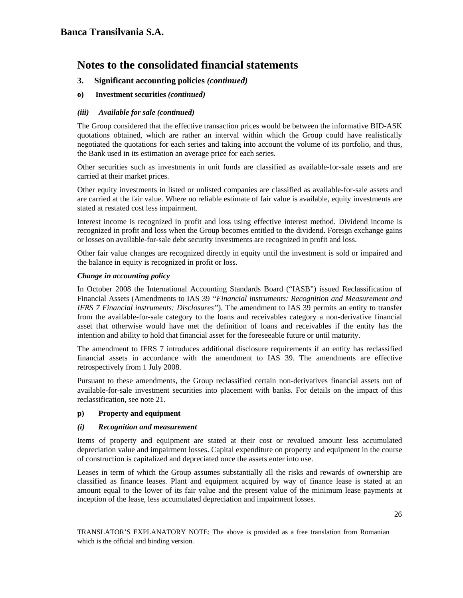- **3. Significant accounting policies** *(continued)*
- **o) Investment securities** *(continued)*

### *(iii) Available for sale (continued)*

The Group considered that the effective transaction prices would be between the informative BID-ASK quotations obtained, which are rather an interval within which the Group could have realistically negotiated the quotations for each series and taking into account the volume of its portfolio, and thus, the Bank used in its estimation an average price for each series.

Other securities such as investments in unit funds are classified as available-for-sale assets and are carried at their market prices.

Other equity investments in listed or unlisted companies are classified as available-for-sale assets and are carried at the fair value. Where no reliable estimate of fair value is available, equity investments are stated at restated cost less impairment.

Interest income is recognized in profit and loss using effective interest method. Dividend income is recognized in profit and loss when the Group becomes entitled to the dividend. Foreign exchange gains or losses on available-for-sale debt security investments are recognized in profit and loss.

Other fair value changes are recognized directly in equity until the investment is sold or impaired and the balance in equity is recognized in profit or loss.

### *Change in accounting policy*

In October 2008 the International Accounting Standards Board ("IASB") issued Reclassification of Financial Assets (Amendments to IAS 39 *"Financial instruments: Recognition and Measurement and IFRS 7 Financial instruments: Disclosures"*). The amendment to IAS 39 permits an entity to transfer from the available-for-sale category to the loans and receivables category a non-derivative financial asset that otherwise would have met the definition of loans and receivables if the entity has the intention and ability to hold that financial asset for the foreseeable future or until maturity.

The amendment to IFRS 7 introduces additional disclosure requirements if an entity has reclassified financial assets in accordance with the amendment to IAS 39. The amendments are effective retrospectively from 1 July 2008.

Pursuant to these amendments, the Group reclassified certain non-derivatives financial assets out of available-for-sale investment securities into placement with banks. For details on the impact of this reclassification, see note 21.

## **p) Property and equipment**

#### *(i) Recognition and measurement*

Items of property and equipment are stated at their cost or revalued amount less accumulated depreciation value and impairment losses. Capital expenditure on property and equipment in the course of construction is capitalized and depreciated once the assets enter into use.

Leases in term of which the Group assumes substantially all the risks and rewards of ownership are classified as finance leases. Plant and equipment acquired by way of finance lease is stated at an amount equal to the lower of its fair value and the present value of the minimum lease payments at inception of the lease, less accumulated depreciation and impairment losses.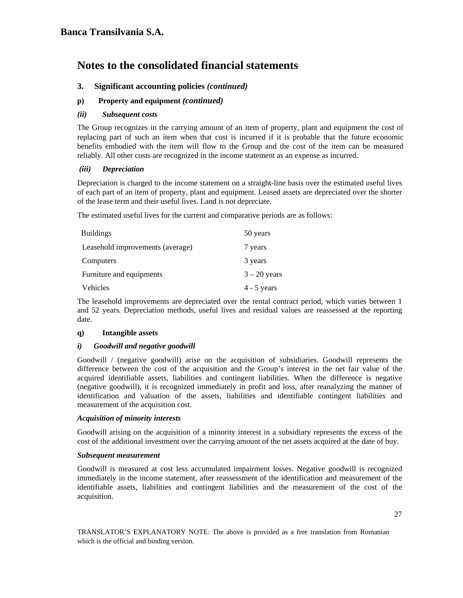## **3. Significant accounting policies** *(continued)*

## **p) Property and equipment** *(continued)*

### *(ii) Subsequent costs*

The Group recognizes in the carrying amount of an item of property, plant and equipment the cost of replacing part of such an item when that cost is incurred if it is probable that the future economic benefits embodied with the item will flow to the Group and the cost of the item can be measured reliably. All other costs are recognized in the income statement as an expense as incurred.

### *(iii) Depreciation*

Depreciation is charged to the income statement on a straight-line basis over the estimated useful lives of each part of an item of property, plant and equipment. Leased assets are depreciated over the shorter of the lease term and their useful lives. Land is not depreciate.

The estimated useful lives for the current and comparative periods are as follows:

| <b>Buildings</b>                 | 50 years       |
|----------------------------------|----------------|
| Leasehold improvements (average) | 7 years        |
| Computers                        | 3 years        |
| Furniture and equipments         | $3 - 20$ years |
| Vehicles                         | $4 - 5$ years  |

The leasehold improvements are depreciated over the rental contract period, which varies between 1 and 52 years. Depreciation methods, useful lives and residual values are reassessed at the reporting date.

## **q) Intangible assets**

#### *i) Goodwill and negative goodwill*

Goodwill / (negative goodwill) arise on the acquisition of subsidiaries. Goodwill represents the difference between the cost of the acquisition and the Group's interest in the net fair value of the acquired identifiable assets, liabilities and contingent liabilities. When the difference is negative (negative goodwill), it is recognized immediately in profit and loss, after reanalyzing the manner of identification and valuation of the assets, liabilities and identifiable contingent liabilities and measurement of the acquisition cost.

#### *Acquisition of minority interests*

Goodwill arising on the acquisition of a minority interest in a subsidiary represents the excess of the cost of the additional investment over the carrying amount of the net assets acquired at the date of buy.

#### *Subsequent measurement*

Goodwill is measured at cost less accumulated impairment losses. Negative goodwill is recognized immediately in the income statement, after reassessment of the identification and measurement of the identifiable assets, liabilities and contingent liabilities and the measurement of the cost of the acquisition.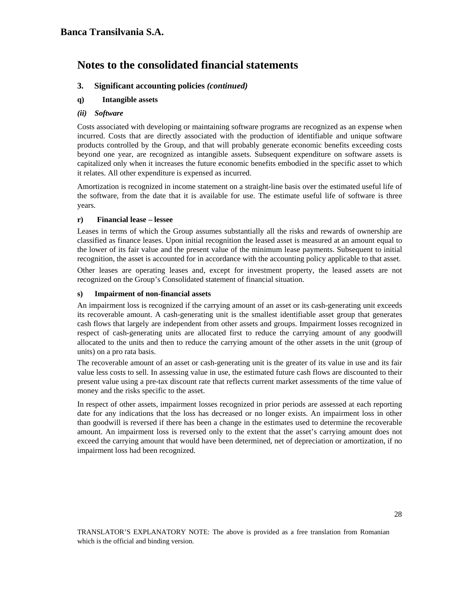## **3. Significant accounting policies** *(continued)*

## **q) Intangible assets**

### *(ii) Software*

Costs associated with developing or maintaining software programs are recognized as an expense when incurred. Costs that are directly associated with the production of identifiable and unique software products controlled by the Group, and that will probably generate economic benefits exceeding costs beyond one year, are recognized as intangible assets. Subsequent expenditure on software assets is capitalized only when it increases the future economic benefits embodied in the specific asset to which it relates. All other expenditure is expensed as incurred.

Amortization is recognized in income statement on a straight-line basis over the estimated useful life of the software, from the date that it is available for use. The estimate useful life of software is three years.

### **r) Financial lease – lessee**

Leases in terms of which the Group assumes substantially all the risks and rewards of ownership are classified as finance leases. Upon initial recognition the leased asset is measured at an amount equal to the lower of its fair value and the present value of the minimum lease payments. Subsequent to initial recognition, the asset is accounted for in accordance with the accounting policy applicable to that asset.

Other leases are operating leases and, except for investment property, the leased assets are not recognized on the Group's Consolidated statement of financial situation.

### **s) Impairment of non-financial assets**

An impairment loss is recognized if the carrying amount of an asset or its cash-generating unit exceeds its recoverable amount. A cash-generating unit is the smallest identifiable asset group that generates cash flows that largely are independent from other assets and groups. Impairment losses recognized in respect of cash-generating units are allocated first to reduce the carrying amount of any goodwill allocated to the units and then to reduce the carrying amount of the other assets in the unit (group of units) on a pro rata basis.

The recoverable amount of an asset or cash-generating unit is the greater of its value in use and its fair value less costs to sell. In assessing value in use, the estimated future cash flows are discounted to their present value using a pre-tax discount rate that reflects current market assessments of the time value of money and the risks specific to the asset.

In respect of other assets, impairment losses recognized in prior periods are assessed at each reporting date for any indications that the loss has decreased or no longer exists. An impairment loss in other than goodwill is reversed if there has been a change in the estimates used to determine the recoverable amount. An impairment loss is reversed only to the extent that the asset's carrying amount does not exceed the carrying amount that would have been determined, net of depreciation or amortization, if no impairment loss had been recognized.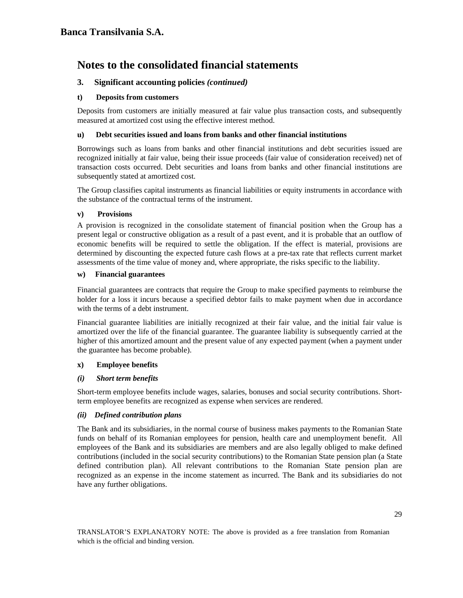## **3. Significant accounting policies** *(continued)*

### **t) Deposits from customers**

Deposits from customers are initially measured at fair value plus transaction costs, and subsequently measured at amortized cost using the effective interest method.

### **u) Debt securities issued and loans from banks and other financial institutions**

Borrowings such as loans from banks and other financial institutions and debt securities issued are recognized initially at fair value, being their issue proceeds (fair value of consideration received) net of transaction costs occurred. Debt securities and loans from banks and other financial institutions are subsequently stated at amortized cost.

The Group classifies capital instruments as financial liabilities or equity instruments in accordance with the substance of the contractual terms of the instrument.

### **v) Provisions**

A provision is recognized in the consolidate statement of financial position when the Group has a present legal or constructive obligation as a result of a past event, and it is probable that an outflow of economic benefits will be required to settle the obligation. If the effect is material, provisions are determined by discounting the expected future cash flows at a pre-tax rate that reflects current market assessments of the time value of money and, where appropriate, the risks specific to the liability.

#### **w) Financial guarantees**

Financial guarantees are contracts that require the Group to make specified payments to reimburse the holder for a loss it incurs because a specified debtor fails to make payment when due in accordance with the terms of a debt instrument.

Financial guarantee liabilities are initially recognized at their fair value, and the initial fair value is amortized over the life of the financial guarantee. The guarantee liability is subsequently carried at the higher of this amortized amount and the present value of any expected payment (when a payment under the guarantee has become probable).

## **x) Employee benefits**

## *(i) Short term benefits*

Short-term employee benefits include wages, salaries, bonuses and social security contributions. Shortterm employee benefits are recognized as expense when services are rendered.

#### *(ii) Defined contribution plans*

The Bank and its subsidiaries, in the normal course of business makes payments to the Romanian State funds on behalf of its Romanian employees for pension, health care and unemployment benefit. All employees of the Bank and its subsidiaries are members and are also legally obliged to make defined contributions (included in the social security contributions) to the Romanian State pension plan (a State defined contribution plan). All relevant contributions to the Romanian State pension plan are recognized as an expense in the income statement as incurred. The Bank and its subsidiaries do not have any further obligations.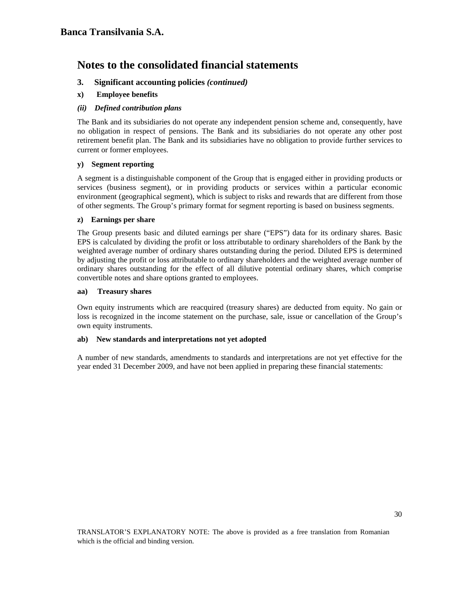## **3. Significant accounting policies** *(continued)*

**x) Employee benefits** 

## *(ii) Defined contribution plans*

The Bank and its subsidiaries do not operate any independent pension scheme and, consequently, have no obligation in respect of pensions. The Bank and its subsidiaries do not operate any other post retirement benefit plan. The Bank and its subsidiaries have no obligation to provide further services to current or former employees.

## **y) Segment reporting**

A segment is a distinguishable component of the Group that is engaged either in providing products or services (business segment), or in providing products or services within a particular economic environment (geographical segment), which is subject to risks and rewards that are different from those of other segments. The Group's primary format for segment reporting is based on business segments.

### **z) Earnings per share**

The Group presents basic and diluted earnings per share ("EPS") data for its ordinary shares. Basic EPS is calculated by dividing the profit or loss attributable to ordinary shareholders of the Bank by the weighted average number of ordinary shares outstanding during the period. Diluted EPS is determined by adjusting the profit or loss attributable to ordinary shareholders and the weighted average number of ordinary shares outstanding for the effect of all dilutive potential ordinary shares, which comprise convertible notes and share options granted to employees.

### **aa) Treasury shares**

Own equity instruments which are reacquired (treasury shares) are deducted from equity. No gain or loss is recognized in the income statement on the purchase, sale, issue or cancellation of the Group's own equity instruments.

#### **ab) New standards and interpretations not yet adopted**

A number of new standards, amendments to standards and interpretations are not yet effective for the year ended 31 December 2009, and have not been applied in preparing these financial statements: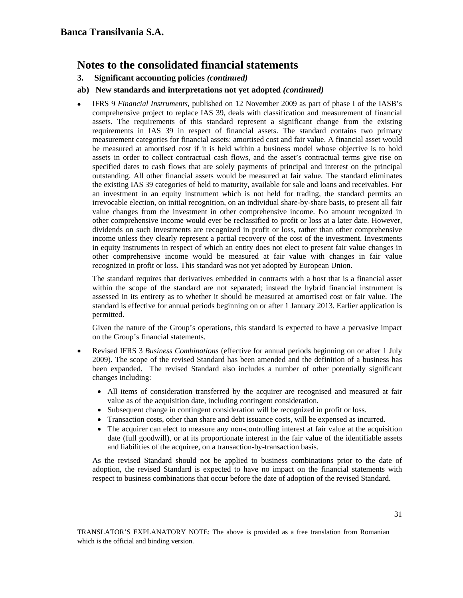**3. Significant accounting policies** *(continued)* 

## **ab) New standards and interpretations not yet adopted** *(continued)*

• IFRS 9 *Financial Instruments*, published on 12 November 2009 as part of phase I of the IASB's comprehensive project to replace IAS 39, deals with classification and measurement of financial assets. The requirements of this standard represent a significant change from the existing requirements in IAS 39 in respect of financial assets. The standard contains two primary measurement categories for financial assets: amortised cost and fair value. A financial asset would be measured at amortised cost if it is held within a business model whose objective is to hold assets in order to collect contractual cash flows, and the asset's contractual terms give rise on specified dates to cash flows that are solely payments of principal and interest on the principal outstanding. All other financial assets would be measured at fair value. The standard eliminates the existing IAS 39 categories of held to maturity, available for sale and loans and receivables. For an investment in an equity instrument which is not held for trading, the standard permits an irrevocable election, on initial recognition, on an individual share-by-share basis, to present all fair value changes from the investment in other comprehensive income. No amount recognized in other comprehensive income would ever be reclassified to profit or loss at a later date. However, dividends on such investments are recognized in profit or loss, rather than other comprehensive income unless they clearly represent a partial recovery of the cost of the investment. Investments in equity instruments in respect of which an entity does not elect to present fair value changes in other comprehensive income would be measured at fair value with changes in fair value recognized in profit or loss. This standard was not yet adopted by European Union.

The standard requires that derivatives embedded in contracts with a host that is a financial asset within the scope of the standard are not separated; instead the hybrid financial instrument is assessed in its entirety as to whether it should be measured at amortised cost or fair value. The standard is effective for annual periods beginning on or after 1 January 2013. Earlier application is permitted.

 Given the nature of the Group's operations, this standard is expected to have a pervasive impact on the Group's financial statements.

- Revised IFRS 3 *Business Combinations* (effective for annual periods beginning on or after 1 July 2009). The scope of the revised Standard has been amended and the definition of a business has been expanded. The revised Standard also includes a number of other potentially significant changes including:
	- All items of consideration transferred by the acquirer are recognised and measured at fair value as of the acquisition date, including contingent consideration.
	- Subsequent change in contingent consideration will be recognized in profit or loss.
	- Transaction costs, other than share and debt issuance costs, will be expensed as incurred.
	- The acquirer can elect to measure any non-controlling interest at fair value at the acquisition date (full goodwill), or at its proportionate interest in the fair value of the identifiable assets and liabilities of the acquiree, on a transaction-by-transaction basis.

As the revised Standard should not be applied to business combinations prior to the date of adoption, the revised Standard is expected to have no impact on the financial statements with respect to business combinations that occur before the date of adoption of the revised Standard.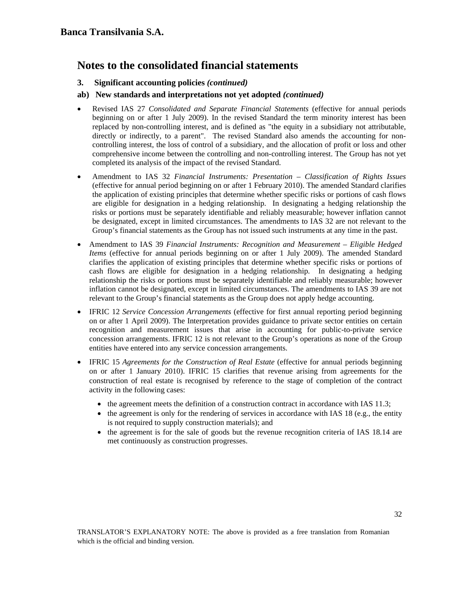## **3. Significant accounting policies** *(continued)*

## **ab) New standards and interpretations not yet adopted** *(continued)*

- Revised IAS 27 *Consolidated and Separate Financial Statements* (effective for annual periods beginning on or after 1 July 2009). In the revised Standard the term minority interest has been replaced by non-controlling interest, and is defined as "the equity in a subsidiary not attributable, directly or indirectly, to a parent". The revised Standard also amends the accounting for noncontrolling interest, the loss of control of a subsidiary, and the allocation of profit or loss and other comprehensive income between the controlling and non-controlling interest. The Group has not yet completed its analysis of the impact of the revised Standard.
- Amendment to IAS 32 *Financial Instruments: Presentation Classification of Rights Issues*  (effective for annual period beginning on or after 1 February 2010). The amended Standard clarifies the application of existing principles that determine whether specific risks or portions of cash flows are eligible for designation in a hedging relationship. In designating a hedging relationship the risks or portions must be separately identifiable and reliably measurable; however inflation cannot be designated, except in limited circumstances. The amendments to IAS 32 are not relevant to the Group's financial statements as the Group has not issued such instruments at any time in the past.
- Amendment to IAS 39 *Financial Instruments: Recognition and Measurement Eligible Hedged Items* (effective for annual periods beginning on or after 1 July 2009). The amended Standard clarifies the application of existing principles that determine whether specific risks or portions of cash flows are eligible for designation in a hedging relationship. In designating a hedging relationship the risks or portions must be separately identifiable and reliably measurable; however inflation cannot be designated, except in limited circumstances. The amendments to IAS 39 are not relevant to the Group's financial statements as the Group does not apply hedge accounting.
- IFRIC 12 *Service Concession Arrangements* (effective for first annual reporting period beginning on or after 1 April 2009). The Interpretation provides guidance to private sector entities on certain recognition and measurement issues that arise in accounting for public-to-private service concession arrangements. IFRIC 12 is not relevant to the Group's operations as none of the Group entities have entered into any service concession arrangements.
- IFRIC 15 *Agreements for the Construction of Real Estate* (effective for annual periods beginning on or after 1 January 2010). IFRIC 15 clarifies that revenue arising from agreements for the construction of real estate is recognised by reference to the stage of completion of the contract activity in the following cases:
	- the agreement meets the definition of a construction contract in accordance with IAS 11.3;
	- the agreement is only for the rendering of services in accordance with IAS 18 (e.g., the entity is not required to supply construction materials); and
	- the agreement is for the sale of goods but the revenue recognition criteria of IAS 18.14 are met continuously as construction progresses.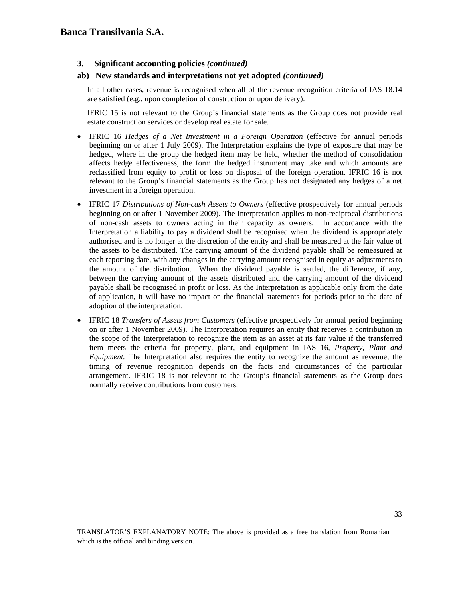## **3. Significant accounting policies** *(continued)*

### **ab) New standards and interpretations not yet adopted** *(continued)*

In all other cases, revenue is recognised when all of the revenue recognition criteria of IAS 18.14 are satisfied (e.g., upon completion of construction or upon delivery).

IFRIC 15 is not relevant to the Group's financial statements as the Group does not provide real estate construction services or develop real estate for sale.

- IFRIC 16 *Hedges of a Net Investment in a Foreign Operation* (effective for annual periods beginning on or after 1 July 2009). The Interpretation explains the type of exposure that may be hedged, where in the group the hedged item may be held, whether the method of consolidation affects hedge effectiveness, the form the hedged instrument may take and which amounts are reclassified from equity to profit or loss on disposal of the foreign operation. IFRIC 16 is not relevant to the Group's financial statements as the Group has not designated any hedges of a net investment in a foreign operation.
- IFRIC 17 *Distributions of Non-cash Assets to Owners* (effective prospectively for annual periods beginning on or after 1 November 2009). The Interpretation applies to non-reciprocal distributions of non-cash assets to owners acting in their capacity as owners. In accordance with the Interpretation a liability to pay a dividend shall be recognised when the dividend is appropriately authorised and is no longer at the discretion of the entity and shall be measured at the fair value of the assets to be distributed. The carrying amount of the dividend payable shall be remeasured at each reporting date, with any changes in the carrying amount recognised in equity as adjustments to the amount of the distribution. When the dividend payable is settled, the difference, if any, between the carrying amount of the assets distributed and the carrying amount of the dividend payable shall be recognised in profit or loss. As the Interpretation is applicable only from the date of application, it will have no impact on the financial statements for periods prior to the date of adoption of the interpretation.
- IFRIC 18 *Transfers of Assets from Customers* (effective prospectively for annual period beginning on or after 1 November 2009). The Interpretation requires an entity that receives a contribution in the scope of the Interpretation to recognize the item as an asset at its fair value if the transferred item meets the criteria for property, plant, and equipment in IAS 16, *Property, Plant and Equipment.* The Interpretation also requires the entity to recognize the amount as revenue; the timing of revenue recognition depends on the facts and circumstances of the particular arrangement. IFRIC 18 is not relevant to the Group's financial statements as the Group does normally receive contributions from customers.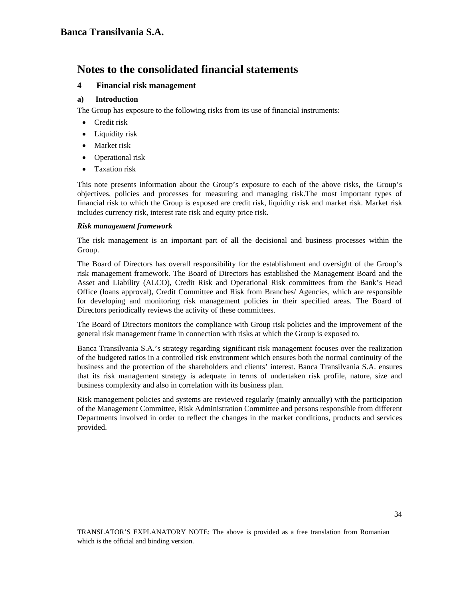## **4 Financial risk management**

## **a) Introduction**

The Group has exposure to the following risks from its use of financial instruments:

- Credit risk
- Liquidity risk
- Market risk
- Operational risk
- Taxation risk

This note presents information about the Group's exposure to each of the above risks, the Group's objectives, policies and processes for measuring and managing risk.The most important types of financial risk to which the Group is exposed are credit risk, liquidity risk and market risk. Market risk includes currency risk, interest rate risk and equity price risk.

### *Risk management framework*

The risk management is an important part of all the decisional and business processes within the Group.

The Board of Directors has overall responsibility for the establishment and oversight of the Group's risk management framework. The Board of Directors has established the Management Board and the Asset and Liability (ALCO), Credit Risk and Operational Risk committees from the Bank's Head Office (loans approval), Credit Committee and Risk from Branches/ Agencies, which are responsible for developing and monitoring risk management policies in their specified areas. The Board of Directors periodically reviews the activity of these committees.

The Board of Directors monitors the compliance with Group risk policies and the improvement of the general risk management frame in connection with risks at which the Group is exposed to.

Banca Transilvania S.A.'s strategy regarding significant risk management focuses over the realization of the budgeted ratios in a controlled risk environment which ensures both the normal continuity of the business and the protection of the shareholders and clients' interest. Banca Transilvania S.A. ensures that its risk management strategy is adequate in terms of undertaken risk profile, nature, size and business complexity and also in correlation with its business plan.

Risk management policies and systems are reviewed regularly (mainly annually) with the participation of the Management Committee, Risk Administration Committee and persons responsible from different Departments involved in order to reflect the changes in the market conditions, products and services provided.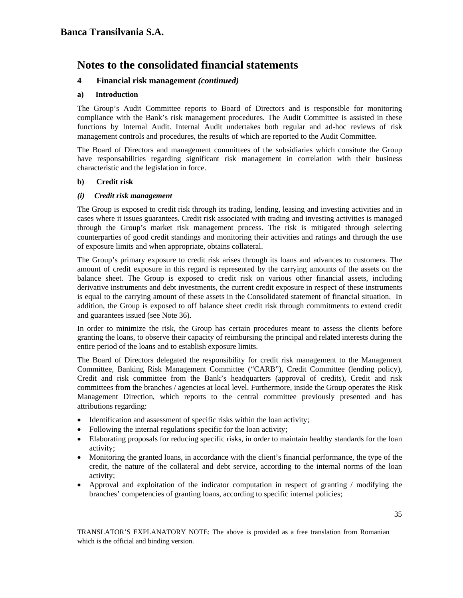## **4 Financial risk management** *(continued)*

### **a) Introduction**

The Group's Audit Committee reports to Board of Directors and is responsible for monitoring compliance with the Bank's risk management procedures. The Audit Committee is assisted in these functions by Internal Audit. Internal Audit undertakes both regular and ad-hoc reviews of risk management controls and procedures, the results of which are reported to the Audit Committee.

The Board of Directors and management committees of the subsidiaries which consitute the Group have responsabilities regarding significant risk management in correlation with their business characteristic and the legislation in force.

### **b) Credit risk**

### *(i) Credit risk management*

The Group is exposed to credit risk through its trading, lending, leasing and investing activities and in cases where it issues guarantees. Credit risk associated with trading and investing activities is managed through the Group's market risk management process. The risk is mitigated through selecting counterparties of good credit standings and monitoring their activities and ratings and through the use of exposure limits and when appropriate, obtains collateral.

The Group's primary exposure to credit risk arises through its loans and advances to customers. The amount of credit exposure in this regard is represented by the carrying amounts of the assets on the balance sheet. The Group is exposed to credit risk on various other financial assets, including derivative instruments and debt investments, the current credit exposure in respect of these instruments is equal to the carrying amount of these assets in the Consolidated statement of financial situation. In addition, the Group is exposed to off balance sheet credit risk through commitments to extend credit and guarantees issued (see Note 36).

In order to minimize the risk, the Group has certain procedures meant to assess the clients before granting the loans, to observe their capacity of reimbursing the principal and related interests during the entire period of the loans and to establish exposure limits.

The Board of Directors delegated the responsibility for credit risk management to the Management Committee, Banking Risk Management Committee ("CARB"), Credit Committee (lending policy), Credit and risk committee from the Bank's headquarters (approval of credits), Credit and risk committees from the branches / agencies at local level. Furthermore, inside the Group operates the Risk Management Direction, which reports to the central committee previously presented and has attributions regarding:

- Identification and assessment of specific risks within the loan activity;
- Following the internal regulations specific for the loan activity;
- Elaborating proposals for reducing specific risks, in order to maintain healthy standards for the loan activity;
- Monitoring the granted loans, in accordance with the client's financial performance, the type of the credit, the nature of the collateral and debt service, according to the internal norms of the loan activity;
- Approval and exploitation of the indicator computation in respect of granting / modifying the branches' competencies of granting loans, according to specific internal policies;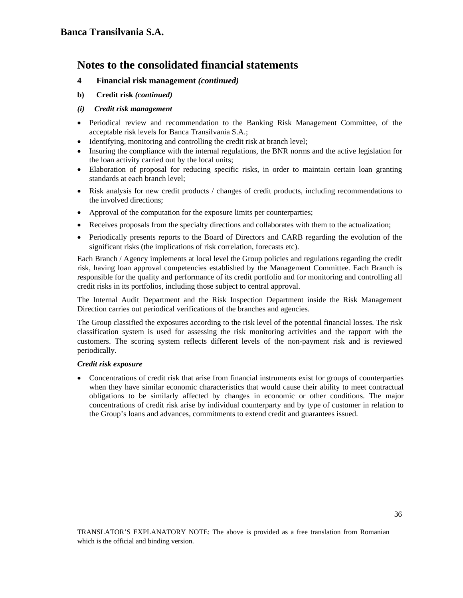- **4 Financial risk management** *(continued)*
- **b) Credit risk** *(continued)*
- *(i) Credit risk management*
- Periodical review and recommendation to the Banking Risk Management Committee, of the acceptable risk levels for Banca Transilvania S.A.;
- Identifying, monitoring and controlling the credit risk at branch level;
- Insuring the compliance with the internal regulations, the BNR norms and the active legislation for the loan activity carried out by the local units;
- Elaboration of proposal for reducing specific risks, in order to maintain certain loan granting standards at each branch level;
- Risk analysis for new credit products / changes of credit products, including recommendations to the involved directions;
- Approval of the computation for the exposure limits per counterparties;
- Receives proposals from the specialty directions and collaborates with them to the actualization;
- Periodically presents reports to the Board of Directors and CARB regarding the evolution of the significant risks (the implications of risk correlation, forecasts etc).

Each Branch / Agency implements at local level the Group policies and regulations regarding the credit risk, having loan approval competencies established by the Management Committee. Each Branch is responsible for the quality and performance of its credit portfolio and for monitoring and controlling all credit risks in its portfolios, including those subject to central approval.

The Internal Audit Department and the Risk Inspection Department inside the Risk Management Direction carries out periodical verifications of the branches and agencies.

The Group classified the exposures according to the risk level of the potential financial losses. The risk classification system is used for assessing the risk monitoring activities and the rapport with the customers. The scoring system reflects different levels of the non-payment risk and is reviewed periodically.

### *Credit risk exposure*

• Concentrations of credit risk that arise from financial instruments exist for groups of counterparties when they have similar economic characteristics that would cause their ability to meet contractual obligations to be similarly affected by changes in economic or other conditions. The major concentrations of credit risk arise by individual counterparty and by type of customer in relation to the Group's loans and advances, commitments to extend credit and guarantees issued.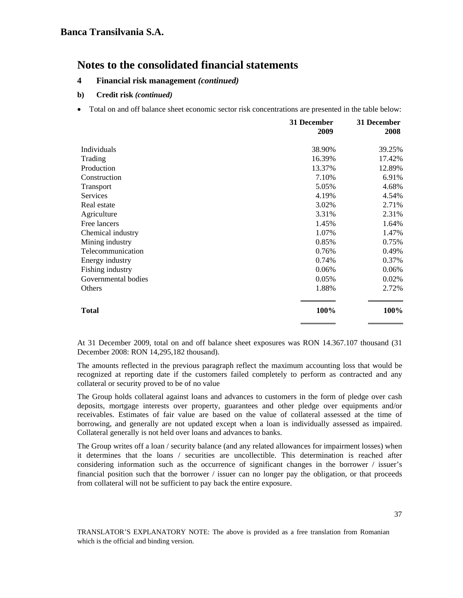### **4 Financial risk management** *(continued)*

### **b) Credit risk** *(continued)*

• Total on and off balance sheet economic sector risk concentrations are presented in the table below:

|                     | 31 December<br>2009 | 31 December<br>2008 |
|---------------------|---------------------|---------------------|
| Individuals         | 38.90%              | 39.25%              |
| Trading             | 16.39%              | 17.42%              |
| Production          | 13.37%              | 12.89%              |
| Construction        | 7.10%               | 6.91%               |
| Transport           | 5.05%               | 4.68%               |
| Services            | 4.19%               | 4.54%               |
| Real estate         | 3.02%               | 2.71%               |
| Agriculture         | 3.31%               | 2.31%               |
| Free lancers        | 1.45%               | 1.64%               |
| Chemical industry   | 1.07%               | 1.47%               |
| Mining industry     | 0.85%               | 0.75%               |
| Telecommunication   | 0.76%               | 0.49%               |
| Energy industry     | 0.74%               | 0.37%               |
| Fishing industry    | 0.06%               | 0.06%               |
| Governmental bodies | 0.05%               | 0.02%               |
| Others              | 1.88%               | 2.72%               |
| <b>Total</b>        | 100%                | 100%                |

At 31 December 2009, total on and off balance sheet exposures was RON 14.367.107 thousand (31 December 2008: RON 14,295,182 thousand).

The amounts reflected in the previous paragraph reflect the maximum accounting loss that would be recognized at reporting date if the customers failed completely to perform as contracted and any collateral or security proved to be of no value

The Group holds collateral against loans and advances to customers in the form of pledge over cash deposits, mortgage interests over property, guarantees and other pledge over equipments and/or receivables. Estimates of fair value are based on the value of collateral assessed at the time of borrowing, and generally are not updated except when a loan is individually assessed as impaired. Collateral generally is not held over loans and advances to banks.

The Group writes off a loan / security balance (and any related allowances for impairment losses) when it determines that the loans / securities are uncollectible. This determination is reached after considering information such as the occurrence of significant changes in the borrower / issuer's financial position such that the borrower / issuer can no longer pay the obligation, or that proceeds from collateral will not be sufficient to pay back the entire exposure.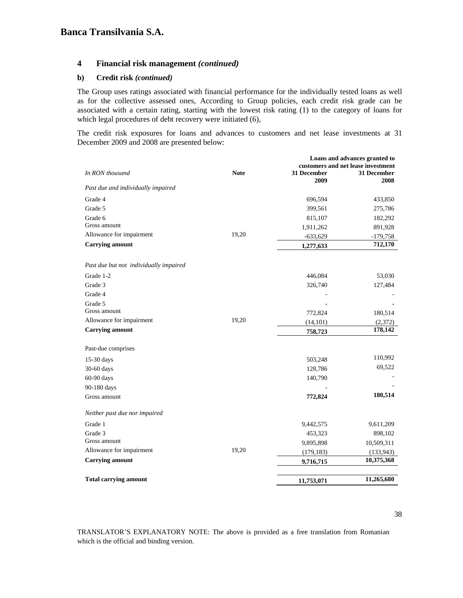### **4 Financial risk management** *(continued)*

#### **b) Credit risk** *(continued)*

The Group uses ratings associated with financial performance for the individually tested loans as well as for the collective assessed ones, According to Group policies, each credit risk grade can be associated with a certain rating, starting with the lowest risk rating (1) to the category of loans for which legal procedures of debt recovery were initiated (6),

The credit risk exposures for loans and advances to customers and net lease investments at 31 December 2009 and 2008 are presented below:

|                                        |             | Loans and advances granted to |                                    |
|----------------------------------------|-------------|-------------------------------|------------------------------------|
|                                        |             |                               | customers and net lease investment |
| In RON thousand                        | <b>Note</b> | 31 December<br>2009           | 31 December<br>2008                |
| Past due and individually impaired     |             |                               |                                    |
| Grade 4                                |             | 696,594                       | 433,850                            |
| Grade 5                                |             | 399,561                       | 275,786                            |
| Grade 6                                |             | 815,107                       | 182,292                            |
| Gross amount                           |             | 1,911,262                     | 891,928                            |
| Allowance for impairment               | 19,20       | $-633,629$                    | $-179,758$                         |
| <b>Carrying amount</b>                 |             | 1,277,633                     | 712,170                            |
| Past due but not individually impaired |             |                               |                                    |
| Grade 1-2                              |             | 446,084                       | 53,030                             |
| Grade 3                                |             | 326,740                       | 127,484                            |
| Grade 4                                |             |                               |                                    |
| Grade 5                                |             |                               |                                    |
| Gross amount                           |             | 772,824                       | 180,514                            |
| Allowance for impairment               | 19,20       | (14, 101)                     | (2,372)                            |
| <b>Carrying amount</b>                 |             | 758,723                       | 178,142                            |
| Past-due comprises                     |             |                               |                                    |
| 15-30 days                             |             | 503,248                       | 110,992                            |
| 30-60 days                             |             | 128,786                       | 69,522                             |
| 60-90 days                             |             | 140,790                       |                                    |
| 90-180 days                            |             |                               |                                    |
| Gross amount                           |             | 772,824                       | 180,514                            |
| Neither past due nor impaired          |             |                               |                                    |
| Grade 1                                |             | 9,442,575                     | 9,611,209                          |
| Grade 3                                |             | 453,323                       | 898,102                            |
| Gross amount                           |             | 9,895,898                     | 10,509,311                         |
| Allowance for impairment               | 19,20       | (179, 183)                    | (133, 943)                         |
| <b>Carrying amount</b>                 |             | 9,716,715                     | 10,375,368                         |
|                                        |             |                               |                                    |
| <b>Total carrying amount</b>           |             | 11,753,071                    | 11,265,680                         |

TRANSLATOR'S EXPLANATORY NOTE: The above is provided as a free translation from Romanian which is the official and binding version.

38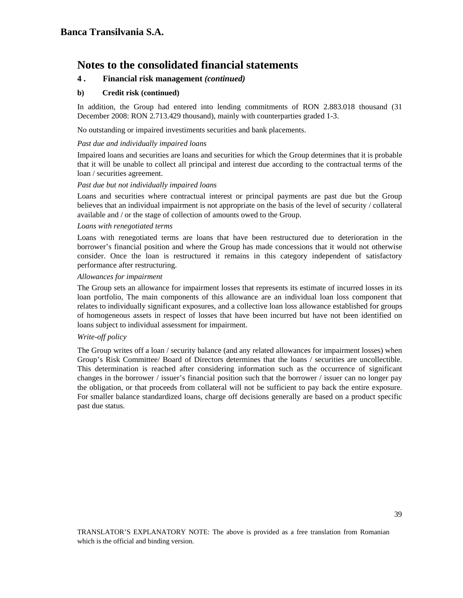## **4 . Financial risk management** *(continued)*

### **b) Credit risk (continued)**

In addition, the Group had entered into lending commitments of RON 2.883.018 thousand (31 December 2008: RON 2.713.429 thousand), mainly with counterparties graded 1-3.

No outstanding or impaired investiments securities and bank placements.

#### *Past due and individually impaired loans*

Impaired loans and securities are loans and securities for which the Group determines that it is probable that it will be unable to collect all principal and interest due according to the contractual terms of the loan / securities agreement.

### *Past due but not individually impaired loans*

Loans and securities where contractual interest or principal payments are past due but the Group believes that an individual impairment is not appropriate on the basis of the level of security / collateral available and / or the stage of collection of amounts owed to the Group.

#### *Loans with renegotiated terms*

Loans with renegotiated terms are loans that have been restructured due to deterioration in the borrower's financial position and where the Group has made concessions that it would not otherwise consider. Once the loan is restructured it remains in this category independent of satisfactory performance after restructuring.

#### *Allowances for impairment*

The Group sets an allowance for impairment losses that represents its estimate of incurred losses in its loan portfolio, The main components of this allowance are an individual loan loss component that relates to individually significant exposures, and a collective loan loss allowance established for groups of homogeneous assets in respect of losses that have been incurred but have not been identified on loans subject to individual assessment for impairment.

#### *Write-off policy*

The Group writes off a loan / security balance (and any related allowances for impairment losses) when Group's Risk Committee/ Board of Directors determines that the loans / securities are uncollectible. This determination is reached after considering information such as the occurrence of significant changes in the borrower / issuer's financial position such that the borrower / issuer can no longer pay the obligation, or that proceeds from collateral will not be sufficient to pay back the entire exposure. For smaller balance standardized loans, charge off decisions generally are based on a product specific past due status.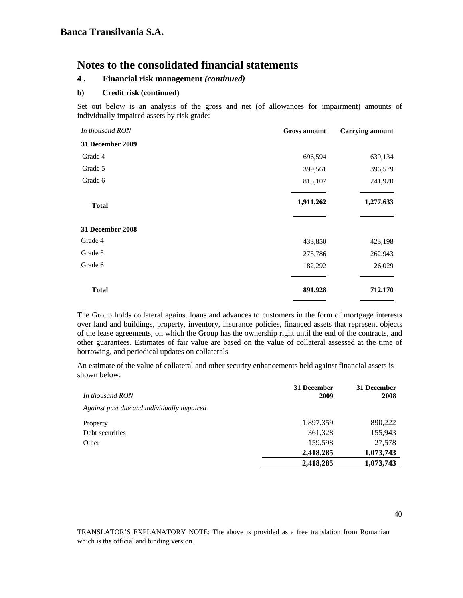## **4 . Financial risk management** *(continued)*

### **b) Credit risk (continued)**

Set out below is an analysis of the gross and net (of allowances for impairment) amounts of individually impaired assets by risk grade:

| <b>Gross amount</b> | <b>Carrying amount</b> |
|---------------------|------------------------|
|                     |                        |
| 696,594             | 639,134                |
| 399,561             | 396,579                |
| 815,107             | 241,920                |
| 1,911,262           | 1,277,633              |
|                     |                        |
| 433,850             | 423,198                |
| 275,786             | 262,943                |
| 182,292             | 26,029                 |
| 891,928             | 712,170                |
|                     |                        |

The Group holds collateral against loans and advances to customers in the form of mortgage interests over land and buildings, property, inventory, insurance policies, financed assets that represent objects of the lease agreements, on which the Group has the ownership right until the end of the contracts, and other guarantees. Estimates of fair value are based on the value of collateral assessed at the time of borrowing, and periodical updates on collaterals

An estimate of the value of collateral and other security enhancements held against financial assets is shown below:

| In thousand RON                            | 31 December<br>2009 | 31 December<br>2008 |
|--------------------------------------------|---------------------|---------------------|
| Against past due and individually impaired |                     |                     |
| Property                                   | 1,897,359           | 890,222             |
| Debt securities                            | 361,328             | 155,943             |
| Other                                      | 159,598             | 27,578              |
|                                            | 2,418,285           | 1,073,743           |
|                                            | 2,418,285           | 1,073,743           |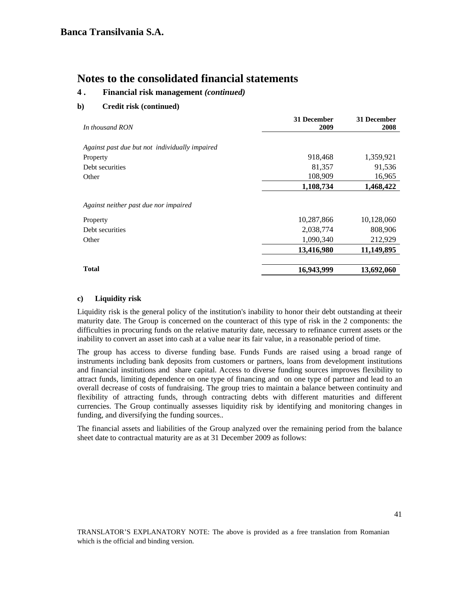## **4 . Financial risk management** *(continued)*

### **b) Credit risk (continued)**

|                                                | 31 December | 31 December |
|------------------------------------------------|-------------|-------------|
| In thousand RON                                | 2009        | 2008        |
| Against past due but not individually impaired |             |             |
| Property                                       | 918,468     | 1,359,921   |
| Debt securities                                | 81,357      | 91,536      |
| Other                                          | 108,909     | 16,965      |
|                                                | 1,108,734   | 1,468,422   |
| Against neither past due nor impaired          |             |             |
| Property                                       | 10,287,866  | 10,128,060  |
| Debt securities                                | 2,038,774   | 808,906     |
| Other                                          | 1,090,340   | 212,929     |
|                                                | 13,416,980  | 11,149,895  |
| <b>Total</b>                                   | 16,943,999  | 13,692,060  |

### **c) Liquidity risk**

Liquidity risk is the general policy of the institution's inability to honor their debt outstanding at theeir maturity date. The Group is concerned on the counteract of this type of risk in the 2 components: the difficulties in procuring funds on the relative maturity date, necessary to refinance current assets or the inability to convert an asset into cash at a value near its fair value, in a reasonable period of time.

The group has access to diverse funding base. Funds Funds are raised using a broad range of instruments including bank deposits from customers or partners, loans from development institutions and financial institutions and share capital. Access to diverse funding sources improves flexibility to attract funds, limiting dependence on one type of financing and on one type of partner and lead to an overall decrease of costs of fundraising. The group tries to maintain a balance between continuity and flexibility of attracting funds, through contracting debts with different maturities and different currencies. The Group continually assesses liquidity risk by identifying and monitoring changes in funding, and diversifying the funding sources..

The financial assets and liabilities of the Group analyzed over the remaining period from the balance sheet date to contractual maturity are as at 31 December 2009 as follows: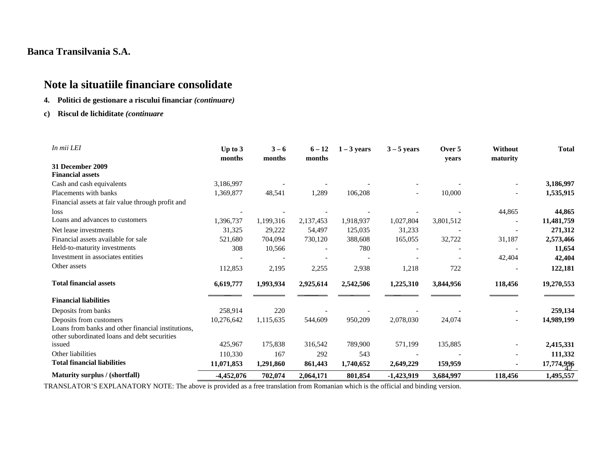# **Note la situatiile financiare consolidate**

- **4. Politici de gestionare a riscului financiar** *(continuare)*
- **c) Riscul de lichiditate** *(continuare*

| In mii LEI                                                                                         | Up to $3$<br>months | $3 - 6$<br>months | $6 - 12$<br>months | $1 - 3$ years | $3 - 5$ years | Over 5<br>vears | Without<br>maturity      | <b>Total</b> |
|----------------------------------------------------------------------------------------------------|---------------------|-------------------|--------------------|---------------|---------------|-----------------|--------------------------|--------------|
| 31 December 2009                                                                                   |                     |                   |                    |               |               |                 |                          |              |
| <b>Financial assets</b>                                                                            |                     |                   |                    |               |               |                 |                          |              |
| Cash and cash equivalents                                                                          | 3,186,997           |                   |                    |               |               |                 |                          | 3,186,997    |
| Placements with banks                                                                              | 1,369,877           | 48,541            | 1,289              | 106,208       |               | 10,000          |                          | 1,535,915    |
| Financial assets at fair value through profit and                                                  |                     |                   |                    |               |               |                 |                          |              |
| loss                                                                                               |                     |                   |                    |               |               |                 | 44,865                   | 44,865       |
| Loans and advances to customers                                                                    | 1,396,737           | 1,199,316         | 2,137,453          | 1,918,937     | 1,027,804     | 3,801,512       |                          | 11,481,759   |
| Net lease investments                                                                              | 31,325              | 29,222            | 54,497             | 125,035       | 31,233        |                 |                          | 271,312      |
| Financial assets available for sale                                                                | 521,680             | 704,094           | 730,120            | 388,608       | 165,055       | 32,722          | 31,187                   | 2,573,466    |
| Held-to-maturity investments                                                                       | 308                 | 10,566            |                    | 780           |               |                 |                          | 11,654       |
| Investment in associates entities                                                                  |                     |                   |                    |               |               |                 | 42,404                   | 42,404       |
| Other assets                                                                                       | 112,853             | 2,195             | 2,255              | 2,938         | 1,218         | 722             |                          | 122,181      |
| <b>Total financial assets</b>                                                                      | 6,619,777           | 1,993,934         | 2,925,614          | 2,542,506     | 1,225,310     | 3,844,956       | 118,456                  | 19,270,553   |
| <b>Financial liabilities</b>                                                                       |                     |                   |                    |               |               |                 |                          |              |
| Deposits from banks                                                                                | 258,914             | 220               |                    |               |               |                 |                          | 259,134      |
| Deposits from customers                                                                            | 10,276,642          | 1,115,635         | 544,609            | 950,209       | 2,078,030     | 24,074          | $\overline{\phantom{a}}$ | 14,989,199   |
| Loans from banks and other financial institutions,<br>other subordinated loans and debt securities |                     |                   |                    |               |               |                 |                          |              |
| issued                                                                                             | 425,967             | 175,838           | 316,542            | 789,900       | 571,199       | 135,885         |                          | 2,415,331    |
| Other liabilities                                                                                  | 110,330             | 167               | 292                | 543           |               |                 |                          | 111,332      |
| <b>Total financial liabilities</b>                                                                 | 11,071,853          | 1,291,860         | 861,443            | 1,740,652     | 2,649,229     | 159,959         |                          | 17,774,996   |
| Maturity surplus / (shortfall)                                                                     | $-4,452,076$        | 702.074           | 2,064,171          | 801,854       | $-1,423,919$  | 3,684,997       | 118,456                  | 1,495,557    |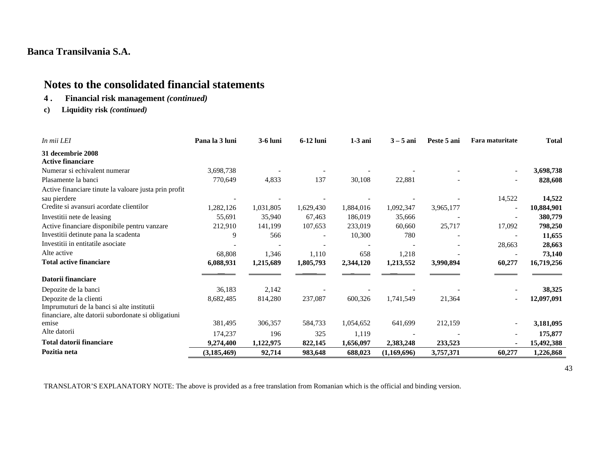# **Notes to the consolidated financial statements**

- **4 . Financial risk management** *(continued)*
- **c) Liquidity risk** *(continued)*

| In mii LEI                                            | Pana la 3 luni | <b>3-6 luni</b> | 6-12 luni | $1-3$ ani | $3 - 5$ ani | Peste 5 ani | Fara maturitate | Total      |
|-------------------------------------------------------|----------------|-----------------|-----------|-----------|-------------|-------------|-----------------|------------|
| 31 decembrie 2008<br><b>Active financiare</b>         |                |                 |           |           |             |             |                 |            |
| Numerar si echivalent numerar                         | 3,698,738      |                 |           |           |             |             |                 | 3,698,738  |
| Plasamente la banci                                   | 770,649        | 4,833           | 137       | 30,108    | 22,881      |             |                 | 828,608    |
| Active financiare tinute la valoare justa prin profit |                |                 |           |           |             |             |                 |            |
| sau pierdere                                          |                |                 |           |           |             |             | 14,522          | 14,522     |
| Credite si avansuri acordate clientilor               | 1,282,126      | 1,031,805       | 1,629,430 | 1,884,016 | 1,092,347   | 3,965,177   |                 | 10,884,901 |
| Investitii nete de leasing                            | 55,691         | 35,940          | 67,463    | 186,019   | 35,666      |             |                 | 380,779    |
| Active financiare disponibile pentru vanzare          | 212,910        | 141,199         | 107,653   | 233,019   | 60,660      | 25,717      | 17,092          | 798,250    |
| Investitii detinute pana la scadenta                  | 9              | 566             |           | 10,300    | 780         |             |                 | 11,655     |
| Investitii in entitatile asociate                     |                |                 |           |           |             |             | 28,663          | 28,663     |
| Alte active                                           | 68,808         | 1,346           | 1,110     | 658       | 1,218       |             |                 | 73,140     |
| <b>Total active financiare</b>                        | 6,088,931      | 1,215,689       | 1,805,793 | 2,344,120 | 1,213,552   | 3,990,894   | 60,277          | 16,719,256 |
| Datorii financiare                                    |                |                 |           |           |             |             |                 |            |
| Depozite de la banci                                  | 36,183         | 2,142           |           |           |             |             |                 | 38,325     |
| Depozite de la clienti                                | 8,682,485      | 814,280         | 237,087   | 600,326   | 1,741,549   | 21,364      |                 | 12,097,091 |
| Imprumuturi de la banci si alte institutii            |                |                 |           |           |             |             |                 |            |
| financiare, alte datorii subordonate si obligatiuni   |                |                 |           |           |             |             |                 |            |
| emise                                                 | 381,495        | 306,357         | 584,733   | 1,054,652 | 641,699     | 212,159     |                 | 3,181,095  |
| Alte datorii                                          | 174,237        | 196             | 325       | 1,119     |             |             |                 | 175,877    |
| Total datorii financiare                              | 9,274,400      | 1,122,975       | 822,145   | 1,656,097 | 2,383,248   | 233,523     |                 | 15,492,388 |
| Pozitia neta                                          | (3, 185, 469)  | 92,714          | 983,648   | 688,023   | (1,169,696) | 3,757,371   | 60,277          | 1,226,868  |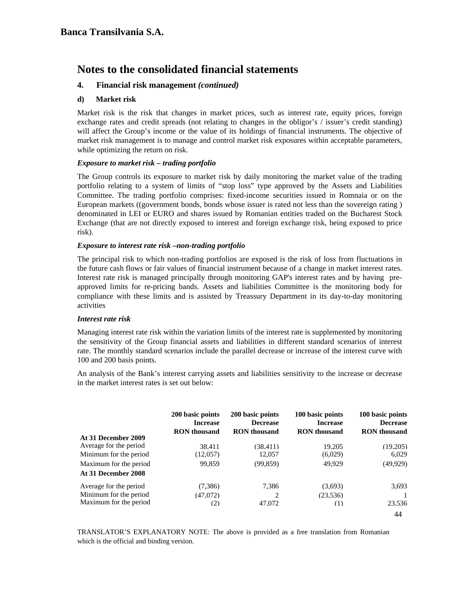## **4. Financial risk management** *(continued)*

### **d) Market risk**

Market risk is the risk that changes in market prices, such as interest rate, equity prices, foreign exchange rates and credit spreads (not relating to changes in the obligor's / issuer's credit standing) will affect the Group's income or the value of its holdings of financial instruments. The objective of market risk management is to manage and control market risk exposures within acceptable parameters, while optimizing the return on risk.

### *Exposure to market risk – trading portfolio*

The Group controls its exposure to market risk by daily monitoring the market value of the trading portfolio relating to a system of limits of "stop loss" type approved by the Assets and Liabilities Committee. The trading portfolio comprises: fixed-income securities issued in Romnaia or on the European markets ((government bonds, bonds whose issuer is rated not less than the sovereign rating ) denominated in LEI or EURO and shares issued by Romanian entities traded on the Bucharest Stock Exchange (that are not directly exposed to interest and foreign exchange risk, being exposed to price risk).

### *Exposure to interest rate risk –non-trading portfolio*

The principal risk to which non-trading portfolios are exposed is the risk of loss from fluctuations in the future cash flows or fair values of financial instrument because of a change in market interest rates. Interest rate risk is managed principally through monitoring GAP's interest rates and by having preapproved limits for re-pricing bands. Assets and liabilities Committee is the monitoring body for compliance with these limits and is assisted by Treassury Department in its day-to-day monitoring activities

#### *Interest rate risk*

Managing interest rate risk within the variation limits of the interest rate is supplemented by monitoring the sensitivity of the Group financial assets and liabilities in different standard scenarios of interest rate. The monthly standard scenarios include the parallel decrease or increase of the interest curve with 100 and 200 basis points.

An analysis of the Bank's interest carrying assets and liabilities sensitivity to the increase or decrease in the market interest rates is set out below:

|                        | 200 basic points<br><b>Increase</b><br><b>RON</b> thousand | 200 basic points<br><b>Decrease</b><br><b>RON</b> thousand | 100 basic points<br><b>Increase</b><br><b>RON</b> thousand | 100 basic points<br><b>Decrease</b><br><b>RON</b> thousand |
|------------------------|------------------------------------------------------------|------------------------------------------------------------|------------------------------------------------------------|------------------------------------------------------------|
| At 31 December 2009    |                                                            |                                                            |                                                            |                                                            |
| Average for the period | 38.411                                                     | (38.411)                                                   | 19.205                                                     | (19.205)                                                   |
| Minimum for the period | (12,057)                                                   | 12,057                                                     | (6,029)                                                    | 6,029                                                      |
| Maximum for the period | 99,859                                                     | (99, 859)                                                  | 49,929                                                     | (49, 929)                                                  |
| At 31 December 2008    |                                                            |                                                            |                                                            |                                                            |
| Average for the period | (7,386)                                                    | 7,386                                                      | (3,693)                                                    | 3,693                                                      |
| Minimum for the period | (47.072)                                                   | $\mathfrak{D}$                                             | (23.536)                                                   |                                                            |
| Maximum for the period | (2)                                                        | 47.072                                                     | (1)                                                        | 23.536                                                     |
|                        |                                                            |                                                            |                                                            | 44                                                         |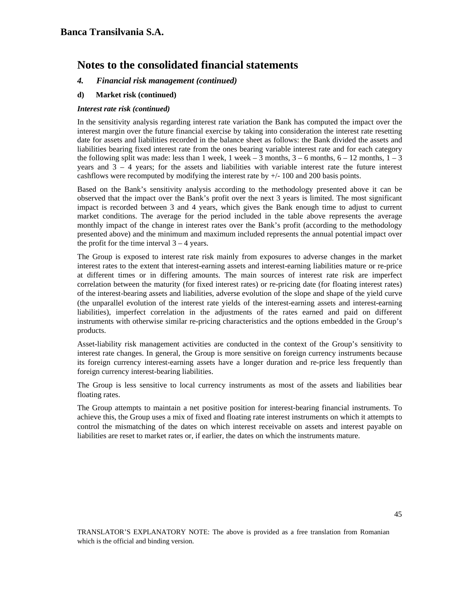- *4. Financial risk management (continued)*
- **d) Market risk (continued)**

### *Interest rate risk (continued)*

In the sensitivity analysis regarding interest rate variation the Bank has computed the impact over the interest margin over the future financial exercise by taking into consideration the interest rate resetting date for assets and liabilities recorded in the balance sheet as follows: the Bank divided the assets and liabilities bearing fixed interest rate from the ones bearing variable interest rate and for each category the following split was made: less than 1 week, 1 week – 3 months,  $3 - 6$  months,  $6 - 12$  months,  $1 - 3$ years and  $3 - 4$  years; for the assets and liabilities with variable interest rate the future interest cashflows were recomputed by modifying the interest rate by +/- 100 and 200 basis points.

Based on the Bank's sensitivity analysis according to the methodology presented above it can be observed that the impact over the Bank's profit over the next 3 years is limited. The most significant impact is recorded between 3 and 4 years, which gives the Bank enough time to adjust to current market conditions. The average for the period included in the table above represents the average monthly impact of the change in interest rates over the Bank's profit (according to the methodology presented above) and the minimum and maximum included represents the annual potential impact over the profit for the time interval  $3 - 4$  years.

The Group is exposed to interest rate risk mainly from exposures to adverse changes in the market interest rates to the extent that interest-earning assets and interest-earning liabilities mature or re-price at different times or in differing amounts. The main sources of interest rate risk are imperfect correlation between the maturity (for fixed interest rates) or re-pricing date (for floating interest rates) of the interest-bearing assets and liabilities, adverse evolution of the slope and shape of the yield curve (the unparallel evolution of the interest rate yields of the interest-earning assets and interest-earning liabilities), imperfect correlation in the adjustments of the rates earned and paid on different instruments with otherwise similar re-pricing characteristics and the options embedded in the Group's products.

Asset-liability risk management activities are conducted in the context of the Group's sensitivity to interest rate changes. In general, the Group is more sensitive on foreign currency instruments because its foreign currency interest-earning assets have a longer duration and re-price less frequently than foreign currency interest-bearing liabilities.

The Group is less sensitive to local currency instruments as most of the assets and liabilities bear floating rates.

The Group attempts to maintain a net positive position for interest-bearing financial instruments. To achieve this, the Group uses a mix of fixed and floating rate interest instruments on which it attempts to control the mismatching of the dates on which interest receivable on assets and interest payable on liabilities are reset to market rates or, if earlier, the dates on which the instruments mature.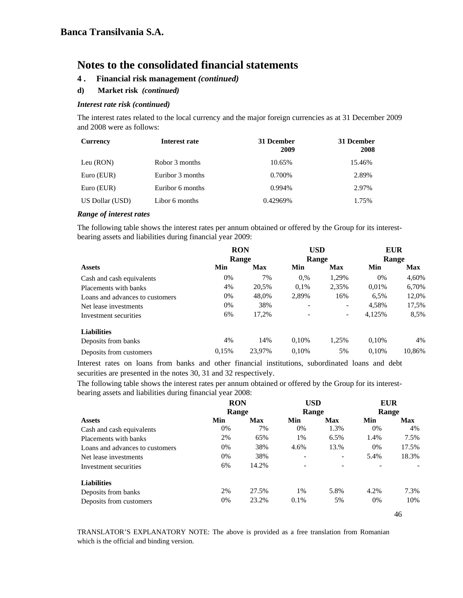- **4 . Financial risk management** *(continued)*
- **d) Market risk** *(continued)*

### *Interest rate risk (continued)*

The interest rates related to the local currency and the major foreign currencies as at 31 December 2009 and 2008 were as follows:

| <b>Currency</b> | Interest rate    | 31 Dcember<br>2009 | 31 Dcember<br>2008 |
|-----------------|------------------|--------------------|--------------------|
| Leu (RON)       | Robor 3 months   | 10.65%             | 15.46%             |
| Euro (EUR)      | Euribor 3 months | 0.700\%            | 2.89%              |
| Euro (EUR)      | Euribor 6 months | 0.994%             | 2.97%              |
| US Dollar (USD) | Libor 6 months   | 0.42969%           | 1.75%              |

#### *Range of interest rates*

The following table shows the interest rates per annum obtained or offered by the Group for its interestbearing assets and liabilities during financial year 2009:

|                                 | <b>RON</b> |            | USD                          |                          | <b>EUR</b> |        |
|---------------------------------|------------|------------|------------------------------|--------------------------|------------|--------|
|                                 |            | Range      |                              | <b>Range</b>             | Range      |        |
| <b>Assets</b>                   | Min        | <b>Max</b> | Min                          | Max                      | Min        | Max    |
| Cash and cash equivalents       | 0%         | 7%         | 0,%                          | 1,29%                    | 0%         | 4,60%  |
| Placements with banks           | 4%         | 20,5%      | 0.1%                         | 2,35%                    | 0.01%      | 6,70%  |
| Loans and advances to customers | 0%         | 48,0%      | 2,89%                        | 16%                      | 6.5%       | 12,0%  |
| Net lease investments           | 0%         | 38%        | $\qquad \qquad \blacksquare$ | $\overline{\phantom{a}}$ | 4,58%      | 17,5%  |
| Investment securities           | 6%         | 17,2%      |                              | $\overline{\phantom{a}}$ | 4,125%     | 8,5%   |
| <b>Liabilities</b>              |            |            |                              |                          |            |        |
| Deposits from banks             | 4%         | 14%        | 0,10%                        | 1,25%                    | 0,10%      | 4%     |
| Deposits from customers         | 0.15%      | 23.97%     | 0.10%                        | 5%                       | 0.10%      | 10.86% |

Interest rates on loans from banks and other financial institutions, subordinated loans and debt securities are presented in the notes 30, 31 and 32 respectively.

The following table shows the interest rates per annum obtained or offered by the Group for its interestbearing assets and liabilities during financial year 2008:

|                                 | <b>RON</b> |       | <b>USD</b>               |                          | <b>EUR</b> |       |
|---------------------------------|------------|-------|--------------------------|--------------------------|------------|-------|
|                                 |            | Range |                          | Range                    | Range      |       |
| <b>Assets</b>                   | Min        | Max   | Min                      | Max                      | Min        | Max   |
| Cash and cash equivalents       | 0%         | 7%    | 0%                       | 1.3%                     | 0%         | 4%    |
| Placements with banks           | 2%         | 65%   | 1%                       | 6.5%                     | 1.4%       | 7.5%  |
| Loans and advances to customers | 0%         | 38%   | 4.6%                     | 13.%                     | $0\%$      | 17.5% |
| Net lease investments           | 0%         | 38%   | $\overline{\phantom{a}}$ | $\overline{\phantom{a}}$ | 5.4%       | 18.3% |
| Investment securities           | 6%         | 14.2% |                          | $\overline{\phantom{a}}$ |            |       |
| <b>Liabilities</b>              |            |       |                          |                          |            |       |
| Deposits from banks             | 2%         | 27.5% | $1\%$                    | 5.8%                     | 4.2%       | 7.3%  |
| Deposits from customers         | 0%         | 23.2% | 0.1%                     | 5%                       | 0%         | 10%   |

46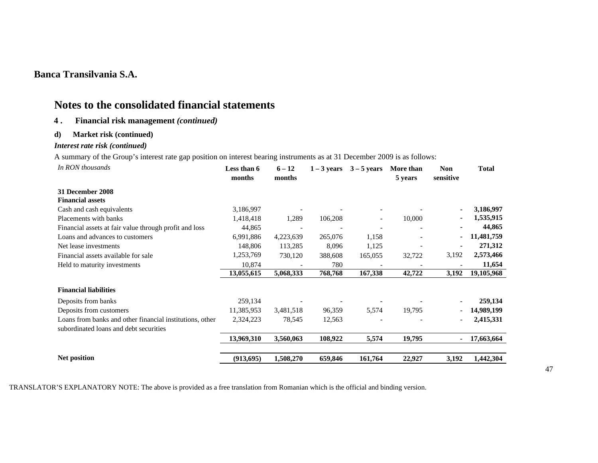# **Notes to the consolidated financial statements**

### **4 . Financial risk management** *(continued)*

### **d) Market risk (continued)**

### *Interest rate risk (continued)*

A summary of the Group's interest rate gap position on interest bearing instruments as at 31 December 2009 is as follows:

| In RON thousands                                         | Less than 6<br>months | $6 - 12$<br>months | $1 - 3$ years | $3 - 5$ years            | More than<br>5 years | <b>Non</b><br>sensitive  | <b>Total</b> |
|----------------------------------------------------------|-----------------------|--------------------|---------------|--------------------------|----------------------|--------------------------|--------------|
| 31 December 2008                                         |                       |                    |               |                          |                      |                          |              |
| <b>Financial assets</b>                                  |                       |                    |               |                          |                      |                          |              |
| Cash and cash equivalents                                | 3,186,997             |                    |               |                          |                      |                          | 3,186,997    |
| Placements with banks                                    | 1,418,418             | 1,289              | 106,208       | $\overline{\phantom{a}}$ | 10,000               |                          | 1,535,915    |
| Financial assets at fair value through profit and loss   | 44,865                |                    |               |                          |                      |                          | 44,865       |
| Loans and advances to customers                          | 6,991,886             | 4,223,639          | 265,076       | 1,158                    |                      | $\blacksquare$           | 11,481,759   |
| Net lease investments                                    | 148,806               | 113,285            | 8,096         | 1,125                    |                      | $\blacksquare$           | 271,312      |
| Financial assets available for sale                      | 1,253,769             | 730,120            | 388,608       | 165,055                  | 32,722               | 3,192                    | 2,573,466    |
| Held to maturity investments                             | 10,874                |                    | 780           |                          |                      |                          | 11,654       |
|                                                          | 13,055,615            | 5,068,333          | 768,768       | 167,338                  | 42,722               | 3,192                    | 19,105,968   |
| <b>Financial liabilities</b>                             |                       |                    |               |                          |                      |                          |              |
| Deposits from banks                                      | 259,134               |                    |               |                          |                      | $\overline{\phantom{0}}$ | 259,134      |
| Deposits from customers                                  | 11,385,953            | 3,481,518          | 96,359        | 5,574                    | 19,795               | $\overline{\phantom{0}}$ | 14,989,199   |
| Loans from banks and other financial institutions, other | 2,324,223             | 78,545             | 12,563        |                          |                      | $\overline{\phantom{a}}$ | 2,415,331    |
| subordinated loans and debt securities                   |                       |                    |               |                          |                      |                          |              |
|                                                          | 13,969,310            | 3,560,063          | 108,922       | 5,574                    | 19,795               | $\blacksquare$           | 17,663,664   |
| <b>Net position</b>                                      | (913, 695)            | 1,508,270          | 659,846       | 161,764                  | 22,927               | 3,192                    | 1,442,304    |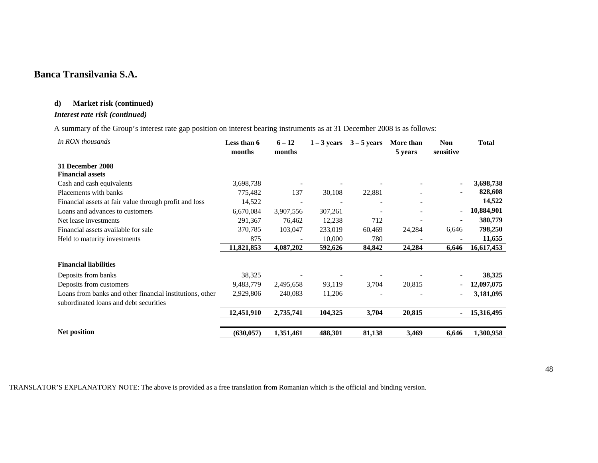### **d) Market risk (continued)**

## *Interest rate risk (continued)*

A summary of the Group's interest rate gap position on interest bearing instruments as at 31 December 2008 is as follows:

| In RON thousands                                         | Less than 6<br>months | $6 - 12$<br>months | $1 - 3$ years | $3 - 5$ years | More than<br>5 years     | <b>Non</b><br>sensitive  | <b>Total</b> |
|----------------------------------------------------------|-----------------------|--------------------|---------------|---------------|--------------------------|--------------------------|--------------|
| 31 December 2008                                         |                       |                    |               |               |                          |                          |              |
| <b>Financial assets</b>                                  |                       |                    |               |               |                          |                          |              |
| Cash and cash equivalents                                | 3,698,738             |                    |               |               |                          |                          | 3,698,738    |
| Placements with banks                                    | 775,482               | 137                | 30,108        | 22,881        |                          |                          | 828,608      |
| Financial assets at fair value through profit and loss   | 14,522                |                    |               |               | $\overline{\phantom{a}}$ |                          | 14,522       |
| Loans and advances to customers                          | 6,670,084             | 3,907,556          | 307,261       |               |                          | ۰.                       | 10,884,901   |
| Net lease investments                                    | 291,367               | 76,462             | 12,238        | 712           |                          |                          | 380,779      |
| Financial assets available for sale                      | 370,785               | 103,047            | 233,019       | 60,469        | 24,284                   | 6,646                    | 798,250      |
| Held to maturity investments                             | 875                   |                    | 10,000        | 780           |                          |                          | 11,655       |
|                                                          | 11,821,853            | 4,087,202          | 592,626       | 84,842        | 24,284                   | 6,646                    | 16,617,453   |
| <b>Financial liabilities</b>                             |                       |                    |               |               |                          |                          |              |
| Deposits from banks                                      | 38,325                |                    |               |               |                          |                          | 38,325       |
| Deposits from customers                                  | 9,483,779             | 2,495,658          | 93,119        | 3,704         | 20,815                   | $\overline{\phantom{a}}$ | 12,097,075   |
| Loans from banks and other financial institutions, other | 2,929,806             | 240,083            | 11,206        |               |                          |                          | 3,181,095    |
| subordinated loans and debt securities                   |                       |                    |               |               |                          |                          |              |
|                                                          | 12,451,910            | 2,735,741          | 104,325       | 3,704         | 20,815                   |                          | 15,316,495   |
| Net position                                             | (630, 057)            | 1,351,461          | 488,301       | 81,138        | 3,469                    | 6,646                    | 1,300,958    |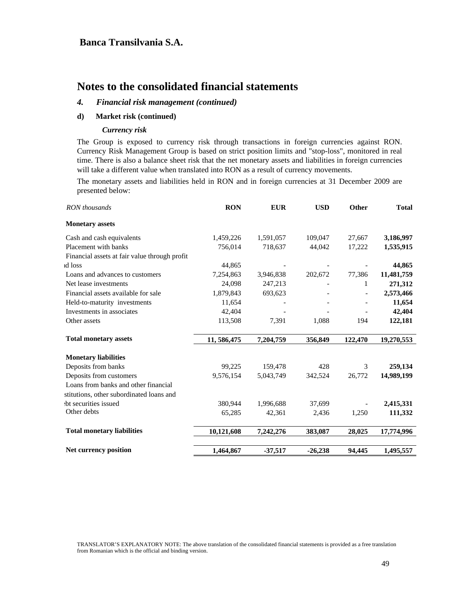# **Notes to the consolidated financial statements**

### *4. Financial risk management (continued)*

### **d) Market risk (continued)**

#### *Currency risk*

The Group is exposed to currency risk through transactions in foreign currencies against RON. Currency Risk Management Group is based on strict position limits and "stop-loss", monitored in real time. There is also a balance sheet risk that the net monetary assets and liabilities in foreign currencies will take a different value when translated into RON as a result of currency movements.

The monetary assets and liabilities held in RON and in foreign currencies at 31 December 2009 are presented below:

| RON thousands                                 | <b>RON</b>   | <b>EUR</b> | <b>USD</b> | Other   | <b>Total</b> |
|-----------------------------------------------|--------------|------------|------------|---------|--------------|
| <b>Monetary assets</b>                        |              |            |            |         |              |
| Cash and cash equivalents                     | 1,459,226    | 1,591,057  | 109,047    | 27,667  | 3,186,997    |
| Placement with banks                          | 756,014      | 718,637    | 44,042     | 17,222  | 1,535,915    |
| Financial assets at fair value through profit |              |            |            |         |              |
| id loss                                       | 44,865       |            |            |         | 44,865       |
| Loans and advances to customers               | 7,254,863    | 3,946,838  | 202,672    | 77,386  | 11,481,759   |
| Net lease investments                         | 24,098       | 247,213    |            | 1       | 271,312      |
| Financial assets available for sale           | 1,879,843    | 693,623    |            |         | 2,573,466    |
| Held-to-maturity investments                  | 11,654       |            |            |         | 11,654       |
| Investments in associates                     | 42,404       |            |            |         | 42,404       |
| Other assets                                  | 113,508      | 7,391      | 1,088      | 194     | 122,181      |
| <b>Total monetary assets</b>                  | 11, 586, 475 | 7,204,759  | 356,849    | 122,470 | 19,270,553   |
| <b>Monetary liabilities</b>                   |              |            |            |         |              |
| Deposits from banks                           | 99,225       | 159,478    | 428        | 3       | 259,134      |
| Deposits from customers                       | 9,576,154    | 5,043,749  | 342,524    | 26,772  | 14,989,199   |
| Loans from banks and other financial          |              |            |            |         |              |
| stitutions, other subordinated loans and      |              |            |            |         |              |
| the securities issued                         | 380,944      | 1,996,688  | 37,699     |         | 2,415,331    |
| Other debts                                   | 65,285       | 42,361     | 2,436      | 1,250   | 111,332      |
| <b>Total monetary liabilities</b>             | 10,121,608   | 7,242,276  | 383,087    | 28,025  | 17,774,996   |
|                                               |              |            |            |         |              |
| Net currency position                         | 1,464,867    | $-37,517$  | $-26,238$  | 94,445  | 1,495,557    |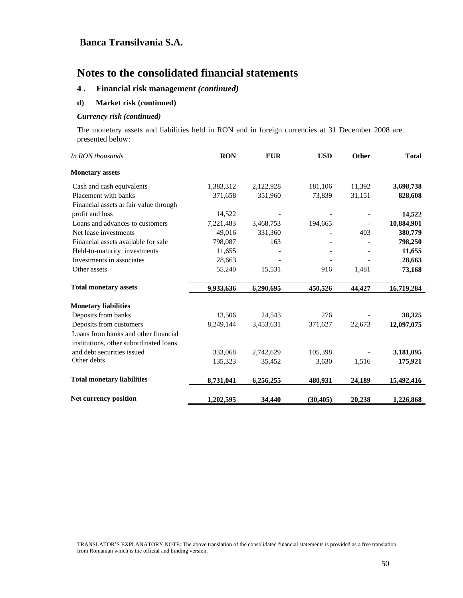# **Notes to the consolidated financial statements**

### **4 . Financial risk management** *(continued)*

#### **d) Market risk (continued)**

#### *Currency risk (continued)*

The monetary assets and liabilities held in RON and in foreign currencies at 31 December 2008 are presented below:

| In RON thousands                       | <b>RON</b> | <b>EUR</b> | <b>USD</b> | Other  | <b>Total</b> |
|----------------------------------------|------------|------------|------------|--------|--------------|
| <b>Monetary assets</b>                 |            |            |            |        |              |
| Cash and cash equivalents              | 1,383,312  | 2,122,928  | 181,106    | 11,392 | 3,698,738    |
| Placement with banks                   | 371,658    | 351,960    | 73,839     | 31,151 | 828,608      |
| Financial assets at fair value through |            |            |            |        |              |
| profit and loss                        | 14,522     |            |            |        | 14,522       |
| Loans and advances to customers        | 7,221,483  | 3,468,753  | 194,665    |        | 10,884,901   |
| Net lease investments                  | 49,016     | 331,360    |            | 403    | 380,779      |
| Financial assets available for sale    | 798,087    | 163        |            |        | 798,250      |
| Held-to-maturity investments           | 11,655     |            |            |        | 11,655       |
| Investments in associates              | 28,663     |            |            |        | 28,663       |
| Other assets                           | 55,240     | 15,531     | 916        | 1,481  | 73,168       |
| <b>Total monetary assets</b>           | 9,933,636  | 6,290,695  | 450,526    | 44,427 | 16,719,284   |
| <b>Monetary liabilities</b>            |            |            |            |        |              |
| Deposits from banks                    | 13,506     | 24,543     | 276        |        | 38,325       |
| Deposits from customers                | 8,249,144  | 3,453,631  | 371,627    | 22,673 | 12,097,075   |
| Loans from banks and other financial   |            |            |            |        |              |
| institutions, other subordinated loans |            |            |            |        |              |
| and debt securities issued             | 333,068    | 2,742,629  | 105,398    |        | 3,181,095    |
| Other debts                            | 135,323    | 35,452     | 3,630      | 1,516  | 175,921      |
| <b>Total monetary liabilities</b>      | 8,731,041  | 6,256,255  | 480,931    | 24,189 | 15,492,416   |
| Net currency position                  | 1,202,595  | 34,440     | (30, 405)  | 20,238 | 1,226,868    |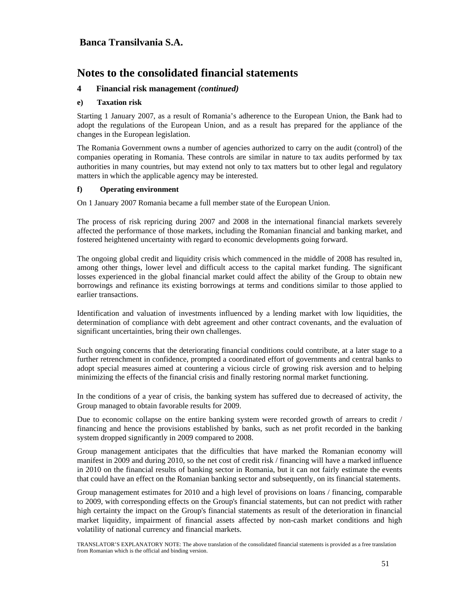# **Notes to the consolidated financial statements**

### **4 Financial risk management** *(continued)*

#### **e) Taxation risk**

Starting 1 January 2007, as a result of Romania's adherence to the European Union, the Bank had to adopt the regulations of the European Union, and as a result has prepared for the appliance of the changes in the European legislation.

The Romania Government owns a number of agencies authorized to carry on the audit (control) of the companies operating in Romania. These controls are similar in nature to tax audits performed by tax authorities in many countries, but may extend not only to tax matters but to other legal and regulatory matters in which the applicable agency may be interested.

#### **f) Operating environment**

On 1 January 2007 Romania became a full member state of the European Union.

The process of risk repricing during 2007 and 2008 in the international financial markets severely affected the performance of those markets, including the Romanian financial and banking market, and fostered heightened uncertainty with regard to economic developments going forward.

The ongoing global credit and liquidity crisis which commenced in the middle of 2008 has resulted in, among other things, lower level and difficult access to the capital market funding. The significant losses experienced in the global financial market could affect the ability of the Group to obtain new borrowings and refinance its existing borrowings at terms and conditions similar to those applied to earlier transactions.

Identification and valuation of investments influenced by a lending market with low liquidities, the determination of compliance with debt agreement and other contract covenants, and the evaluation of significant uncertainties, bring their own challenges.

Such ongoing concerns that the deteriorating financial conditions could contribute, at a later stage to a further retrenchment in confidence, prompted a coordinated effort of governments and central banks to adopt special measures aimed at countering a vicious circle of growing risk aversion and to helping minimizing the effects of the financial crisis and finally restoring normal market functioning.

In the conditions of a year of crisis, the banking system has suffered due to decreased of activity, the Group managed to obtain favorable results for 2009.

Due to economic collapse on the entire banking system were recorded growth of arrears to credit / financing and hence the provisions established by banks, such as net profit recorded in the banking system dropped significantly in 2009 compared to 2008.

Group management anticipates that the difficulties that have marked the Romanian economy will manifest in 2009 and during 2010, so the net cost of credit risk / financing will have a marked influence in 2010 on the financial results of banking sector in Romania, but it can not fairly estimate the events that could have an effect on the Romanian banking sector and subsequently, on its financial statements.

Group management estimates for 2010 and a high level of provisions on loans / financing, comparable to 2009, with corresponding effects on the Group's financial statements, but can not predict with rather high certainty the impact on the Group's financial statements as result of the deterioration in financial market liquidity, impairment of financial assets affected by non-cash market conditions and high volatility of national currency and financial markets.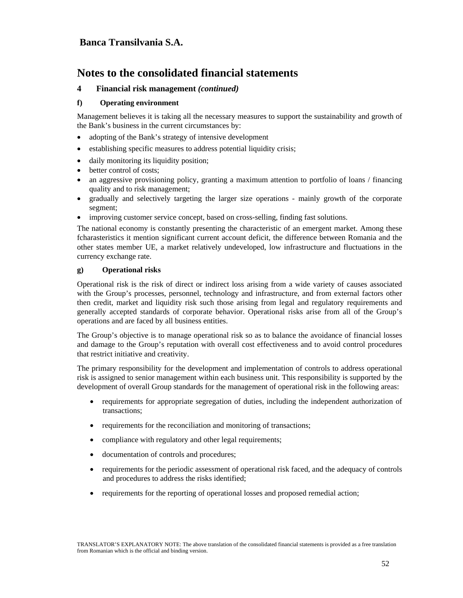# **Notes to the consolidated financial statements**

### **4 Financial risk management** *(continued)*

#### **f) Operating environment**

Management believes it is taking all the necessary measures to support the sustainability and growth of the Bank's business in the current circumstances by:

- adopting of the Bank's strategy of intensive development
- establishing specific measures to address potential liquidity crisis;
- daily monitoring its liquidity position;
- better control of costs;
- an aggressive provisioning policy, granting a maximum attention to portfolio of loans / financing quality and to risk management;
- gradually and selectively targeting the larger size operations mainly growth of the corporate segment;
- improving customer service concept, based on cross-selling, finding fast solutions.

The national economy is constantly presenting the characteristic of an emergent market. Among these fcharasteristics it mention significant current account deficit, the difference between Romania and the other states member UE, a market relatively undeveloped, low infrastructure and fluctuations in the currency exchange rate.

#### **g) Operational risks**

Operational risk is the risk of direct or indirect loss arising from a wide variety of causes associated with the Group's processes, personnel, technology and infrastructure, and from external factors other then credit, market and liquidity risk such those arising from legal and regulatory requirements and generally accepted standards of corporate behavior. Operational risks arise from all of the Group's operations and are faced by all business entities.

The Group's objective is to manage operational risk so as to balance the avoidance of financial losses and damage to the Group's reputation with overall cost effectiveness and to avoid control procedures that restrict initiative and creativity.

The primary responsibility for the development and implementation of controls to address operational risk is assigned to senior management within each business unit. This responsibility is supported by the development of overall Group standards for the management of operational risk in the following areas:

- requirements for appropriate segregation of duties, including the independent authorization of transactions;
- requirements for the reconciliation and monitoring of transactions;
- compliance with regulatory and other legal requirements;
- documentation of controls and procedures;
- requirements for the periodic assessment of operational risk faced, and the adequacy of controls and procedures to address the risks identified;
- requirements for the reporting of operational losses and proposed remedial action;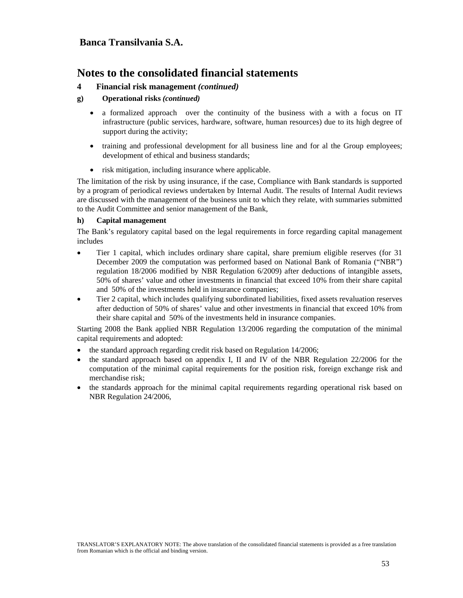### **4 Financial risk management** *(continued)*

### **g) Operational risks** *(continued)*

- a formalized approach over the continuity of the business with a with a focus on IT infrastructure (public services, hardware, software, human resources) due to its high degree of support during the activity;
- training and professional development for all business line and for al the Group employees; development of ethical and business standards;
- risk mitigation, including insurance where applicable.

The limitation of the risk by using insurance, if the case, Compliance with Bank standards is supported by a program of periodical reviews undertaken by Internal Audit. The results of Internal Audit reviews are discussed with the management of the business unit to which they relate, with summaries submitted to the Audit Committee and senior management of the Bank,

### **h) Capital management**

The Bank's regulatory capital based on the legal requirements in force regarding capital management includes

- Tier 1 capital, which includes ordinary share capital, share premium eligible reserves (for 31 December 2009 the computation was performed based on National Bank of Romania ("NBR") regulation 18/2006 modified by NBR Regulation 6/2009) after deductions of intangible assets, 50% of shares' value and other investments in financial that exceed 10% from their share capital and 50% of the investments held in insurance companies;
- Tier 2 capital, which includes qualifying subordinated liabilities, fixed assets revaluation reserves after deduction of 50% of shares' value and other investments in financial that exceed 10% from their share capital and 50% of the investments held in insurance companies.

Starting 2008 the Bank applied NBR Regulation 13/2006 regarding the computation of the minimal capital requirements and adopted:

- the standard approach regarding credit risk based on Regulation 14/2006;
- the standard approach based on appendix I, II and IV of the NBR Regulation 22/2006 for the computation of the minimal capital requirements for the position risk, foreign exchange risk and merchandise risk;
- the standards approach for the minimal capital requirements regarding operational risk based on NBR Regulation 24/2006,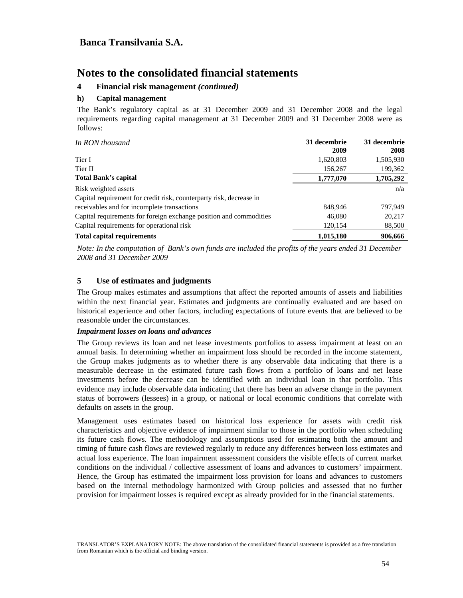### **4 Financial risk management** *(continued)*

#### **h) Capital management**

The Bank's regulatory capital as at 31 December 2009 and 31 December 2008 and the legal requirements regarding capital management at 31 December 2009 and 31 December 2008 were as follows:

| In RON thousand                                                     | 31 decembrie<br>2009 | 31 decembrie<br>2008 |
|---------------------------------------------------------------------|----------------------|----------------------|
| Tier I                                                              | 1,620,803            | 1,505,930            |
| Tier II                                                             | 156,267              | 199,362              |
| Total Bank's capital                                                | 1,777,070            | 1,705,292            |
| Risk weighted assets                                                |                      | n/a                  |
| Capital requirement for credit risk, counterparty risk, decrease in |                      |                      |
| receivables and for incomplete transactions                         | 848,946              | 797.949              |
| Capital requirements for foreign exchange position and commodities  | 46,080               | 20,217               |
| Capital requirements for operational risk                           | 120,154              | 88,500               |
| <b>Total capital requirements</b>                                   | 1,015,180            | 906,666              |

*Note: In the computation of Bank's own funds are included the profits of the years ended 31 December 2008 and 31 December 2009* 

### **5 Use of estimates and judgments**

The Group makes estimates and assumptions that affect the reported amounts of assets and liabilities within the next financial year. Estimates and judgments are continually evaluated and are based on historical experience and other factors, including expectations of future events that are believed to be reasonable under the circumstances.

#### *Impairment losses on loans and advances*

The Group reviews its loan and net lease investments portfolios to assess impairment at least on an annual basis. In determining whether an impairment loss should be recorded in the income statement, the Group makes judgments as to whether there is any observable data indicating that there is a measurable decrease in the estimated future cash flows from a portfolio of loans and net lease investments before the decrease can be identified with an individual loan in that portfolio. This evidence may include observable data indicating that there has been an adverse change in the payment status of borrowers (lessees) in a group, or national or local economic conditions that correlate with defaults on assets in the group.

Management uses estimates based on historical loss experience for assets with credit risk characteristics and objective evidence of impairment similar to those in the portfolio when scheduling its future cash flows. The methodology and assumptions used for estimating both the amount and timing of future cash flows are reviewed regularly to reduce any differences between loss estimates and actual loss experience. The loan impairment assessment considers the visible effects of current market conditions on the individual / collective assessment of loans and advances to customers' impairment. Hence, the Group has estimated the impairment loss provision for loans and advances to customers based on the internal methodology harmonized with Group policies and assessed that no further provision for impairment losses is required except as already provided for in the financial statements.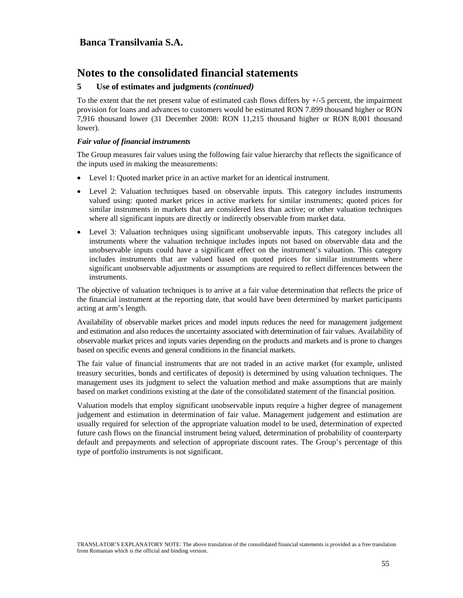### **5 Use of estimates and judgments** *(continued)*

To the extent that the net present value of estimated cash flows differs by  $+/-5$  percent, the impairment provision for loans and advances to customers would be estimated RON 7.899 thousand higher or RON 7,916 thousand lower (31 December 2008: RON 11,215 thousand higher or RON 8,001 thousand lower).

#### *Fair value of financial instruments*

The Group measures fair values using the following fair value hierarchy that reflects the significance of the inputs used in making the measurements:

- Level 1: Quoted market price in an active market for an identical instrument.
- Level 2: Valuation techniques based on observable inputs. This category includes instruments valued using: quoted market prices in active markets for similar instruments; quoted prices for similar instruments in markets that are considered less than active; or other valuation techniques where all significant inputs are directly or indirectly observable from market data.
- Level 3: Valuation techniques using significant unobservable inputs. This category includes all instruments where the valuation technique includes inputs not based on observable data and the unobservable inputs could have a significant effect on the instrument's valuation. This category includes instruments that are valued based on quoted prices for similar instruments where significant unobservable adjustments or assumptions are required to reflect differences between the instruments.

The objective of valuation techniques is to arrive at a fair value determination that reflects the price of the financial instrument at the reporting date, that would have been determined by market participants acting at arm's length.

Availability of observable market prices and model inputs reduces the need for management judgement and estimation and also reduces the uncertainty associated with determination of fair values. Availability of observable market prices and inputs varies depending on the products and markets and is prone to changes based on specific events and general conditions in the financial markets.

The fair value of financial instruments that are not traded in an active market (for example, unlisted treasury securities, bonds and certificates of deposit) is determined by using valuation techniques. The management uses its judgment to select the valuation method and make assumptions that are mainly based on market conditions existing at the date of the consolidated statement of the financial position.

Valuation models that employ significant unobservable inputs require a higher degree of management judgement and estimation in determination of fair value. Management judgement and estimation are usually required for selection of the appropriate valuation model to be used, determination of expected future cash flows on the financial instrument being valued, determination of probability of counterparty default and prepayments and selection of appropriate discount rates. The Group's percentage of this type of portfolio instruments is not significant.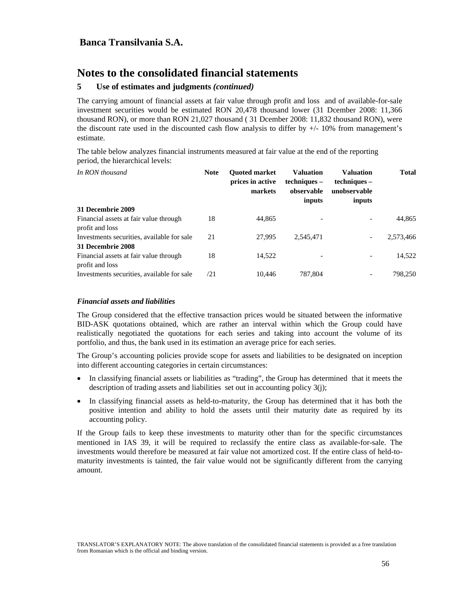### **5 Use of estimates and judgments** *(continued)*

The carrying amount of financial assets at fair value through profit and loss and of available-for-sale investment securities would be estimated RON 20,478 thousand lower (31 Dcember 2008: 11,366 thousand RON), or more than RON 21,027 thousand ( 31 Dcember 2008: 11,832 thousand RON), were the discount rate used in the discounted cash flow analysis to differ by  $+/$ -10% from management's estimate.

The table below analyzes financial instruments measured at fair value at the end of the reporting period, the hierarchical levels:

| In RON thousand                                           | <b>Note</b> | <b>Ouoted market</b><br>prices in active<br>markets | <b>Valuation</b><br>techniques –<br>observable<br>inputs | <b>Valuation</b><br>techniques –<br>unobservable<br>inputs | <b>Total</b> |
|-----------------------------------------------------------|-------------|-----------------------------------------------------|----------------------------------------------------------|------------------------------------------------------------|--------------|
| 31 Decembrie 2009                                         |             |                                                     |                                                          |                                                            |              |
| Financial assets at fair value through<br>profit and loss | 18          | 44,865                                              |                                                          |                                                            | 44,865       |
| Investments securities, available for sale                | 21          | 27,995                                              | 2,545,471                                                | -                                                          | 2,573,466    |
| 31 Decembrie 2008                                         |             |                                                     |                                                          |                                                            |              |
| Financial assets at fair value through<br>profit and loss | 18          | 14,522                                              |                                                          | -                                                          | 14,522       |
| Investments securities, available for sale                | /21         | 10.446                                              | 787,804                                                  |                                                            | 798,250      |

#### *Financial assets and liabilities*

The Group considered that the effective transaction prices would be situated between the informative BID-ASK quotations obtained, which are rather an interval within which the Group could have realistically negotiated the quotations for each series and taking into account the volume of its portfolio, and thus, the bank used in its estimation an average price for each series.

The Group's accounting policies provide scope for assets and liabilities to be designated on inception into different accounting categories in certain circumstances:

- In classifying financial assets or liabilities as "trading", the Group has determined that it meets the description of trading assets and liabilities set out in accounting policy 3(j);
- In classifying financial assets as held-to-maturity, the Group has determined that it has both the positive intention and ability to hold the assets until their maturity date as required by its accounting policy.

If the Group fails to keep these investments to maturity other than for the specific circumstances mentioned in IAS 39, it will be required to reclassify the entire class as available-for-sale. The investments would therefore be measured at fair value not amortized cost. If the entire class of held-tomaturity investments is tainted, the fair value would not be significantly different from the carrying amount.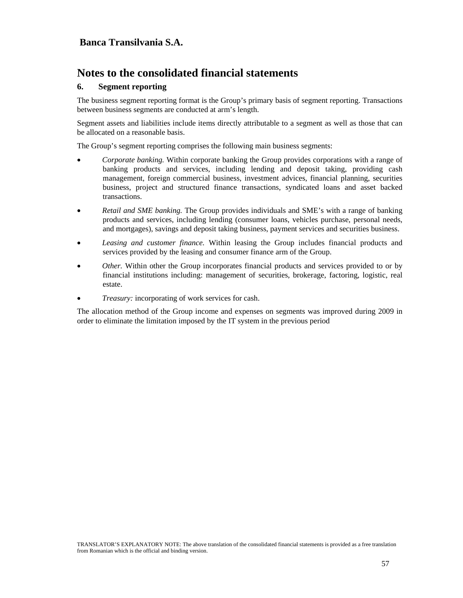# **Notes to the consolidated financial statements**

### **6. Segment reporting**

The business segment reporting format is the Group's primary basis of segment reporting. Transactions between business segments are conducted at arm's length.

Segment assets and liabilities include items directly attributable to a segment as well as those that can be allocated on a reasonable basis.

The Group's segment reporting comprises the following main business segments:

- *Corporate banking.* Within corporate banking the Group provides corporations with a range of banking products and services, including lending and deposit taking, providing cash management, foreign commercial business, investment advices, financial planning, securities business, project and structured finance transactions, syndicated loans and asset backed transactions.
- *Retail and SME banking.* The Group provides individuals and SME's with a range of banking products and services, including lending (consumer loans, vehicles purchase, personal needs, and mortgages), savings and deposit taking business, payment services and securities business.
- *Leasing and customer finance.* Within leasing the Group includes financial products and services provided by the leasing and consumer finance arm of the Group.
- *Other.* Within other the Group incorporates financial products and services provided to or by financial institutions including: management of securities, brokerage, factoring, logistic, real estate.
- Treasury: incorporating of work services for cash.

The allocation method of the Group income and expenses on segments was improved during 2009 in order to eliminate the limitation imposed by the IT system in the previous period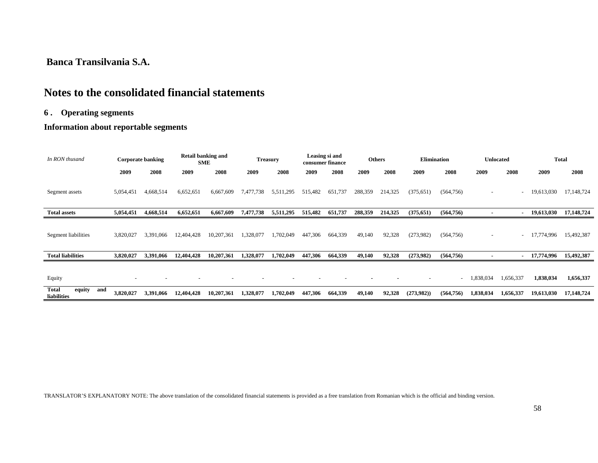# **Notes to the consolidated financial statements**

## **6 . Operating segments**

## **Information about reportable segments**

| In RON thusand                               |           | <b>Corporate banking</b> |            | <b>Retail banking and</b><br><b>SME</b> |           | <b>Treasury</b> |         | Leasing si and<br>consumer finance |         | <b>Others</b> | <b>Elimination</b> |            |           | <b>Unlocated</b>         |            | <b>Total</b> |
|----------------------------------------------|-----------|--------------------------|------------|-----------------------------------------|-----------|-----------------|---------|------------------------------------|---------|---------------|--------------------|------------|-----------|--------------------------|------------|--------------|
|                                              | 2009      | 2008                     | 2009       | 2008                                    | 2009      | 2008            | 2009    | 2008                               | 2009    | 2008          | 2009               | 2008       | 2009      | 2008                     | 2009       | 2008         |
| Segment assets                               | 5,054,451 | 4,668,514                | 6,652,651  | 6,667,609                               | 7,477,738 | 5,511,295       | 515,482 | 651,737                            | 288,359 | 214,325       | (375, 651)         | (564, 756) |           | $\overline{\phantom{a}}$ | 19,613,030 | 17,148,724   |
| <b>Total assets</b>                          | 5,054,451 | 4,668,514                | 6,652,651  | 6,667,609                               | 7,477,738 | 5,511,295       | 515,482 | 651,737                            | 288,359 | 214,325       | (375, 651)         | (564, 756) |           | ۰                        | 19,613,030 | 17,148,724   |
| Segment liabilities                          | 3,820,027 | 3,391,066                | 12,404,428 | 10,207,361                              | 1,328,077 | 1,702,049       | 447,306 | 664,339                            | 49,140  | 92,328        | (273,982)          | (564, 756) |           | $\overline{\phantom{a}}$ | 17,774,996 | 15,492,387   |
| <b>Total liabilities</b>                     | 3,820,027 | 3,391,066                | 12,404,428 | 10,207,361                              | 1,328,077 | 1,702,049       | 447,306 | 664,339                            | 49,140  | 92,328        | (273,982)          | (564, 756) |           | ٠                        | 17,774,996 | 15,492,387   |
| Equity                                       |           |                          |            |                                         |           |                 |         |                                    |         |               |                    | $\sim$     | 1,838,034 | 1,656,337                | 1,838,034  | 1,656,337    |
| <b>Total</b><br>equity<br>and<br>liabilities | 3.820.027 | 3.391.066                | 12,404,428 | 10,207,361                              | 1,328,077 | 1,702,049       | 447,306 | 664,339                            | 49,140  | 92,328        | (273,982)          | (564, 756) | 1,838,034 | 1,656,337                | 19,613,030 | 17,148,724   |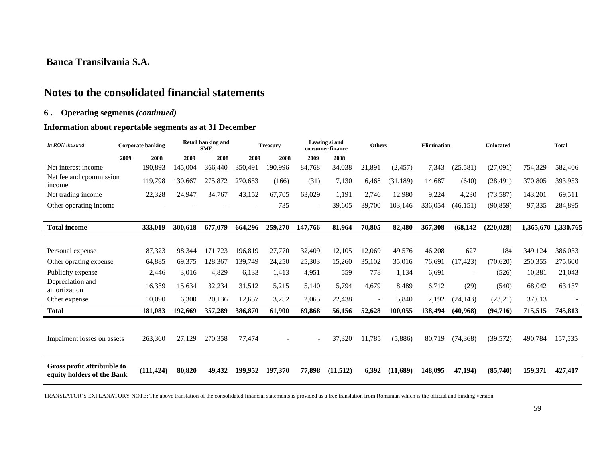# **Notes to the consolidated financial statements**

### **6 . Operating segments** *(continued)*

## **Information about reportable segments as at 31 December**

| In RON thusand                                            |      | <b>Corporate banking</b> |         | <b>Retail banking and</b><br><b>SME</b> |         | <b>Treasurv</b> |         | Leasing si and<br>consumer finance | <b>Others</b>            |           | <b>Elimination</b> |                          | <b>Unlocated</b> |         | <b>Total</b>        |
|-----------------------------------------------------------|------|--------------------------|---------|-----------------------------------------|---------|-----------------|---------|------------------------------------|--------------------------|-----------|--------------------|--------------------------|------------------|---------|---------------------|
|                                                           | 2009 | 2008                     | 2009    | 2008                                    | 2009    | 2008            | 2009    | 2008                               |                          |           |                    |                          |                  |         |                     |
| Net interest income                                       |      | 190.893                  | 145.004 | 366,440                                 | 350.491 | 190.996         | 84,768  | 34,038                             | 21,891                   | (2,457)   | 7,343              | (25,581)                 | (27,091)         | 754,329 | 582,406             |
| Net fee and cpommission<br>income                         |      | 119,798                  | 130,667 | 275,872                                 | 270,653 | (166)           | (31)    | 7,130                              | 6,468                    | (31, 189) | 14,687             | (640)                    | (28, 491)        | 370,805 | 393,953             |
| Net trading income                                        |      | 22,328                   | 24.947  | 34,767                                  | 43.152  | 67.705          | 63.029  | 1.191                              | 2,746                    | 12.980    | 9,224              | 4,230                    | (73, 587)        | 143,201 | 69,511              |
| Other operating income                                    |      |                          |         |                                         |         | 735             |         | 39,605                             | 39,700                   | 103.146   | 336,054            | (46, 151)                | (90, 859)        | 97,335  | 284,895             |
|                                                           |      |                          |         |                                         |         |                 |         |                                    |                          |           |                    |                          |                  |         |                     |
| <b>Total income</b>                                       |      | 333,019                  | 300.618 | 677,079                                 | 664,296 | 259,270         | 147,766 | 81,964                             | 70,805                   | 82,480    | 367,308            | (68, 142)                | (220, 028)       |         | 1,365,670 1,330,765 |
|                                                           |      |                          |         |                                         |         |                 |         |                                    |                          |           |                    |                          |                  |         |                     |
| Personal expense                                          |      | 87,323                   | 98,344  | 171,723                                 | 196.819 | 27,770          | 32,409  | 12,105                             | 12,069                   | 49,576    | 46,208             | 627                      | 184              | 349,124 | 386,033             |
| Other oprating expense                                    |      | 64,885                   | 69,375  | 128,367                                 | 139,749 | 24,250          | 25,303  | 15,260                             | 35,102                   | 35,016    | 76,691             | (17, 423)                | (70,620)         | 250,355 | 275,600             |
| Publicity expense                                         |      | 2,446                    | 3.016   | 4.829                                   | 6,133   | 1.413           | 4,951   | 559                                | 778                      | 1,134     | 6,691              | $\overline{\phantom{0}}$ | (526)            | 10,381  | 21,043              |
| Depreciation and<br>amortization                          |      | 16,339                   | 15,634  | 32,234                                  | 31,512  | 5,215           | 5.140   | 5.794                              | 4.679                    | 8.489     | 6,712              | (29)                     | (540)            | 68,042  | 63,137              |
| Other expense                                             |      | 10.090                   | 6,300   | 20,136                                  | 12,657  | 3,252           | 2,065   | 22,438                             | $\overline{\phantom{a}}$ | 5,840     | 2,192              | (24, 143)                | (23,21)          | 37,613  |                     |
| <b>Total</b>                                              |      | 181,083                  | 192.669 | 357,289                                 | 386,870 | 61,900          | 69,868  | 56,156                             | 52,628                   | 100.055   | 138,494            | (40, 968)                | (94, 716)        | 715,515 | 745,813             |
|                                                           |      |                          |         |                                         |         |                 |         |                                    |                          |           |                    |                          |                  |         |                     |
| Impaiment losses on assets                                |      | 263,360                  | 27,129  | 270,358                                 | 77,474  |                 |         | 37,320                             | 11.785                   | (5,886)   | 80,719             | (74, 368)                | (39,572)         | 490,784 | 157,535             |
|                                                           |      |                          |         |                                         |         |                 |         |                                    |                          |           |                    |                          |                  |         |                     |
| Gross profit attribuible to<br>equity holders of the Bank |      | (111.424)                | 80.820  | 49,432                                  | 199.952 | 197.370         | 77,898  | (11,512)                           | 6.392                    | (11.689)  | 148,095            | 47.194)                  | (85,740)         | 159,371 | 427,417             |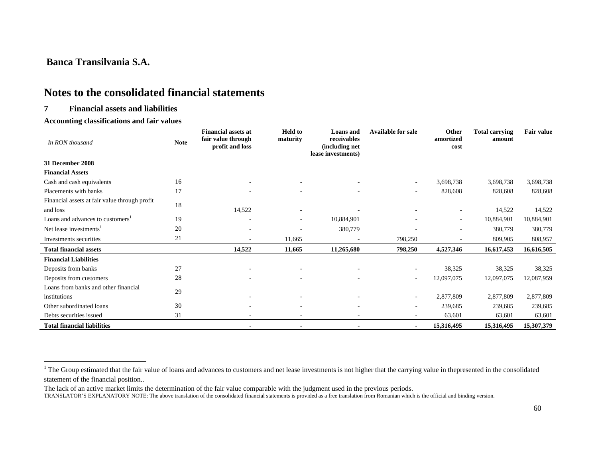# **Notes to the consolidated financial statements**

### **7 Financial assets and liabilities**

#### **Accounting classifications and fair values**

| In RON thousand                               | <b>Note</b> | <b>Financial assets at</b><br>fair value through<br>profit and loss | <b>Held</b> to<br>maturity | <b>Loans</b> and<br>receivables<br>(including net<br>lease investments) | <b>Available for sale</b> | Other<br>amortized<br>cost | <b>Total carrying</b><br>amount | <b>Fair value</b> |
|-----------------------------------------------|-------------|---------------------------------------------------------------------|----------------------------|-------------------------------------------------------------------------|---------------------------|----------------------------|---------------------------------|-------------------|
| 31 December 2008                              |             |                                                                     |                            |                                                                         |                           |                            |                                 |                   |
| <b>Financial Assets</b>                       |             |                                                                     |                            |                                                                         |                           |                            |                                 |                   |
| Cash and cash equivalents                     | 16          |                                                                     |                            |                                                                         |                           | 3,698,738                  | 3,698,738                       | 3,698,738         |
| Placements with banks                         | 17          |                                                                     |                            |                                                                         |                           | 828,608                    | 828,608                         | 828,608           |
| Financial assets at fair value through profit | 18          |                                                                     |                            |                                                                         |                           |                            |                                 |                   |
| and loss                                      |             | 14,522                                                              |                            |                                                                         |                           |                            | 14,522                          | 14,522            |
| Loans and advances to customers <sup>1</sup>  | 19          |                                                                     | ٠                          | 10,884,901                                                              |                           |                            | 10,884,901                      | 10,884,901        |
| Net lease investments <sup>1</sup>            | 20          |                                                                     |                            | 380,779                                                                 |                           |                            | 380,779                         | 380,779           |
| Investments securities                        | 21          | ÷                                                                   | 11,665                     |                                                                         | 798,250                   |                            | 809,905                         | 808,957           |
| <b>Total financial assets</b>                 |             | 14,522                                                              | 11,665                     | 11,265,680                                                              | 798,250                   | 4,527,346                  | 16,617,453                      | 16,616,505        |
| <b>Financial Liabilities</b>                  |             |                                                                     |                            |                                                                         |                           |                            |                                 |                   |
| Deposits from banks                           | 27          |                                                                     |                            |                                                                         | $\sim$                    | 38,325                     | 38,325                          | 38,325            |
| Deposits from customers                       | 28          |                                                                     |                            |                                                                         | $\sim$                    | 12,097,075                 | 12,097,075                      | 12,087,959        |
| Loans from banks and other financial          | 29          |                                                                     |                            |                                                                         |                           |                            |                                 |                   |
| institutions                                  |             |                                                                     |                            |                                                                         | $\sim$                    | 2,877,809                  | 2,877,809                       | 2,877,809         |
| Other subordinated loans                      | 30          |                                                                     |                            |                                                                         | $\sim$                    | 239,685                    | 239,685                         | 239,685           |
| Debts securities issued                       | 31          | ٠                                                                   |                            |                                                                         |                           | 63,601                     | 63,601                          | 63,601            |
| <b>Total financial liabilities</b>            |             |                                                                     |                            |                                                                         | $\blacksquare$            | 15,316,495                 | 15,316,495                      | 15,307,379        |

<sup>&</sup>lt;sup>1</sup> The Group estimated that the fair value of loans and advances to customers and net lease investments is not higher that the carrying value in thepresented in the consolidated statement of the financial position..

The lack of an active market limits the determination of the fair value comparable with the judgment used in the previous periods.

TRANSLATOR'S EXPLANATORY NOTE: The above translation of the consolidated financial statements is provided as a free translation from Romanian which is the official and binding version.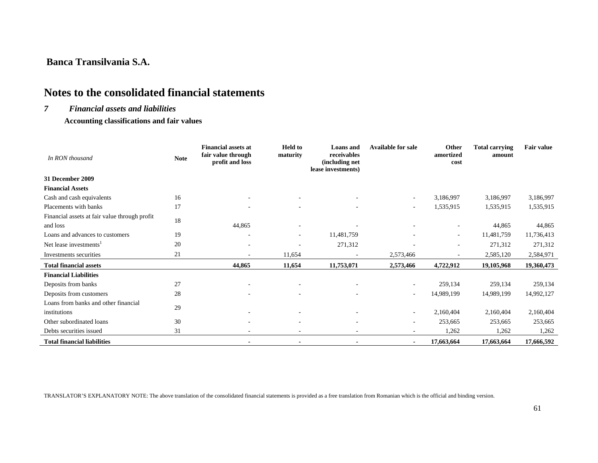# **Notes to the consolidated financial statements**

#### *7 Financial assets and liabilities*

 **Accounting classifications and fair values** 

| In RON thousand                               | <b>Note</b> | <b>Financial assets at</b><br>fair value through<br>profit and loss | <b>Held</b> to<br>maturity | <b>Loans</b> and<br>receivables<br>(including net<br>lease investments) | <b>Available for sale</b> | Other<br>amortized<br>cost | <b>Total carrying</b><br>amount | <b>Fair value</b> |
|-----------------------------------------------|-------------|---------------------------------------------------------------------|----------------------------|-------------------------------------------------------------------------|---------------------------|----------------------------|---------------------------------|-------------------|
| 31 December 2009                              |             |                                                                     |                            |                                                                         |                           |                            |                                 |                   |
| <b>Financial Assets</b>                       |             |                                                                     |                            |                                                                         |                           |                            |                                 |                   |
| Cash and cash equivalents                     | 16          |                                                                     |                            |                                                                         | ٠                         | 3,186,997                  | 3,186,997                       | 3,186,997         |
| Placements with banks                         | 17          |                                                                     |                            |                                                                         | ٠                         | 1,535,915                  | 1,535,915                       | 1,535,915         |
| Financial assets at fair value through profit | 18          |                                                                     |                            |                                                                         |                           |                            |                                 |                   |
| and loss                                      |             | 44,865                                                              | ٠                          |                                                                         |                           | ٠                          | 44,865                          | 44,865            |
| Loans and advances to customers               | 19          |                                                                     | ٠                          | 11,481,759                                                              |                           | $\overline{\phantom{a}}$   | 11,481,759                      | 11,736,413        |
| Net lease investments <sup>1</sup>            | 20          | ٠                                                                   |                            | 271,312                                                                 |                           | ٠                          | 271,312                         | 271,312           |
| Investments securities                        | 21          |                                                                     | 11,654                     |                                                                         | 2,573,466                 |                            | 2,585,120                       | 2,584,971         |
| <b>Total financial assets</b>                 |             | 44,865                                                              | 11,654                     | 11,753,071                                                              | 2,573,466                 | 4,722,912                  | 19,105,968                      | 19,360,473        |
| <b>Financial Liabilities</b>                  |             |                                                                     |                            |                                                                         |                           |                            |                                 |                   |
| Deposits from banks                           | 27          |                                                                     |                            |                                                                         |                           | 259,134                    | 259,134                         | 259,134           |
| Deposits from customers                       | 28          | ۰                                                                   |                            |                                                                         | $\sim$                    | 14,989,199                 | 14,989,199                      | 14,992,127        |
| Loans from banks and other financial          | 29          |                                                                     |                            |                                                                         |                           |                            |                                 |                   |
| institutions                                  |             |                                                                     |                            |                                                                         | $\overline{\phantom{a}}$  | 2,160,404                  | 2,160,404                       | 2,160,404         |
| Other subordinated loans                      | 30          |                                                                     | ٠                          |                                                                         | ٠                         | 253,665                    | 253,665                         | 253,665           |
| Debts securities issued                       | 31          | ٠                                                                   | $\overline{\phantom{a}}$   |                                                                         |                           | 1,262                      | 1,262                           | 1,262             |
| <b>Total financial liabilities</b>            |             |                                                                     |                            |                                                                         | $\blacksquare$            | 17,663,664                 | 17,663,664                      | 17,666,592        |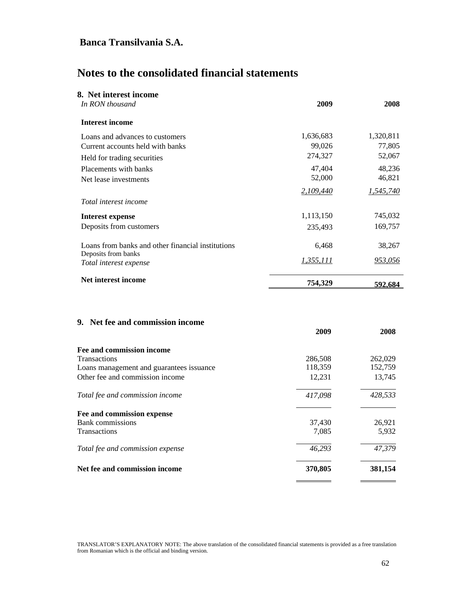# **Notes to the consolidated financial statements**

| 8. Net interest income                            |                  |           |
|---------------------------------------------------|------------------|-----------|
| In RON thousand                                   | 2009             | 2008      |
| <b>Interest income</b>                            |                  |           |
| Loans and advances to customers                   | 1,636,683        | 1,320,811 |
| Current accounts held with banks                  | 99,026           | 77,805    |
| Held for trading securities                       | 274,327          | 52,067    |
| Placements with banks                             | 47,404           | 48,236    |
| Net lease investments                             | 52,000           | 46,821    |
|                                                   | 2,109,440        | 1,545,740 |
| Total interest income                             |                  |           |
| <b>Interest expense</b>                           | 1,113,150        | 745,032   |
| Deposits from customers                           | 235,493          | 169,757   |
| Loans from banks and other financial institutions | 6,468            | 38,267    |
| Deposits from banks<br>Total interest expense     | <u>1,355,111</u> | 953,056   |
| Net interest income                               | 754,329          | 592.684   |

### **9. Net fee and commission income**

|                                          | 2009    | 2008    |
|------------------------------------------|---------|---------|
| Fee and commission income                |         |         |
| <b>Transactions</b>                      | 286,508 | 262,029 |
| Loans management and guarantees issuance | 118,359 | 152,759 |
| Other fee and commission income          | 12,231  | 13,745  |
| Total fee and commission income          | 417,098 | 428,533 |
| Fee and commission expense               |         |         |
| <b>Bank</b> commissions                  | 37,430  | 26,921  |
| Transactions                             | 7,085   | 5,932   |
| Total fee and commission expense         | 46,293  | 47,379  |
| Net fee and commission income            | 370,805 | 381,154 |
|                                          |         |         |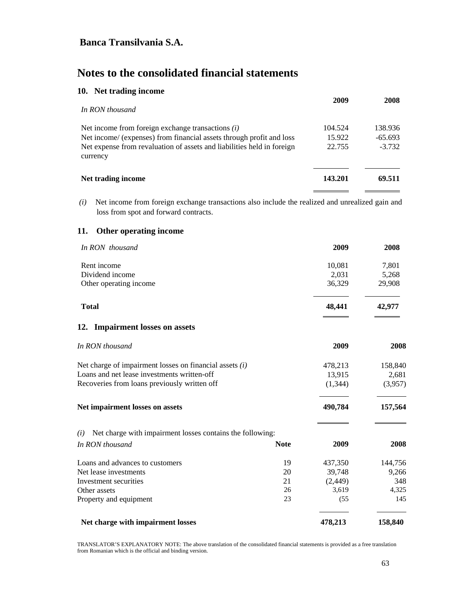# **Notes to the consolidated financial statements**

|  |  |  | 10. Net trading income |  |
|--|--|--|------------------------|--|
|--|--|--|------------------------|--|

| In RON thousand                                                                    | 2009    | 2008      |
|------------------------------------------------------------------------------------|---------|-----------|
| Net income from foreign exchange transactions $(i)$                                | 104.524 | 138.936   |
| Net income/ (expenses) from financial assets through profit and loss               | 15.922  | $-65.693$ |
| Net expense from revaluation of assets and liabilities held in foreign<br>currency | 22.755  | $-3.732$  |
| Net trading income                                                                 | 143.201 | 69.511    |

 *(i)* Net income from foreign exchange transactions also include the realized and unrealized gain and loss from spot and forward contracts.

### **11. Other operating income**

| In RON thousand                                                                                          |             | 2009                         | 2008             |
|----------------------------------------------------------------------------------------------------------|-------------|------------------------------|------------------|
| Rent income                                                                                              |             | 10,081                       | 7,801            |
| Dividend income                                                                                          |             | 2,031<br>36,329              | 5,268            |
| Other operating income                                                                                   |             |                              | 29,908           |
| <b>Total</b>                                                                                             |             | 48,441                       | 42,977           |
| 12. Impairment losses on assets                                                                          |             |                              |                  |
| In RON thousand                                                                                          |             | 2009                         | 2008             |
| Net charge of impairment losses on financial assets $(i)$<br>Loans and net lease investments written-off |             | 478,213<br>13,915<br>(1,344) | 158,840          |
|                                                                                                          |             |                              | 2,681<br>(3,957) |
| Recoveries from loans previously written off                                                             |             |                              |                  |
| Net impairment losses on assets                                                                          |             | 490,784                      | 157,564          |
| Net charge with impairment losses contains the following:<br>(i)                                         |             |                              |                  |
| In RON thousand                                                                                          | <b>Note</b> | 2009                         | 2008             |
| Loans and advances to customers                                                                          | 19          | 437,350                      | 144,756          |
| Net lease investments                                                                                    | 20          | 39,748                       | 9,266            |
| Investment securities                                                                                    | 21          | (2, 449)                     | 348              |
| Other assets                                                                                             | 26          | 3,619                        | 4,325            |
| Property and equipment                                                                                   | 23          | (55)                         | 145              |
| Net charge with impairment losses                                                                        |             | 478,213                      | 158,840          |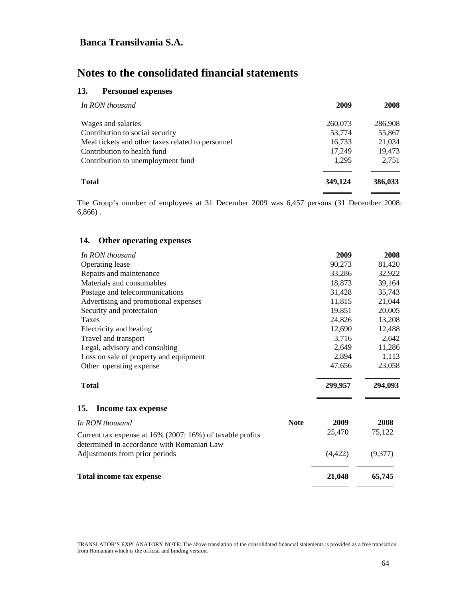# **Notes to the consolidated financial statements**

## **13. Personnel expenses**

| In RON thousand                                   | 2009    | 2008    |
|---------------------------------------------------|---------|---------|
| Wages and salaries                                | 260,073 | 286,908 |
| Contribution to social security                   | 53,774  | 55,867  |
| Meal tickets and other taxes related to personnel | 16,733  | 21,034  |
| Contribution to health fund                       | 17,249  | 19,473  |
| Contribution to unemployment fund                 | 1.295   | 2,751   |
| <b>Total</b>                                      | 349,124 | 386,033 |

The Group's number of employees at 31 December 2009 was 6,457 persons (31 December 2008: 6,866) .

### **14. Other operating expenses**

| In RON thousand                                                                                         |             | 2009     | 2008    |
|---------------------------------------------------------------------------------------------------------|-------------|----------|---------|
| Operating lease                                                                                         |             | 90,273   | 81,420  |
| Repairs and maintenance                                                                                 |             | 33,286   | 32,922  |
| Materials and consumables                                                                               |             | 18,873   | 39,164  |
| Postage and telecommunications                                                                          |             | 31,428   | 35,743  |
| Advertising and promotional expenses                                                                    |             | 11,815   | 21,044  |
| Security and protectaion                                                                                |             | 19,851   | 20,005  |
| Taxes                                                                                                   |             | 24,826   | 13,208  |
| Electricity and heating                                                                                 |             | 12,690   | 12,488  |
| Travel and transport                                                                                    |             | 3,716    | 2,642   |
| Legal, advisory and consulting                                                                          |             | 2,649    | 11,286  |
| Loss on sale of property and equipment                                                                  |             | 2,894    | 1,113   |
| Other operating expense                                                                                 |             | 47,656   | 23,058  |
| <b>Total</b>                                                                                            |             | 299,957  | 294,093 |
| 15. Income tax expense                                                                                  |             |          |         |
| In RON thousand                                                                                         | <b>Note</b> | 2009     | 2008    |
| Current tax expense at 16% (2007: 16%) of taxable profits<br>determined in accordance with Romanian Law |             | 25,470   | 75,122  |
| Adjustments from prior periods                                                                          |             | (4, 422) | (9,377) |
| Total income tax expense                                                                                |             | 21,048   | 65,745  |
|                                                                                                         |             |          |         |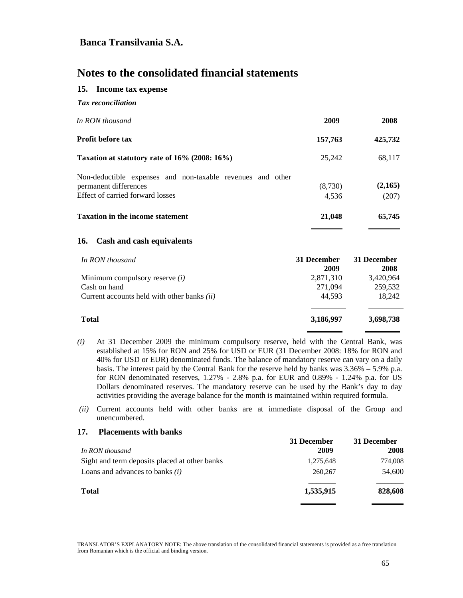# **Notes to the consolidated financial statements**

### **15. Income tax expense**

| In RON thousand                                                                                                         | 2009             | 2008             |
|-------------------------------------------------------------------------------------------------------------------------|------------------|------------------|
| <b>Profit before tax</b>                                                                                                | 157,763          | 425,732          |
| Taxation at statutory rate of 16% (2008: 16%)                                                                           | 25,242           | 68,117           |
| Non-deductible expenses and non-taxable revenues and other<br>permanent differences<br>Effect of carried forward losses | (8,730)<br>4,536 | (2,165)<br>(207) |
| <b>Taxation in the income statement</b>                                                                                 | 21,048           | 65,745           |
|                                                                                                                         |                  |                  |

### **16. Cash and cash equivalents**

| In RON thousand                                    | 31 December<br>2009 | 31 December<br>2008 |
|----------------------------------------------------|---------------------|---------------------|
| Minimum compulsory reserve $(i)$                   | 2,871,310           | 3,420,964           |
| Cash on hand                                       | 271,094             | 259,532             |
| Current accounts held with other banks <i>(ii)</i> | 44,593              | 18,242              |
| <b>Total</b>                                       | 3,186,997           | 3,698,738           |

- *(i)* At 31 December 2009 the minimum compulsory reserve, held with the Central Bank, was established at 15% for RON and 25% for USD or EUR (31 December 2008: 18% for RON and 40% for USD or EUR) denominated funds. The balance of mandatory reserve can vary on a daily basis. The interest paid by the Central Bank for the reserve held by banks was 3.36% – 5.9% p.a. for RON denominated reserves, 1.27% - 2.8% p.a. for EUR and 0.89% - 1.24% p.a. for US Dollars denominated reserves. The mandatory reserve can be used by the Bank's day to day activities providing the average balance for the month is maintained within required formula.
- *(ii)* Current accounts held with other banks are at immediate disposal of the Group and unencumbered.

#### **17. Placements with banks**

|                                               | 31 December | 31 December |
|-----------------------------------------------|-------------|-------------|
| In RON thousand                               | 2009        | 2008        |
| Sight and term deposits placed at other banks | 1,275,648   | 774,008     |
| Loans and advances to banks $(i)$             | 260,267     | 54,600      |
| <b>Total</b>                                  | 1,535,915   | 828,608     |
|                                               |             |             |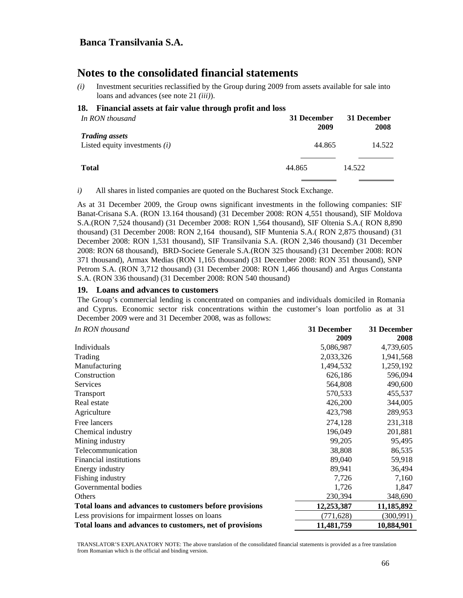# **Notes to the consolidated financial statements**

*(i)* Investment securities reclassified by the Group during 2009 from assets available for sale into loans and advances (see note 21 *(iii)*).

#### **18. Financial assets at fair value through profit and loss**

| In RON thousand                                          | 31 December<br>2009 | 31 December<br>2008 |
|----------------------------------------------------------|---------------------|---------------------|
| <b>Trading assets</b><br>Listed equity investments $(i)$ | 44.865              | 14.522              |
| <b>Total</b>                                             | 44.865              | 14.522              |

*i)* All shares in listed companies are quoted on the Bucharest Stock Exchange.

As at 31 December 2009, the Group owns significant investments in the following companies: SIF Banat-Crisana S.A. (RON 13.164 thousand) (31 December 2008: RON 4,551 thousand), SIF Moldova S.A.(RON 7,524 thousand) (31 December 2008: RON 1,564 thousand), SIF Oltenia S.A.( RON 8,890 thousand) (31 December 2008: RON 2,164 thousand), SIF Muntenia S.A.( RON 2,875 thousand) (31 December 2008: RON 1,531 thousand), SIF Transilvania S.A. (RON 2,346 thousand) (31 December 2008: RON 68 thousand), BRD-Societe Generale S.A.(RON 325 thousand) (31 December 2008: RON 371 thousand), Armax Medias (RON 1,165 thousand) (31 December 2008: RON 351 thousand), SNP Petrom S.A. (RON 3,712 thousand) (31 December 2008: RON 1,466 thousand) and Argus Constanta S.A. (RON 336 thousand) (31 December 2008: RON 540 thousand)

#### **19. Loans and advances to customers**

The Group's commercial lending is concentrated on companies and individuals domiciled in Romania and Cyprus. Economic sector risk concentrations within the customer's loan portfolio as at 31 December 2009 were and 31 December 2008, was as follows:

| In RON thousand                                          | 31 December | 31 December |
|----------------------------------------------------------|-------------|-------------|
|                                                          | 2009        | 2008        |
| Individuals                                              | 5,086,987   | 4,739,605   |
| Trading                                                  | 2,033,326   | 1,941,568   |
| Manufacturing                                            | 1,494,532   | 1,259,192   |
| Construction                                             | 626,186     | 596,094     |
| Services                                                 | 564,808     | 490,600     |
| <b>Transport</b>                                         | 570,533     | 455,537     |
| Real estate                                              | 426,200     | 344,005     |
| Agriculture                                              | 423,798     | 289,953     |
| Free lancers                                             | 274,128     | 231,318     |
| Chemical industry                                        | 196,049     | 201,881     |
| Mining industry                                          | 99,205      | 95,495      |
| Telecommunication                                        | 38,808      | 86,535      |
| Financial institutions                                   | 89,040      | 59,918      |
| Energy industry                                          | 89,941      | 36,494      |
| Fishing industry                                         | 7,726       | 7,160       |
| Governmental bodies                                      | 1,726       | 1,847       |
| Others                                                   | 230,394     | 348,690     |
| Total loans and advances to customers before provisions  | 12,253,387  | 11,185,892  |
| Less provisions for impairment losses on loans           | (771, 628)  | (300, 991)  |
| Total loans and advances to customers, net of provisions | 11,481,759  | 10,884,901  |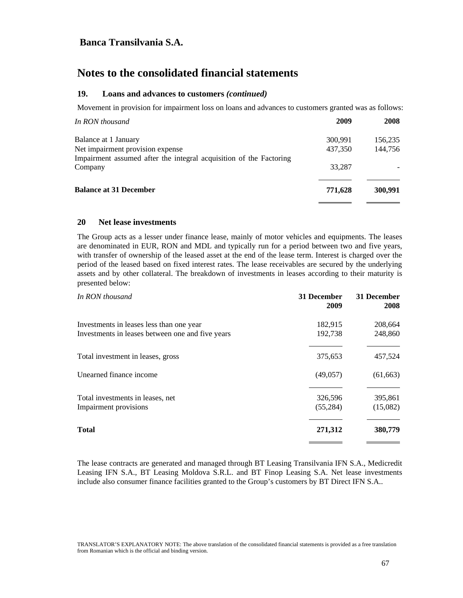# **Notes to the consolidated financial statements**

#### **19. Loans and advances to customers** *(continued)*

Movement in provision for impairment loss on loans and advances to customers granted was as follows:

| 2009    | 2008    |
|---------|---------|
| 300,991 | 156,235 |
| 437,350 | 144,756 |
| 33,287  |         |
| 771,628 | 300.991 |
|         |         |

#### **20 Net lease investments**

The Group acts as a lesser under finance lease, mainly of motor vehicles and equipments. The leases are denominated in EUR, RON and MDL and typically run for a period between two and five years, with transfer of ownership of the leased asset at the end of the lease term. Interest is charged over the period of the leased based on fixed interest rates. The lease receivables are secured by the underlying assets and by other collateral. The breakdown of investments in leases according to their maturity is presented below:

| In RON thousand                                  | 31 December<br>2009 | 31 December<br>2008 |
|--------------------------------------------------|---------------------|---------------------|
| Investments in leases less than one year         | 182,915             | 208,664             |
| Investments in leases between one and five years | 192,738             | 248,860             |
| Total investment in leases, gross                | 375,653             | 457,524             |
| Unearned finance income                          | (49,057)            | (61, 663)           |
| Total investments in leases, net                 | 326,596             | 395,861             |
| Impairment provisions                            | (55, 284)           | (15,082)            |
| <b>Total</b>                                     | 271,312             | 380,779             |
|                                                  |                     |                     |

The lease contracts are generated and managed through BT Leasing Transilvania IFN S.A., Medicredit Leasing IFN S.A., BT Leasing Moldova S.R.L. and BT Finop Leasing S.A. Net lease investments include also consumer finance facilities granted to the Group's customers by BT Direct IFN S.A..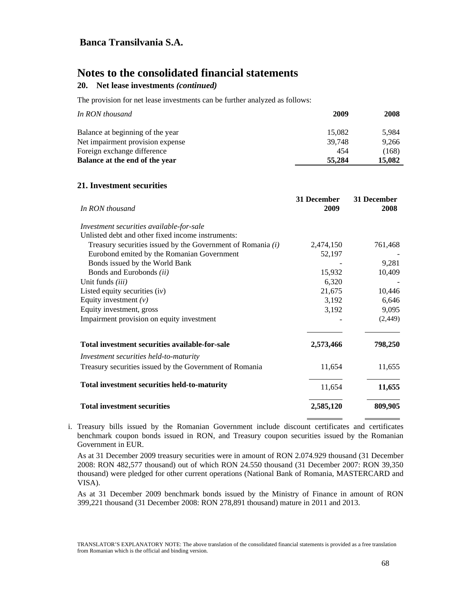# **Notes to the consolidated financial statements**

## **20. Net lease investments** *(continued)*

The provision for net lease investments can be further analyzed as follows:

| In RON thousand                  | 2009   | 2008   |
|----------------------------------|--------|--------|
| Balance at beginning of the year | 15.082 | 5.984  |
| Net impairment provision expense | 39.748 | 9.266  |
| Foreign exchange difference      | 454    | (168)  |
| Balance at the end of the year   | 55,284 | 15,082 |

### **21. Investment securities**

| In RON thousand                                               | 31 December<br>2009 | 31 December<br>2008 |
|---------------------------------------------------------------|---------------------|---------------------|
| Investment securities available-for-sale                      |                     |                     |
| Unlisted debt and other fixed income instruments:             |                     |                     |
| Treasury securities issued by the Government of Romania $(i)$ | 2,474,150           | 761,468             |
| Eurobond emited by the Romanian Government                    | 52,197              |                     |
| Bonds issued by the World Bank                                |                     | 9,281               |
| Bonds and Eurobonds (ii)                                      | 15,932              | 10,409              |
| Unit funds (iii)                                              | 6,320               |                     |
| Listed equity securities $(iv)$                               | 21,675              | 10,446              |
| Equity investment $(v)$                                       | 3,192               | 6,646               |
| Equity investment, gross                                      | 3,192               | 9,095               |
| Impairment provision on equity investment                     |                     | (2,449)             |
| Total investment securities available-for-sale                | 2,573,466           | 798,250             |
| Investment securities held-to-maturity                        |                     |                     |
| Treasury securities issued by the Government of Romania       | 11,654              | 11,655              |
| <b>Total investment securities held-to-maturity</b>           | 11,654              | 11,655              |
| <b>Total investment securities</b>                            | 2,585,120           | 809,905             |

i. Treasury bills issued by the Romanian Government include discount certificates and certificates benchmark coupon bonds issued in RON, and Treasury coupon securities issued by the Romanian Government in EUR.

As at 31 December 2009 treasury securities were in amount of RON 2.074.929 thousand (31 December 2008: RON 482,577 thousand) out of which RON 24.550 thousand (31 December 2007: RON 39,350 thousand) were pledged for other current operations (National Bank of Romania, MASTERCARD and VISA).

As at 31 December 2009 benchmark bonds issued by the Ministry of Finance in amount of RON 399,221 thousand (31 December 2008: RON 278,891 thousand) mature in 2011 and 2013.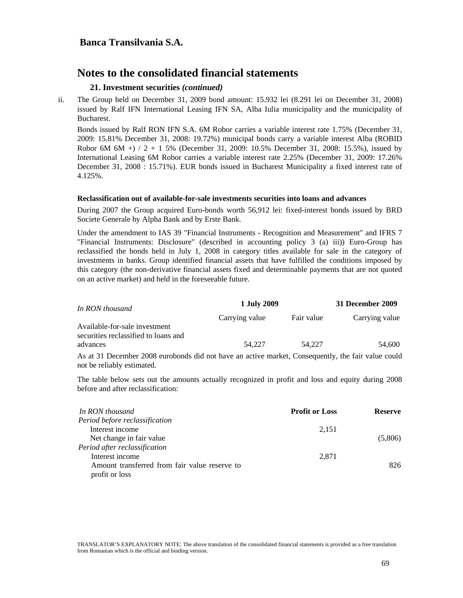### **21. Investment securities** *(continued)*

ii. The Group held on December 31, 2009 bond amount: 15.932 lei (8.291 lei on December 31, 2008) issued by Ralf IFN International Leasing IFN SA, Alba Iulia municipality and the municipality of Bucharest.

Bonds issued by Ralf RON IFN S.A. 6M Robor carries a variable interest rate 1.75% (December 31, 2009: 15.81% December 31, 2008: 19.72%) municipal bonds carry a variable interest Alba (ROBID Robor 6M 6M +  $/ 2 + 1$  5% (December 31, 2009: 10.5% December 31, 2008: 15.5%), issued by International Leasing 6M Robor carries a variable interest rate 2.25% (December 31, 2009: 17.26% December 31, 2008 : 15.71%). EUR bonds issued in Bucharest Municipality a fixed interest rate of 4.125%.

#### **Reclassification out of available-for-sale investments securities into loans and advances**

During 2007 the Group acquired Euro-bonds worth 56,912 lei: fixed-interest bonds issued by BRD Societe Generale by Alpha Bank and by Erste Bank.

Under the amendment to IAS 39 "Financial Instruments - Recognition and Measurement" and IFRS 7 "Financial Instruments: Disclosure" (described in accounting policy 3 (a) iii)) Euro-Group has reclassified the bonds held in July 1, 2008 in category titles available for sale in the category of investments in banks. Group identified financial assets that have fulfilled the conditions imposed by this category (the non-derivative financial assets fixed and determinable payments that are not quoted on an active market) and held in the foreseeable future.

| In RON thousand                                                       | 1 July 2009    |            | 31 December 2009 |  |
|-----------------------------------------------------------------------|----------------|------------|------------------|--|
|                                                                       | Carrying value | Fair value | Carrying value   |  |
| Available-for-sale investment<br>securities reclassified to loans and |                |            |                  |  |
| advances                                                              | 54.227         | 54.227     | 54.600           |  |

As at 31 December 2008 eurobonds did not have an active market, Consequently, the fair value could not be reliably estimated.

The table below sets out the amounts actually recognized in profit and loss and equity during 2008 before and after reclassification:

| In RON thousand                               | <b>Profit or Loss</b> | <b>Reserve</b> |
|-----------------------------------------------|-----------------------|----------------|
| Period before reclassification                |                       |                |
| Interest income                               | 2,151                 |                |
| Net change in fair value                      |                       | (5,806)        |
| Period after reclassification                 |                       |                |
| Interest income                               | 2,871                 |                |
| Amount transferred from fair value reserve to |                       | 826            |
| profit or loss                                |                       |                |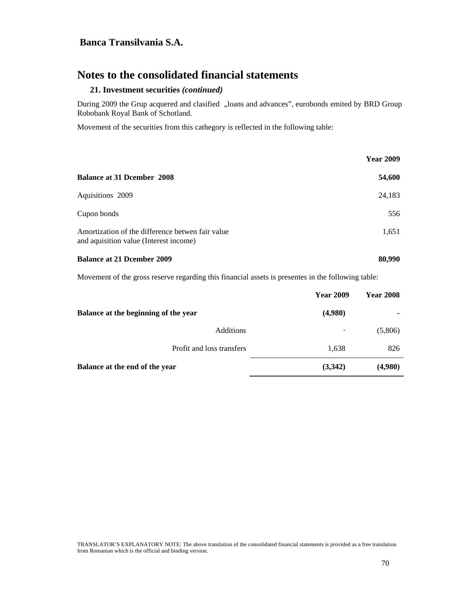# **Notes to the consolidated financial statements**

#### **21. Investment securities** *(continued)*

During 2009 the Grup acquered and clasified "loans and advances", eurobonds emited by BRD Group Robobank Royal Bank of Schotland.

Movement of the securities from this cathegory is reflected in the following table:

|                                                                                            | <b>Year 2009</b> |
|--------------------------------------------------------------------------------------------|------------------|
| <b>Balance at 31 Deember 2008</b>                                                          | 54,600           |
| Aquisitions 2009                                                                           | 24,183           |
| Cupon bonds                                                                                | 556              |
| Amortization of the difference betwen fair value<br>and aquisition value (Interest income) | 1,651            |
| <b>Balance at 21 Deember 2009</b>                                                          | 80,990           |

Movement of the gross reserve regarding this financial assets is presentes in the following table:

|                                      | <b>Year 2009</b> | <b>Year 2008</b> |
|--------------------------------------|------------------|------------------|
| Balance at the beginning of the year | (4,980)          |                  |
| Additions                            | ۰                | (5,806)          |
| Profit and loss transfers            | 1,638            | 826              |
| Balance at the end of the year       | (3,342)          | (4,980)          |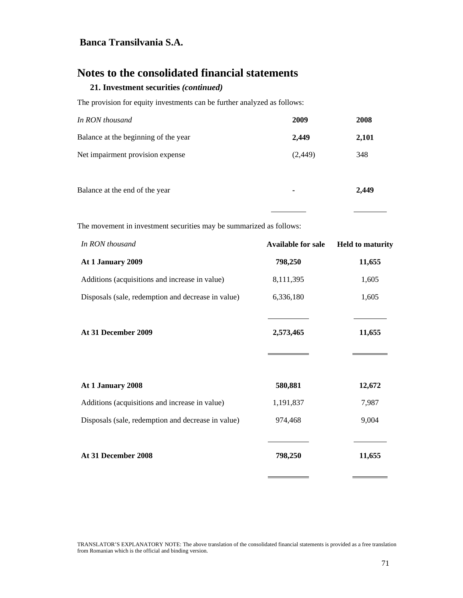# **Notes to the consolidated financial statements**

### **21. Investment securities** *(continued)*

The provision for equity investments can be further analyzed as follows:

| In RON thousand                      | 2009           | 2008  |
|--------------------------------------|----------------|-------|
| Balance at the beginning of the year | 2,449          | 2,101 |
| Net impairment provision expense     | (2, 449)       | 348   |
| Balance at the end of the year       | $\blacksquare$ | 2,449 |

The movement in investment securities may be summarized as follows:

| In RON thousand                                    | <b>Available for sale</b> | <b>Held to maturity</b> |
|----------------------------------------------------|---------------------------|-------------------------|
| At 1 January 2009                                  | 798,250                   | 11,655                  |
| Additions (acquisitions and increase in value)     | 8,111,395                 | 1,605                   |
| Disposals (sale, redemption and decrease in value) | 6,336,180                 | 1,605                   |
|                                                    |                           |                         |
| At 31 December 2009                                | 2,573,465                 | 11,655                  |
|                                                    |                           |                         |
|                                                    |                           |                         |
| At 1 January 2008                                  | 580,881                   | 12,672                  |
| Additions (acquisitions and increase in value)     | 1,191,837                 | 7,987                   |
| Disposals (sale, redemption and decrease in value) | 974,468                   | 9,004                   |
|                                                    |                           |                         |
| At 31 December 2008                                | 798,250                   | 11,655                  |
|                                                    |                           |                         |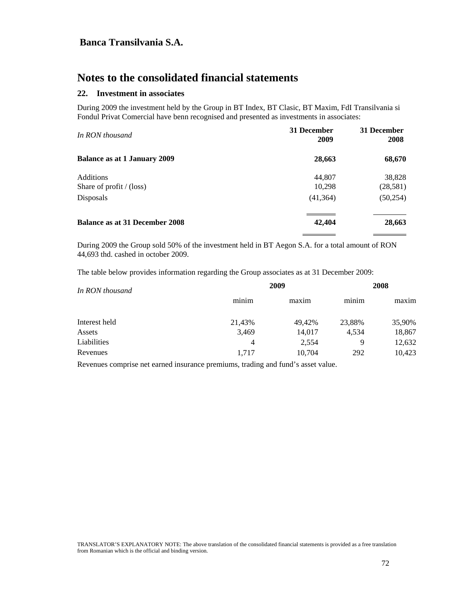# **Notes to the consolidated financial statements**

### **22. Investment in associates**

During 2009 the investment held by the Group in BT Index, BT Clasic, BT Maxim, FdI Transilvania si Fondul Privat Comercial have benn recognised and presented as investments in associates:

| 31 December<br>2009 | 31 December<br>2008 |
|---------------------|---------------------|
| 28,663              | 68,670              |
| 44,807              | 38,828              |
| 10,298              | (28, 581)           |
| (41, 364)           | (50, 254)           |
| 42,404              | 28,663              |
|                     |                     |

During 2009 the Group sold 50% of the investment held in BT Aegon S.A. for a total amount of RON 44,693 thd. cashed in october 2009.

The table below provides information regarding the Group associates as at 31 December 2009:

| In RON thousand |        | 2009   |        |        |
|-----------------|--------|--------|--------|--------|
|                 | minim  | maxim  | minim  | maxim  |
| Interest held   | 21,43% | 49.42% | 23,88% | 35,90% |
| Assets          | 3,469  | 14,017 | 4.534  | 18,867 |
| Liabilities     | 4      | 2,554  | 9      | 12,632 |
| Revenues        | 1.717  | 10,704 | 292    | 10,423 |

Revenues comprise net earned insurance premiums, trading and fund's asset value.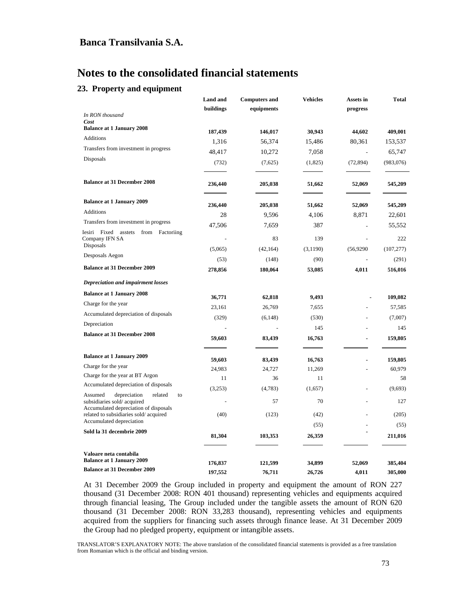#### **23. Property and equipment**

|                                                                     | Land and  | <b>Computers and</b> | <b>Vehicles</b> | Assets in | Total      |
|---------------------------------------------------------------------|-----------|----------------------|-----------------|-----------|------------|
|                                                                     | buildings | equipments           |                 | progress  |            |
| In RON thousand<br>Cost                                             |           |                      |                 |           |            |
| <b>Balance at 1 January 2008</b>                                    |           |                      |                 |           |            |
| Additions                                                           | 187,439   | 146,017              | 30,943          | 44,602    | 409,001    |
| Transfers from investment in progress                               | 1,316     | 56,374               | 15,486          | 80,361    | 153,537    |
| Disposals                                                           | 48,417    | 10,272               | 7,058           |           | 65,747     |
|                                                                     | (732)     | (7,625)              | (1,825)         | (72, 894) | (983,076)  |
| <b>Balance at 31 December 2008</b>                                  | 236,440   | 205,038              | 51,662          | 52,069    | 545,209    |
| <b>Balance at 1 January 2009</b>                                    | 236,440   | 205,038              | 51,662          | 52,069    | 545,209    |
| Additions                                                           | 28        | 9,596                | 4,106           | 8,871     | 22,601     |
| Transfers from investment in progress                               | 47,506    | 7,659                | 387             |           | 55,552     |
| Iesiri Fixed asstets from Factoriing                                |           |                      |                 |           |            |
| Company IFN SA                                                      |           | 83                   | 139             |           | 222        |
| Disposals                                                           | (5,065)   | (42, 164)            | (3,1190)        | (56,9290) | (107, 277) |
| Desposals Aegon                                                     | (53)      | (148)                | (90)            |           | (291)      |
| <b>Balance at 31 December 2009</b>                                  | 278,856   | 180,064              | 53,085          | 4,011     | 516,016    |
| Depreciation and impairment losses                                  |           |                      |                 |           |            |
| <b>Balance at 1 January 2008</b>                                    |           |                      |                 |           |            |
| Charge for the year                                                 | 36,771    | 62,818               | 9,493           |           | 109,082    |
| Accumulated depreciation of disposals                               | 23,161    | 26,769               | 7,655           |           | 57,585     |
| Depreciation                                                        | (329)     | (6,148)              | (530)           |           | (7,007)    |
| <b>Balance at 31 December 2008</b>                                  |           |                      | 145             |           | 145        |
|                                                                     | 59,603    | 83,439               | 16,763          | ä,        | 159,805    |
| <b>Balance at 1 January 2009</b>                                    | 59,603    | 83,439               | 16,763          | l,        | 159,805    |
| Charge for the year                                                 | 24,983    | 24,727               | 11,269          |           | 60,979     |
| Charge for the year at BT Argon                                     | 11        | 36                   | 11              |           | 58         |
| Accumulated depreciation of disposals                               | (3,253)   | (4,783)              | (1,657)         |           | (9,693)    |
| related<br>Assumed<br>depreciation<br>to                            |           |                      |                 |           |            |
| subsidiaries sold/acquired<br>Accumulated depreciation of disposals |           | 57                   | 70              |           | 127        |
| related to subsidiaries sold/acquired                               | (40)      | (123)                | (42)            |           | (205)      |
| Accumulated depreciation                                            |           |                      | (55)            |           | (55)       |
| Sold la 31 decembrie 2009                                           | 81,304    | 103,353              | 26,359          |           | 211,016    |
| Valoare neta contabila                                              |           |                      |                 |           |            |
| <b>Balance at 1 January 2009</b>                                    | 176,837   | 121,599              | 34,899          | 52,069    | 385,404    |
| <b>Balance at 31 December 2009</b>                                  | 197,552   | 76,711               | 26,726          | 4,011     | 305,000    |

At 31 December 2009 the Group included in property and equipment the amount of RON 227 thousand (31 December 2008: RON 401 thousand) representing vehicles and equipments acquired through financial leasing, The Group included under the tangible assets the amount of RON 620 thousand (31 December 2008: RON 33,283 thousand), representing vehicles and equipments acquired from the suppliers for financing such assets through finance lease. At 31 December 2009 the Group had no pledged property, equipment or intangible assets.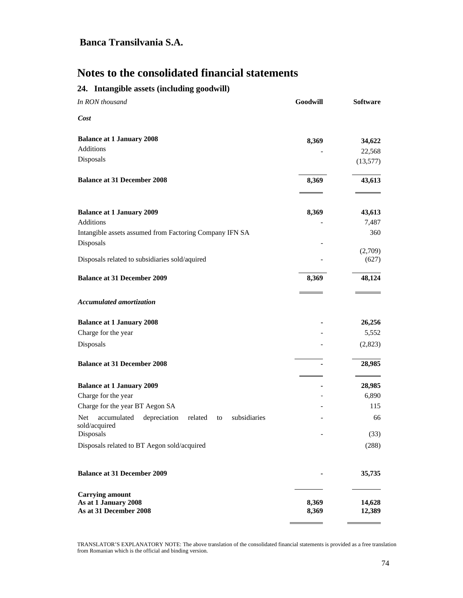## **24. Intangible assets (including goodwill)**

| In RON thousand                                                                      | Goodwill       | <b>Software</b>  |
|--------------------------------------------------------------------------------------|----------------|------------------|
| Cost                                                                                 |                |                  |
| <b>Balance at 1 January 2008</b>                                                     | 8,369          | 34,622           |
| Additions                                                                            |                | 22,568           |
| Disposals                                                                            |                | (13, 577)        |
| <b>Balance at 31 December 2008</b>                                                   | 8,369          | 43,613           |
| <b>Balance at 1 January 2009</b>                                                     | 8,369          | 43,613           |
| Additions                                                                            |                | 7,487            |
| Intangible assets assumed from Factoring Company IFN SA                              |                | 360              |
| Disposals                                                                            |                |                  |
| Disposals related to subsidiaries sold/aquired                                       |                | (2,709)<br>(627) |
|                                                                                      |                |                  |
| <b>Balance at 31 December 2009</b>                                                   | 8,369          | 48,124           |
| <b>Accumulated amortization</b>                                                      |                |                  |
| <b>Balance at 1 January 2008</b>                                                     |                | 26,256           |
| Charge for the year                                                                  |                | 5,552            |
| Disposals                                                                            |                | (2,823)          |
| <b>Balance at 31 December 2008</b>                                                   |                | 28,985           |
| <b>Balance at 1 January 2009</b>                                                     |                | 28,985           |
| Charge for the year                                                                  |                | 6,890            |
| Charge for the year BT Aegon SA                                                      |                | 115              |
| accumulated<br>depreciation<br>related<br>subsidiaries<br>Net<br>to<br>sold/acquired |                | 66               |
| Disposals                                                                            |                | (33)             |
| Disposals related to BT Aegon sold/acquired                                          |                | (288)            |
| <b>Balance at 31 December 2009</b>                                                   |                | 35,735           |
| <b>Carrying amount</b><br>As at 1 January 2008<br>As at 31 December 2008             | 8,369<br>8,369 | 14,628<br>12,389 |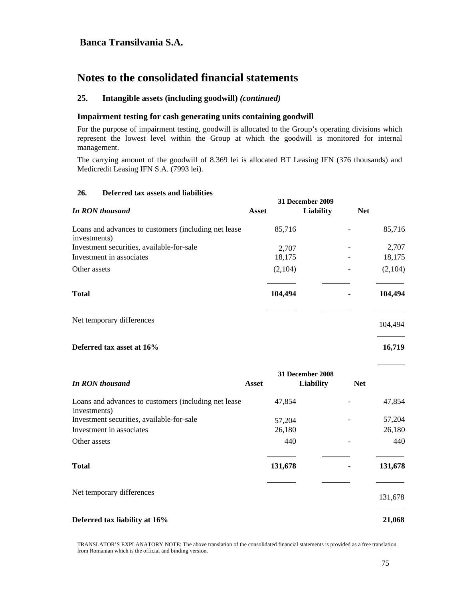# **Notes to the consolidated financial statements**

#### **25. Intangible assets (including goodwill)** *(continued)*

#### **Impairment testing for cash generating units containing goodwill**

For the purpose of impairment testing, goodwill is allocated to the Group's operating divisions which represent the lowest level within the Group at which the goodwill is monitored for internal management.

The carrying amount of the goodwill of 8.369 lei is allocated BT Leasing IFN (376 thousands) and Medicredit Leasing IFN S.A. (7993 lei).

#### **26. Deferred tax assets and liabilities**

|                                                                      | 31 December 2009 |           |            |         |
|----------------------------------------------------------------------|------------------|-----------|------------|---------|
| <b>In RON thousand</b>                                               | Asset            | Liability | <b>Net</b> |         |
| Loans and advances to customers (including net lease<br>investments) | 85,716           |           |            | 85,716  |
| Investment securities, available-for-sale                            | 2,707            |           |            | 2,707   |
| Investment in associates                                             | 18,175           |           |            | 18,175  |
| Other assets                                                         | (2,104)          |           |            | (2,104) |
| <b>Total</b>                                                         | 104,494          |           |            | 104,494 |
| Net temporary differences                                            |                  |           |            | 104,494 |

#### **Deferred tax asset at 16% 16,719 16,719**

|                                                                      |         | 31 December 2008               |         |
|----------------------------------------------------------------------|---------|--------------------------------|---------|
| <b>In RON thousand</b>                                               | Asset   | <b>Liability</b><br><b>Net</b> |         |
| Loans and advances to customers (including net lease<br>investments) | 47,854  |                                | 47,854  |
| Investment securities, available-for-sale                            | 57,204  |                                | 57,204  |
| Investment in associates                                             | 26,180  |                                | 26,180  |
| Other assets                                                         | 440     |                                | 440     |
| <b>Total</b>                                                         | 131,678 |                                | 131,678 |
| Net temporary differences                                            |         |                                | 131,678 |
| Deferred tax liability at 16%                                        |         |                                | 21,068  |

TRANSLATOR'S EXPLANATORY NOTE: The above translation of the consolidated financial statements is provided as a free translation from Romanian which is the official and binding version.

 $\overline{a}$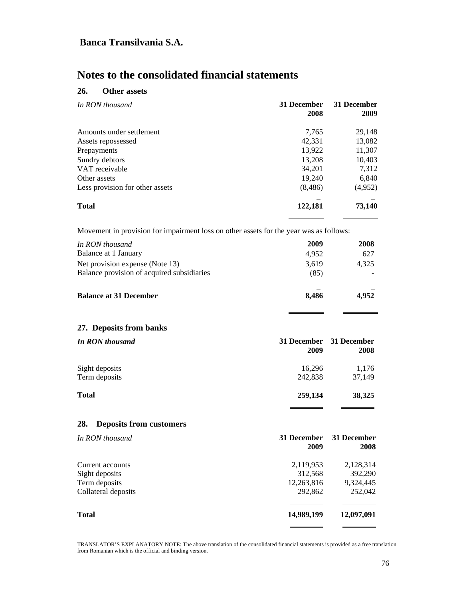# **Notes to the consolidated financial statements**

### **26. Other assets**

| In RON thousand                 | 31 December<br>2008 | 31 December<br>2009 |
|---------------------------------|---------------------|---------------------|
| Amounts under settlement        | 7,765               | 29,148              |
| Assets repossessed              | 42,331              | 13,082              |
| Prepayments                     | 13,922              | 11,307              |
| Sundry debtors                  | 13,208              | 10,403              |
| VAT receivable                  | 34,201              | 7,312               |
| Other assets                    | 19,240              | 6,840               |
| Less provision for other assets | (8, 486)            | (4,952)             |
| <b>Total</b>                    | 122,181             | 73,140              |

Movement in provision for impairment loss on other assets for the year was as follows:

| In RON thousand                            | 2009  | 2008  |
|--------------------------------------------|-------|-------|
| Balance at 1 January                       | 4.952 | 627   |
| Net provision expense (Note 13)            | 3,619 | 4.325 |
| Balance provision of acquired subsidiaries | (85)  |       |
| <b>Balance at 31 December</b>              | 8.486 | 4.952 |

 $\overline{a}$ 

L,

#### **27. Deposits from banks**

| <b>In RON thousand</b> | 2009    | 31 December 31 December<br>2008 |
|------------------------|---------|---------------------------------|
| Sight deposits         | 16,296  | 1,176                           |
| Term deposits          | 242,838 | 37,149                          |
| <b>Total</b>           | 259,134 | 38,325                          |
|                        |         |                                 |

### **28. Deposits from customers**

| In RON thousand     | 31 December<br>2009 | 31 December<br>2008 |
|---------------------|---------------------|---------------------|
| Current accounts    | 2,119,953           | 2,128,314           |
| Sight deposits      | 312,568             | 392,290             |
| Term deposits       | 12,263,816          | 9,324,445           |
| Collateral deposits | 292,862             | 252,042             |
| Total               | 14,989,199          | 12,097,091          |
|                     |                     |                     |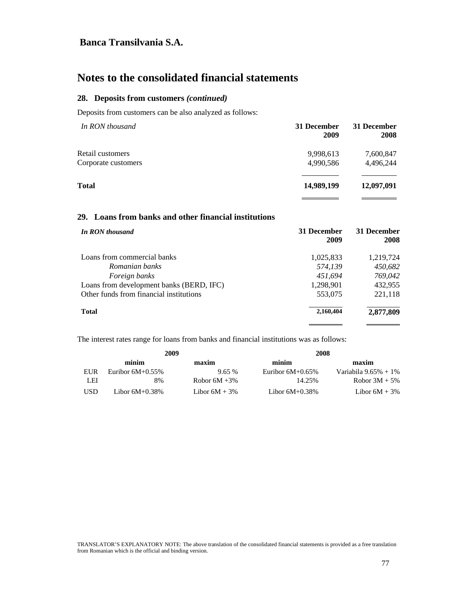# **Notes to the consolidated financial statements**

#### **28. Deposits from customers** *(continued)*

Deposits from customers can be also analyzed as follows:

| In RON thousand     | 31 December<br>2009 | 31 December<br>2008 |
|---------------------|---------------------|---------------------|
| Retail customers    | 9,998,613           | 7,600,847           |
| Corporate customers | 4.990.586           | 4,496,244           |
| <b>Total</b>        | 14,989,199          | 12,097,091          |
|                     |                     |                     |

### **29. Loans from banks and other financial institutions**

| 31 December<br>2009 | 31 December<br>2008 |
|---------------------|---------------------|
| 1,025,833           | 1,219,724           |
| 574,139             | 450,682             |
| 451.694             | 769,042             |
| 1,298,901           | 432,955             |
| 553,075             | 221,118             |
| 2,160,404           | 2,877,809           |
|                     |                     |

The interest rates range for loans from banks and financial institutions was as follows:

| 2009 |                     | 2008             |                     |                          |
|------|---------------------|------------------|---------------------|--------------------------|
|      | minim               | maxim            | minim               | maxim                    |
| EUR  | Euribor $6M+0.55\%$ | 9.65%            | Euribor $6M+0.65\%$ | Variabila $9.65\% + 1\%$ |
| LEI  | 8%                  | Robor $6M + 3\%$ | 14.25%              | Robor $3M + 5\%$         |
| USD. | Libor $6M+0.38\%$   | Libor $6M + 3\%$ | Libor $6M+0.38\%$   | Libor $6M + 3\%$         |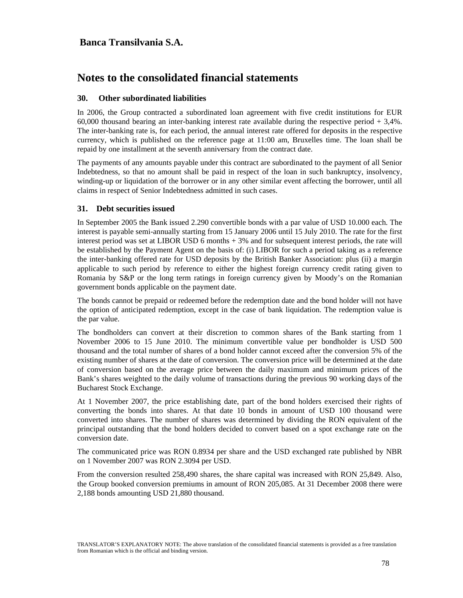# **Notes to the consolidated financial statements**

#### **30. Other subordinated liabilities**

In 2006, the Group contracted a subordinated loan agreement with five credit institutions for EUR 60,000 thousand bearing an inter-banking interest rate available during the respective period + 3,4%. The inter-banking rate is, for each period, the annual interest rate offered for deposits in the respective currency, which is published on the reference page at 11:00 am, Bruxelles time. The loan shall be repaid by one installment at the seventh anniversary from the contract date.

The payments of any amounts payable under this contract are subordinated to the payment of all Senior Indebtedness, so that no amount shall be paid in respect of the loan in such bankruptcy, insolvency, winding-up or liquidation of the borrower or in any other similar event affecting the borrower, until all claims in respect of Senior Indebtedness admitted in such cases.

#### **31. Debt securities issued**

In September 2005 the Bank issued 2.290 convertible bonds with a par value of USD 10.000 each. The interest is payable semi-annually starting from 15 January 2006 until 15 July 2010. The rate for the first interest period was set at LIBOR USD 6 months + 3% and for subsequent interest periods, the rate will be established by the Payment Agent on the basis of: (i) LIBOR for such a period taking as a reference the inter-banking offered rate for USD deposits by the British Banker Association: plus (ii) a margin applicable to such period by reference to either the highest foreign currency credit rating given to Romania by S&P or the long term ratings in foreign currency given by Moody's on the Romanian government bonds applicable on the payment date.

The bonds cannot be prepaid or redeemed before the redemption date and the bond holder will not have the option of anticipated redemption, except in the case of bank liquidation. The redemption value is the par value.

The bondholders can convert at their discretion to common shares of the Bank starting from 1 November 2006 to 15 June 2010. The minimum convertible value per bondholder is USD 500 thousand and the total number of shares of a bond holder cannot exceed after the conversion 5% of the existing number of shares at the date of conversion. The conversion price will be determined at the date of conversion based on the average price between the daily maximum and minimum prices of the Bank's shares weighted to the daily volume of transactions during the previous 90 working days of the Bucharest Stock Exchange.

At 1 November 2007, the price establishing date, part of the bond holders exercised their rights of converting the bonds into shares. At that date 10 bonds in amount of USD 100 thousand were converted into shares. The number of shares was determined by dividing the RON equivalent of the principal outstanding that the bond holders decided to convert based on a spot exchange rate on the conversion date.

The communicated price was RON 0.8934 per share and the USD exchanged rate published by NBR on 1 November 2007 was RON 2.3094 per USD.

From the conversion resulted 258,490 shares, the share capital was increased with RON 25,849. Also, the Group booked conversion premiums in amount of RON 205,085. At 31 December 2008 there were 2,188 bonds amounting USD 21,880 thousand.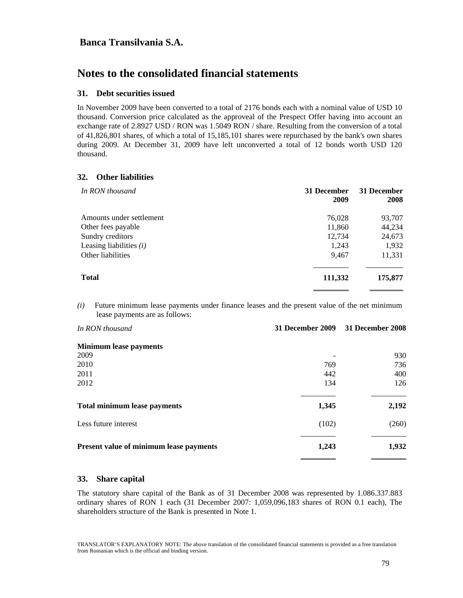# **Notes to the consolidated financial statements**

#### **31. Debt securities issued**

In November 2009 have been converted to a total of 2176 bonds each with a nominal value of USD 10 thousand. Conversion price calculated as the approveal of the Prespect Offer having into account an exchange rate of 2.8927 USD / RON was 1.5049 RON / share. Resulting from the conversion of a total of 41,826,801 shares, of which a total of 15,185,101 shares were repurchased by the bank's own shares during 2009. At December 31, 2009 have left unconverted a total of 12 bonds worth USD 120 thousand.

#### **32. Other liabilities**

| In RON thousand           | 31 December<br>2009 | 31 December<br>2008 |
|---------------------------|---------------------|---------------------|
| Amounts under settlement  | 76,028              | 93,707              |
| Other fees payable        | 11,860              | 44,234              |
| Sundry creditors          | 12,734              | 24,673              |
| Leasing liabilities $(i)$ | 1,243               | 1,932               |
| Other liabilities         | 9,467               | 11,331              |
| <b>Total</b>              | 111,332             | 175,877             |

*(i)* Future minimum lease payments under finance leases and the present value of the net minimum lease payments are as follows:

| In RON thousand                         | <b>31 December 2009</b> | 31 December 2008 |
|-----------------------------------------|-------------------------|------------------|
| <b>Minimum lease payments</b>           |                         |                  |
| 2009                                    |                         | 930              |
| 2010                                    | 769                     | 736              |
| 2011                                    | 442                     | 400              |
| 2012                                    | 134                     | 126              |
| <b>Total minimum lease payments</b>     | 1,345                   | 2,192            |
| Less future interest                    | (102)                   | (260)            |
| Present value of minimum lease payments | 1,243                   | 1,932            |

#### **33. Share capital**

The statutory share capital of the Bank as of 31 December 2008 was represented by 1.086.337.883 ordinary shares of RON 1 each (31 December 2007: 1,059,096,183 shares of RON 0.1 each), The shareholders structure of the Bank is presented in Note 1.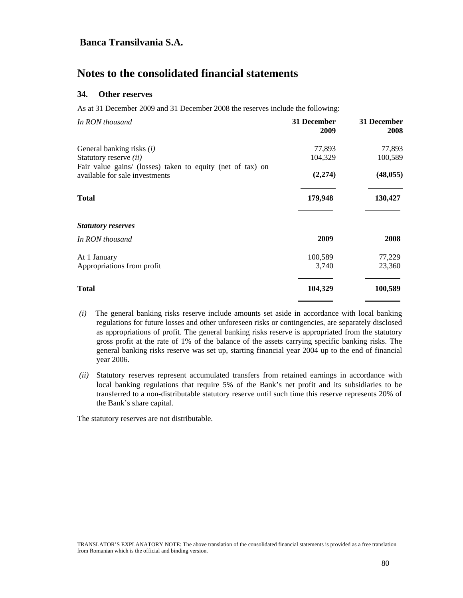# **Notes to the consolidated financial statements**

#### **34. Other reserves**

As at 31 December 2009 and 31 December 2008 the reserves include the following:

| 31 December<br>2009 | 31 December<br>2008 |
|---------------------|---------------------|
| 77,893              | 77,893              |
| 104,329             | 100,589             |
| (2,274)             | (48, 055)           |
| 179,948             | 130,427             |
|                     |                     |
| 2009                | 2008                |
| 100,589             | 77,229              |
| 3,740               | 23,360              |
| 104,329             | 100,589             |
|                     |                     |

- *(i)* The general banking risks reserve include amounts set aside in accordance with local banking regulations for future losses and other unforeseen risks or contingencies, are separately disclosed as appropriations of profit. The general banking risks reserve is appropriated from the statutory gross profit at the rate of 1% of the balance of the assets carrying specific banking risks. The general banking risks reserve was set up, starting financial year 2004 up to the end of financial year 2006.
- *(ii)* Statutory reserves represent accumulated transfers from retained earnings in accordance with local banking regulations that require 5% of the Bank's net profit and its subsidiaries to be transferred to a non-distributable statutory reserve until such time this reserve represents 20% of the Bank's share capital.

The statutory reserves are not distributable.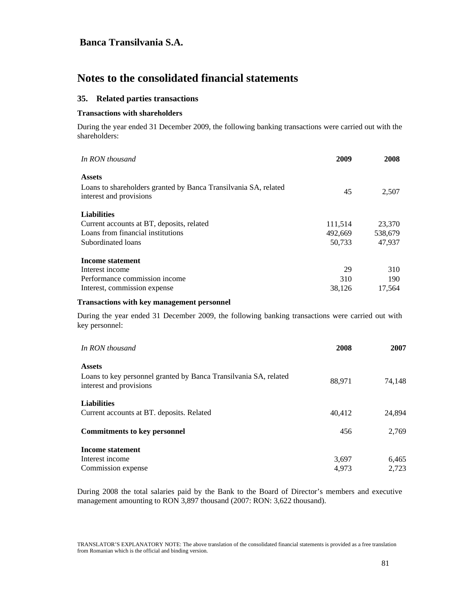# **Notes to the consolidated financial statements**

#### **35. Related parties transactions**

#### **Transactions with shareholders**

During the year ended 31 December 2009, the following banking transactions were carried out with the shareholders:

| In RON thousand                                                                            | 2009    | 2008    |
|--------------------------------------------------------------------------------------------|---------|---------|
| <b>Assets</b>                                                                              |         |         |
| Loans to shareholders granted by Banca Transilvania SA, related<br>interest and provisions | 45      | 2,507   |
| <b>Liabilities</b>                                                                         |         |         |
| Current accounts at BT, deposits, related                                                  | 111,514 | 23,370  |
| Loans from financial institutions                                                          | 492,669 | 538,679 |
| Subordinated loans                                                                         | 50,733  | 47,937  |
| <b>Income statement</b>                                                                    |         |         |
| Interest income                                                                            | 29      | 310     |
| Performance commission income                                                              | 310     | 190     |
| Interest, commission expense.                                                              | 38.126  | 17,564  |

#### **Transactions with key management personnel**

During the year ended 31 December 2009, the following banking transactions were carried out with key personnel:

| In RON thousand                                                                             | 2008   | 2007   |
|---------------------------------------------------------------------------------------------|--------|--------|
| <b>Assets</b>                                                                               |        |        |
| Loans to key personnel granted by Banca Transilvania SA, related<br>interest and provisions | 88,971 | 74.148 |
| <b>Liabilities</b>                                                                          |        |        |
| Current accounts at BT. deposits. Related                                                   | 40,412 | 24.894 |
| <b>Commitments to key personnel</b>                                                         | 456    | 2.769  |
| Income statement                                                                            |        |        |
| Interest income                                                                             | 3,697  | 6,465  |
| Commission expense                                                                          | 4.973  | 2,723  |

During 2008 the total salaries paid by the Bank to the Board of Director's members and executive management amounting to RON 3,897 thousand (2007: RON: 3,622 thousand).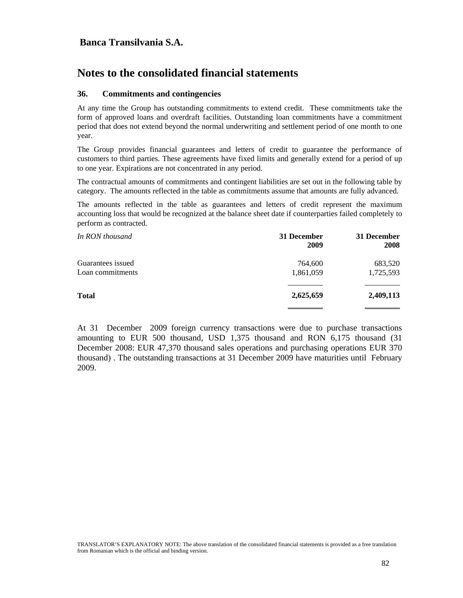# **Notes to the consolidated financial statements**

#### **36. Commitments and contingencies**

At any time the Group has outstanding commitments to extend credit. These commitments take the form of approved loans and overdraft facilities. Outstanding loan commitments have a commitment period that does not extend beyond the normal underwriting and settlement period of one month to one year.

The Group provides financial guarantees and letters of credit to guarantee the performance of customers to third parties. These agreements have fixed limits and generally extend for a period of up to one year. Expirations are not concentrated in any period.

The contractual amounts of commitments and contingent liabilities are set out in the following table by category. The amounts reflected in the table as commitments assume that amounts are fully advanced.

The amounts reflected in the table as guarantees and letters of credit represent the maximum accounting loss that would be recognized at the balance sheet date if counterparties failed completely to perform as contracted.

| In RON thousand   | 31 December<br>2009 | 31 December<br>2008 |
|-------------------|---------------------|---------------------|
| Guarantees issued | 764,600             | 683,520             |
| Loan commitments  | 1,861,059           | 1,725,593           |
| <b>Total</b>      | 2,625,659           | 2,409,113           |
|                   |                     |                     |

At 31 December 2009 foreign currency transactions were due to purchase transactions amounting to EUR 500 thousand, USD 1,375 thousand and RON 6,175 thousand (31 December 2008: EUR 47,370 thousand sales operations and purchasing operations EUR 370 thousand) . The outstanding transactions at 31 December 2009 have maturities until February 2009.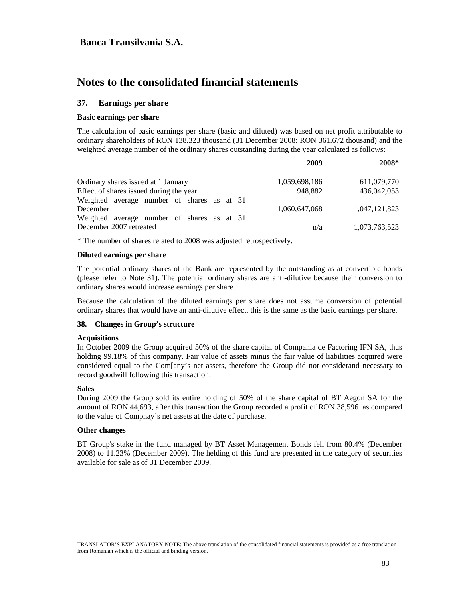#### **37. Earnings per share**

#### **Basic earnings per share**

The calculation of basic earnings per share (basic and diluted) was based on net profit attributable to ordinary shareholders of RON 138.323 thousand (31 December 2008: RON 361.672 thousand) and the weighted average number of the ordinary shares outstanding during the year calculated as follows:

|                                            | 2009          | 2008*         |
|--------------------------------------------|---------------|---------------|
| Ordinary shares issued at 1 January        | 1,059,698,186 | 611,079,770   |
| Effect of shares issued during the year    | 948.882       | 436,042,053   |
| Weighted average number of shares as at 31 |               |               |
| December                                   | 1.060.647.068 | 1,047,121,823 |
| Weighted average number of shares as at 31 |               |               |
| December 2007 retreated                    | n/a           | 1,073,763,523 |
|                                            |               |               |

\* The number of shares related to 2008 was adjusted retrospectively.

#### **Diluted earnings per share**

The potential ordinary shares of the Bank are represented by the outstanding as at convertible bonds (please refer to Note 31). The potential ordinary shares are anti-dilutive because their conversion to ordinary shares would increase earnings per share.

Because the calculation of the diluted earnings per share does not assume conversion of potential ordinary shares that would have an anti-dilutive effect. this is the same as the basic earnings per share.

#### **38. Changes in Group's structure**

#### **Acquisitions**

In October 2009 the Group acquired 50% of the share capital of Compania de Factoring IFN SA, thus holding 99.18% of this company. Fair value of assets minus the fair value of liabilities acquired were considered equal to the Com[any's net assets, therefore the Group did not considerand necessary to record goodwill following this transaction.

#### **Sales**

During 2009 the Group sold its entire holding of 50% of the share capital of BT Aegon SA for the amount of RON 44,693, after this transaction the Group recorded a profit of RON 38,596 as compared to the value of Compnay's net assets at the date of purchase.

#### **Other changes**

BT Group's stake in the fund managed by BT Asset Management Bonds fell from 80.4% (December 2008) to 11.23% (December 2009). The helding of this fund are presented in the category of securities available for sale as of 31 December 2009.